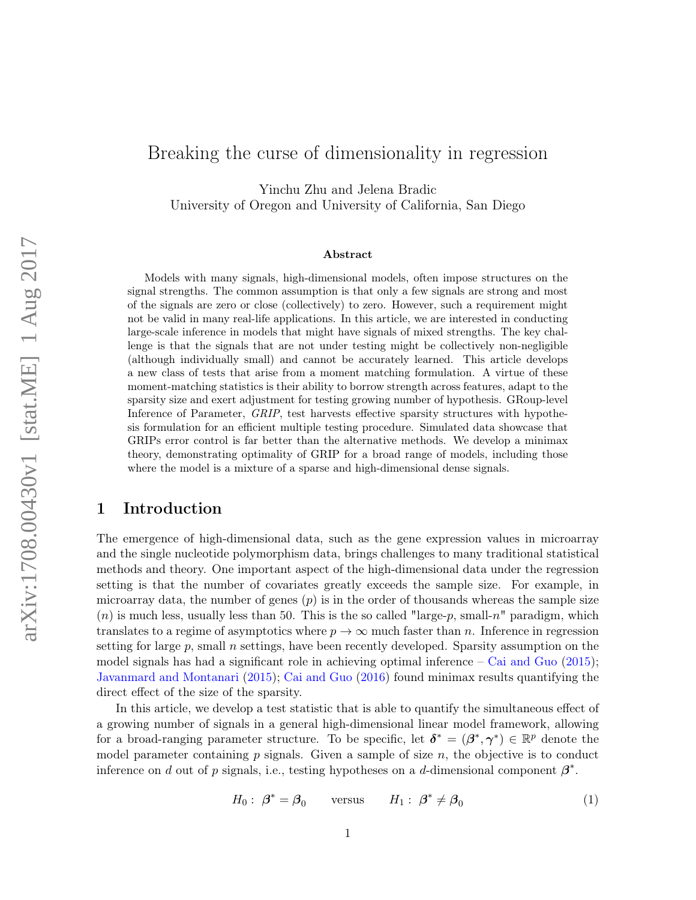# Breaking the curse of dimensionality in regression

Yinchu Zhu and Jelena Bradic University of Oregon and University of California, San Diego

#### Abstract

Models with many signals, high-dimensional models, often impose structures on the signal strengths. The common assumption is that only a few signals are strong and most of the signals are zero or close (collectively) to zero. However, such a requirement might not be valid in many real-life applications. In this article, we are interested in conducting large-scale inference in models that might have signals of mixed strengths. The key challenge is that the signals that are not under testing might be collectively non-negligible (although individually small) and cannot be accurately learned. This article develops a new class of tests that arise from a moment matching formulation. A virtue of these moment-matching statistics is their ability to borrow strength across features, adapt to the sparsity size and exert adjustment for testing growing number of hypothesis. GRoup-level Inference of Parameter, GRIP, test harvests effective sparsity structures with hypothesis formulation for an efficient multiple testing procedure. Simulated data showcase that GRIPs error control is far better than the alternative methods. We develop a minimax theory, demonstrating optimality of GRIP for a broad range of models, including those where the model is a mixture of a sparse and high-dimensional dense signals.

# 1 Introduction

The emergence of high-dimensional data, such as the gene expression values in microarray and the single nucleotide polymorphism data, brings challenges to many traditional statistical methods and theory. One important aspect of the high-dimensional data under the regression setting is that the number of covariates greatly exceeds the sample size. For example, in microarray data, the number of genes  $(p)$  is in the order of thousands whereas the sample size  $(n)$  is much less, usually less than 50. This is the so called "large-p, small-n" paradigm, which translates to a regime of asymptotics where  $p \to \infty$  much faster than n. Inference in regression setting for large  $p$ , small  $n$  settings, have been recently developed. Sparsity assumption on the model signals has had a significant role in achieving optimal inference  $-$  Cai and Guo (2015); Javanmard and Montanari (2015); Cai and Guo (2016) found minimax results quantifying the direct effect of the size of the sparsity.

In this article, we develop a test statistic that is able to quantify the simultaneous effect of a growing number of signals in a general high-dimensional linear model framework, allowing for a broad-ranging parameter structure. To be specific, let  $\delta^* = (\beta^*, \gamma^*) \in \mathbb{R}^p$  denote the model parameter containing  $p$  signals. Given a sample of size  $n$ , the objective is to conduct inference on d out of p signals, i.e., testing hypotheses on a d-dimensional component  $\beta^*$ .

$$
H_0: \ \beta^* = \beta_0 \qquad \text{versus} \qquad H_1: \ \beta^* \neq \beta_0 \tag{1}
$$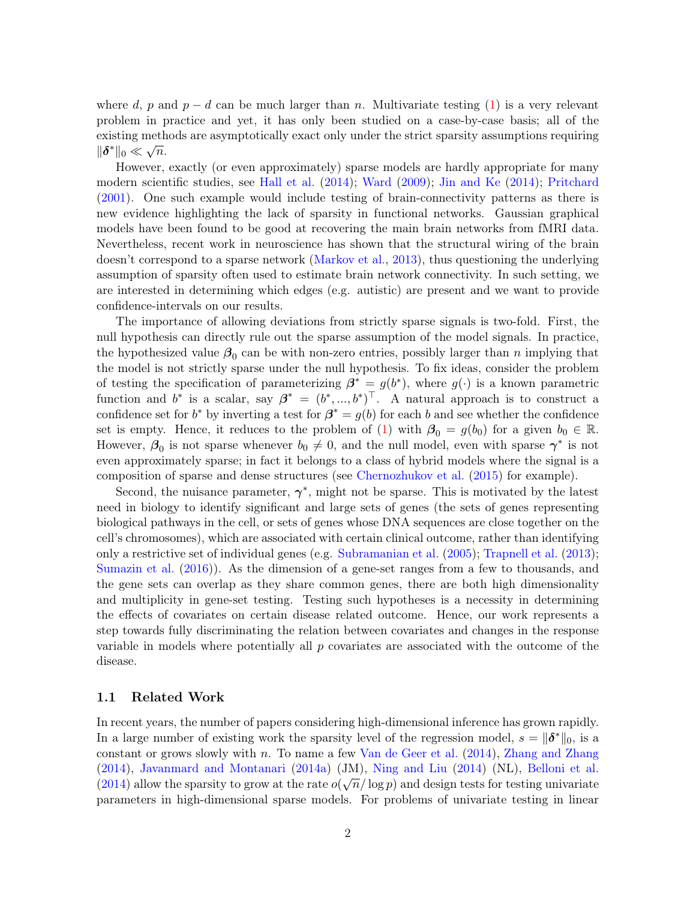where d, p and  $p - d$  can be much larger than n. Multivariate testing (1) is a very relevant problem in practice and yet, it has only been studied on a case-by-case basis; all of the existing methods are asymptotically exact only under the strict sparsity assumptions requiring  $\|\boldsymbol{\delta}^*\|_0 \ll \sqrt{n}.$ 

However, exactly (or even approximately) sparse models are hardly appropriate for many modern scientific studies, see Hall et al. (2014); Ward (2009); Jin and Ke (2014); Pritchard (2001). One such example would include testing of brain-connectivity patterns as there is new evidence highlighting the lack of sparsity in functional networks. Gaussian graphical models have been found to be good at recovering the main brain networks from fMRI data. Nevertheless, recent work in neuroscience has shown that the structural wiring of the brain doesn't correspond to a sparse network (Markov et al., 2013), thus questioning the underlying assumption of sparsity often used to estimate brain network connectivity. In such setting, we are interested in determining which edges (e.g. autistic) are present and we want to provide confidence-intervals on our results.

The importance of allowing deviations from strictly sparse signals is two-fold. First, the null hypothesis can directly rule out the sparse assumption of the model signals. In practice, the hypothesized value  $\beta_0$  can be with non-zero entries, possibly larger than n implying that the model is not strictly sparse under the null hypothesis. To fix ideas, consider the problem of testing the specification of parameterizing  $\beta^* = g(b^*)$ , where  $g(\cdot)$  is a known parametric function and  $b^*$  is a scalar, say  $\beta^* = (b^*,...,b^*)^{\perp}$ . A natural approach is to construct a confidence set for  $b^*$  by inverting a test for  $\beta^* = g(b)$  for each b and see whether the confidence set is empty. Hence, it reduces to the problem of (1) with  $\beta_0 = g(b_0)$  for a given  $b_0 \in \mathbb{R}$ . However,  $\beta_0$  is not sparse whenever  $b_0 \neq 0$ , and the null model, even with sparse  $\gamma^*$  is not even approximately sparse; in fact it belongs to a class of hybrid models where the signal is a composition of sparse and dense structures (see Chernozhukov et al. (2015) for example).

Second, the nuisance parameter,  $\gamma^*$ , might not be sparse. This is motivated by the latest need in biology to identify significant and large sets of genes (the sets of genes representing biological pathways in the cell, or sets of genes whose DNA sequences are close together on the cell's chromosomes), which are associated with certain clinical outcome, rather than identifying only a restrictive set of individual genes (e.g. Subramanian et al. (2005); Trapnell et al. (2013); Sumazin et al. (2016)). As the dimension of a gene-set ranges from a few to thousands, and the gene sets can overlap as they share common genes, there are both high dimensionality and multiplicity in gene-set testing. Testing such hypotheses is a necessity in determining the effects of covariates on certain disease related outcome. Hence, our work represents a step towards fully discriminating the relation between covariates and changes in the response variable in models where potentially all  $p$  covariates are associated with the outcome of the disease.

#### 1.1 Related Work

In recent years, the number of papers considering high-dimensional inference has grown rapidly. In a large number of existing work the sparsity level of the regression model,  $s = ||\boldsymbol{\delta}^*||_0$ , is a constant or grows slowly with n. To name a few Van de Geer et al. (2014), Zhang and Zhang (2014), Javanmard and Montanari (2014a) (JM), Ning and Liu (2014) (NL), Belloni et al. (2014) allow the sparsity to grow at the rate  $o(\sqrt{n}/\log p)$  and design tests for testing univariate parameters in high-dimensional sparse models. For problems of univariate testing in linear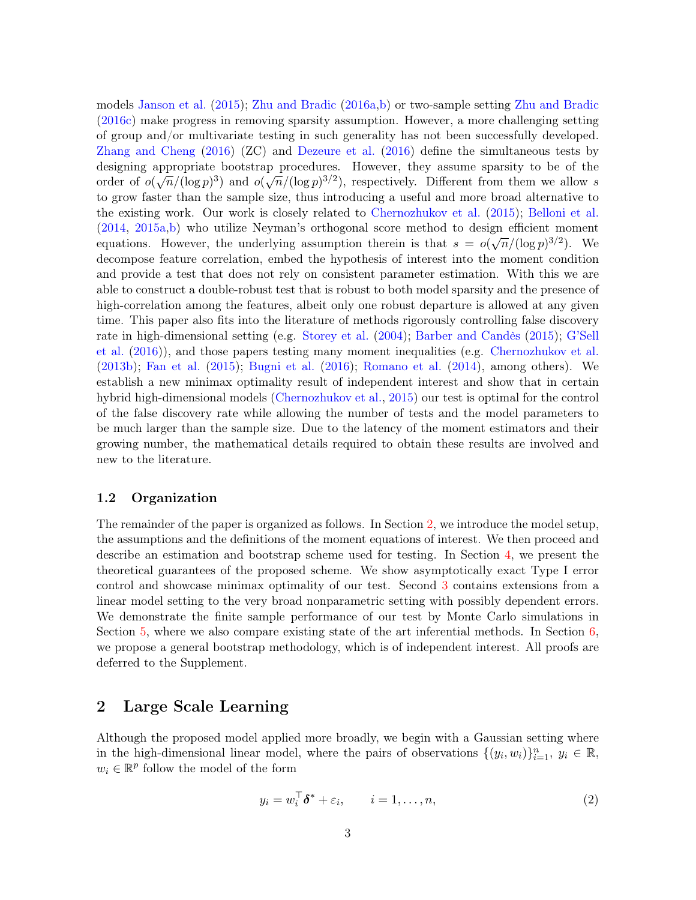models Janson et al. (2015); Zhu and Bradic (2016a,b) or two-sample setting Zhu and Bradic (2016c) make progress in removing sparsity assumption. However, a more challenging setting of group and/or multivariate testing in such generality has not been successfully developed. Zhang and Cheng (2016) (ZC) and Dezeure et al. (2016) define the simultaneous tests by designing appropriate bootstrap procedures. However, they assume sparsity to be of the order of  $o(\sqrt{n}/(\log p)^3)$  and  $o(\sqrt{n}/(\log p)^{3/2})$ , respectively. Different from them we allow s to grow faster than the sample size, thus introducing a useful and more broad alternative to the existing work. Our work is closely related to Chernozhukov et al. (2015); Belloni et al. (2014, 2015a,b) who utilize Neyman's orthogonal score method to design efficient moment equations. However, the underlying assumption therein is that  $s = o(\sqrt{n}/(\log p)^{3/2})$ . We decompose feature correlation, embed the hypothesis of interest into the moment condition and provide a test that does not rely on consistent parameter estimation. With this we are able to construct a double-robust test that is robust to both model sparsity and the presence of high-correlation among the features, albeit only one robust departure is allowed at any given time. This paper also fits into the literature of methods rigorously controlling false discovery rate in high-dimensional setting (e.g. Storey et al. (2004); Barber and Candès (2015); G'Sell et al. (2016)), and those papers testing many moment inequalities (e.g. Chernozhukov et al. (2013b); Fan et al. (2015); Bugni et al. (2016); Romano et al. (2014), among others). We establish a new minimax optimality result of independent interest and show that in certain hybrid high-dimensional models (Chernozhukov et al., 2015) our test is optimal for the control of the false discovery rate while allowing the number of tests and the model parameters to be much larger than the sample size. Due to the latency of the moment estimators and their growing number, the mathematical details required to obtain these results are involved and new to the literature.

#### 1.2 Organization

The remainder of the paper is organized as follows. In Section 2, we introduce the model setup, the assumptions and the definitions of the moment equations of interest. We then proceed and describe an estimation and bootstrap scheme used for testing. In Section 4, we present the theoretical guarantees of the proposed scheme. We show asymptotically exact Type I error control and showcase minimax optimality of our test. Second 3 contains extensions from a linear model setting to the very broad nonparametric setting with possibly dependent errors. We demonstrate the finite sample performance of our test by Monte Carlo simulations in Section 5, where we also compare existing state of the art inferential methods. In Section 6, we propose a general bootstrap methodology, which is of independent interest. All proofs are deferred to the Supplement.

# 2 Large Scale Learning

Although the proposed model applied more broadly, we begin with a Gaussian setting where in the high-dimensional linear model, where the pairs of observations  $\{(y_i, w_i)\}_{i=1}^n$ ,  $y_i \in \mathbb{R}$ ,  $w_i \in \mathbb{R}^p$  follow the model of the form

$$
y_i = w_i^\top \delta^* + \varepsilon_i, \qquad i = 1, \dots, n,
$$
\n<sup>(2)</sup>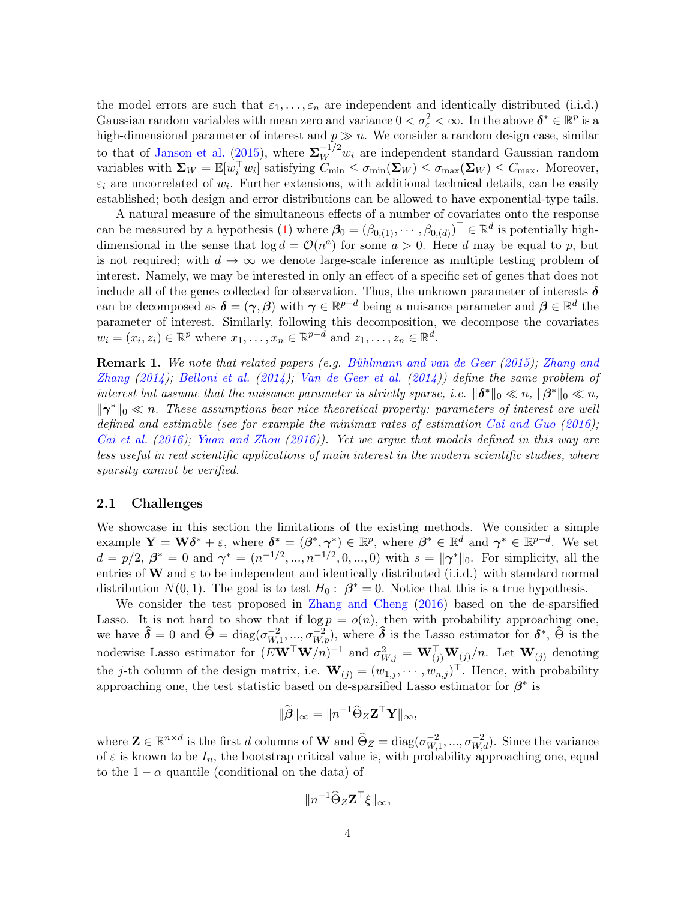the model errors are such that  $\varepsilon_1, \ldots, \varepsilon_n$  are independent and identically distributed (i.i.d.) Gaussian random variables with mean zero and variance  $0 < \sigma_{\varepsilon}^2 < \infty$ . In the above  $\delta^* \in \mathbb{R}^p$  is a high-dimensional parameter of interest and  $p \gg n$ . We consider a random design case, similar to that of Janson et al. (2015), where  $\Sigma_W^{-1/2}$  w<sub>i</sub> are independent standard Gaussian random variables with  $\Sigma_W = \mathbb{E}[w_i^{\top} w_i]$  satisfying  $C_{\min} \leq \sigma_{\min}(\Sigma_W) \leq \sigma_{\max}(\Sigma_W) \leq C_{\max}$ . Moreover,  $\varepsilon_i$  are uncorrelated of  $w_i$ . Further extensions, with additional technical details, can be easily established; both design and error distributions can be allowed to have exponential-type tails.

A natural measure of the simultaneous effects of a number of covariates onto the response can be measured by a hypothesis (1) where  $\beta_0 = (\beta_{0,(1)}, \cdots, \beta_{0,(d)})^{\top} \in \mathbb{R}^d$  is potentially highdimensional in the sense that  $\log d = \mathcal{O}(n^a)$  for some  $a > 0$ . Here d may be equal to p, but is not required; with  $d \to \infty$  we denote large-scale inference as multiple testing problem of interest. Namely, we may be interested in only an effect of a specific set of genes that does not include all of the genes collected for observation. Thus, the unknown parameter of interests  $\delta$ can be decomposed as  $\delta = (\gamma, \beta)$  with  $\gamma \in \mathbb{R}^{p-d}$  being a nuisance parameter and  $\beta \in \mathbb{R}^d$  the parameter of interest. Similarly, following this decomposition, we decompose the covariates  $w_i = (x_i, z_i) \in \mathbb{R}^p$  where  $x_1, \ldots, x_n \in \mathbb{R}^{p-d}$  and  $z_1, \ldots, z_n \in \mathbb{R}^d$ .

Remark 1. We note that related papers (e.g. Bühlmann and van de Geer (2015); Zhang and Zhang  $(2014)$ ; Belloni et al.  $(2014)$ ; Van de Geer et al.  $(2014)$ ) define the same problem of interest but assume that the nuisance parameter is strictly sparse, i.e.  $\|\boldsymbol{\delta}^*\|_0 \ll n$ ,  $\|\boldsymbol{\beta}^*\|_0 \ll n$ ,  $\|\gamma^*\|_0 \ll n$ . These assumptions bear nice theoretical property: parameters of interest are well defined and estimable (see for example the minimax rates of estimation Cai and Guo (2016); Cai et al. (2016); Yuan and Zhou (2016)). Yet we argue that models defined in this way are less useful in real scientific applications of main interest in the modern scientific studies, where sparsity cannot be verified.

#### 2.1 Challenges

We showcase in this section the limitations of the existing methods. We consider a simple example  $\mathbf{Y} = \mathbf{W}\pmb{\delta}^* + \varepsilon$ , where  $\pmb{\delta}^* = (\pmb{\beta}^*, \pmb{\gamma}^*) \in \mathbb{R}^p$ , where  $\pmb{\beta}^* \in \mathbb{R}^d$  and  $\pmb{\gamma}^* \in \mathbb{R}^{p-d}$ . We set  $d = p/2, \ \beta^* = 0 \text{ and } \gamma^* = (n^{-1/2}, ..., n^{-1/2}, 0, ..., 0) \text{ with } s = ||\gamma^*||_0. \text{ For simplicity, all the }$ entries of W and  $\varepsilon$  to be independent and identically distributed (i.i.d.) with standard normal distribution  $N(0, 1)$ . The goal is to test  $H_0: \beta^* = 0$ . Notice that this is a true hypothesis.

We consider the test proposed in Zhang and Cheng (2016) based on the de-sparsified Lasso. It is not hard to show that if  $\log p = o(n)$ , then with probability approaching one, we have  $\hat{\boldsymbol{\delta}} = 0$  and  $\hat{\Theta} = \text{diag}(\sigma_{W,1}^{-2}, ..., \sigma_{W,p}^{-2}),$  where  $\hat{\boldsymbol{\delta}}$  is the Lasso estimator for  $\boldsymbol{\delta}^*, \hat{\Theta}$  is the nodewise Lasso estimator for  $(EW^{\top}W/n)^{-1}$  and  $\sigma_{W,j}^2 = W_{(j)}^{\top}W_{(j)}/n$ . Let  $W_{(j)}$  denoting the *j*-th column of the design matrix, i.e.  $\mathbf{W}_{(j)} = (w_{1,j}, \dots, w_{n,j})^{\top}$ . Hence, with probability approaching one, the test statistic based on de-sparsified Lasso estimator for  $\beta^*$  is

$$
\|\widetilde{\boldsymbol{\beta}}\|_{\infty} = \|n^{-1}\widehat{\Theta}_{Z}\mathbf{Z}^{\top}\mathbf{Y}\|_{\infty},
$$

where  $\mathbf{Z} \in \mathbb{R}^{n \times d}$  is the first d columns of W and  $\widehat{\Theta}_Z = \text{diag}(\sigma_{W,1}^{-2},...,\sigma_{W,d}^{-2})$ . Since the variance of  $\varepsilon$  is known to be  $I_n$ , the bootstrap critical value is, with probability approaching one, equal to the  $1 - \alpha$  quantile (conditional on the data) of

$$
\|n^{-1}\widehat{\Theta}_Z \mathbf{Z}^\top \boldsymbol{\xi} \|_{\infty},
$$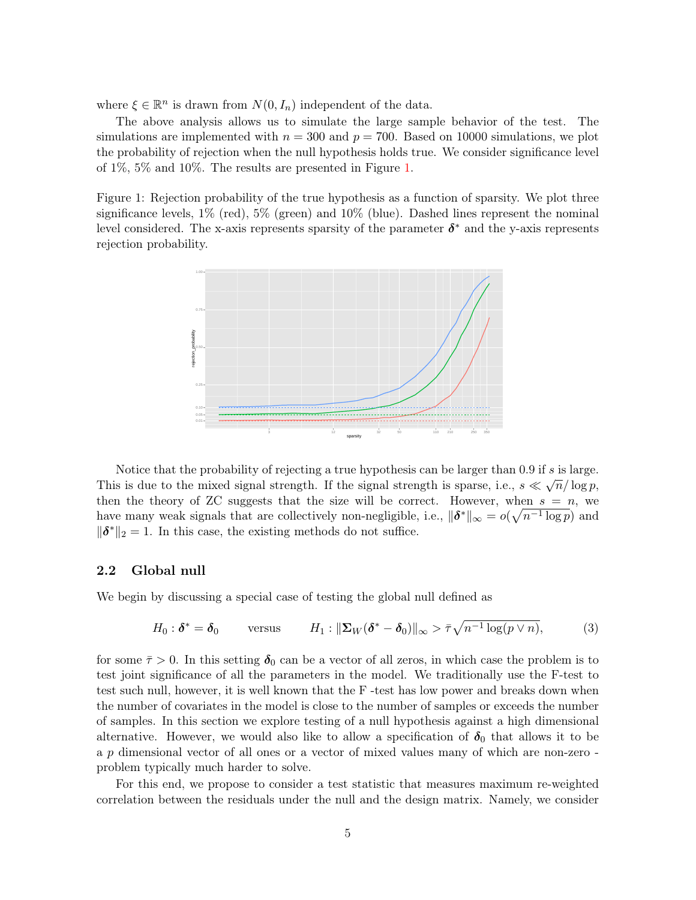where  $\xi \in \mathbb{R}^n$  is drawn from  $N(0, I_n)$  independent of the data.

The above analysis allows us to simulate the large sample behavior of the test. The simulations are implemented with  $n = 300$  and  $p = 700$ . Based on 10000 simulations, we plot the probability of rejection when the null hypothesis holds true. We consider significance level of 1%, 5% and 10%. The results are presented in Figure 1.

Figure 1: Rejection probability of the true hypothesis as a function of sparsity. We plot three significance levels, 1% (red), 5% (green) and 10% (blue). Dashed lines represent the nominal level considered. The x-axis represents sparsity of the parameter  $\delta^*$  and the y-axis represents rejection probability.



Notice that the probability of rejecting a true hypothesis can be larger than 0.9 if s is large. This is due to the mixed signal strength. If the signal strength is sparse, i.e.,  $s \ll \sqrt{n}/\log p$ , then the theory of ZC suggests that the size will be correct. However, when  $s = n$ , we have many weak signals that are collectively non-negligible, i.e.,  $\|\boldsymbol{\delta}^*\|_{\infty} = o(\sqrt{n^{-1} \log p})$  and  $\|\boldsymbol{\delta}^*\|_2 = 1$ . In this case, the existing methods do not suffice.

### 2.2 Global null

We begin by discussing a special case of testing the global null defined as

$$
H_0: \delta^* = \delta_0 \qquad \text{versus} \qquad H_1: \|\Sigma_W(\delta^* - \delta_0)\|_{\infty} > \bar{\tau}\sqrt{n^{-1}\log(p\vee n)}, \tag{3}
$$

for some  $\bar{\tau} > 0$ . In this setting  $\delta_0$  can be a vector of all zeros, in which case the problem is to test joint significance of all the parameters in the model. We traditionally use the F-test to test such null, however, it is well known that the F -test has low power and breaks down when the number of covariates in the model is close to the number of samples or exceeds the number of samples. In this section we explore testing of a null hypothesis against a high dimensional alternative. However, we would also like to allow a specification of  $\delta_0$  that allows it to be a p dimensional vector of all ones or a vector of mixed values many of which are non-zero problem typically much harder to solve.

For this end, we propose to consider a test statistic that measures maximum re-weighted correlation between the residuals under the null and the design matrix. Namely, we consider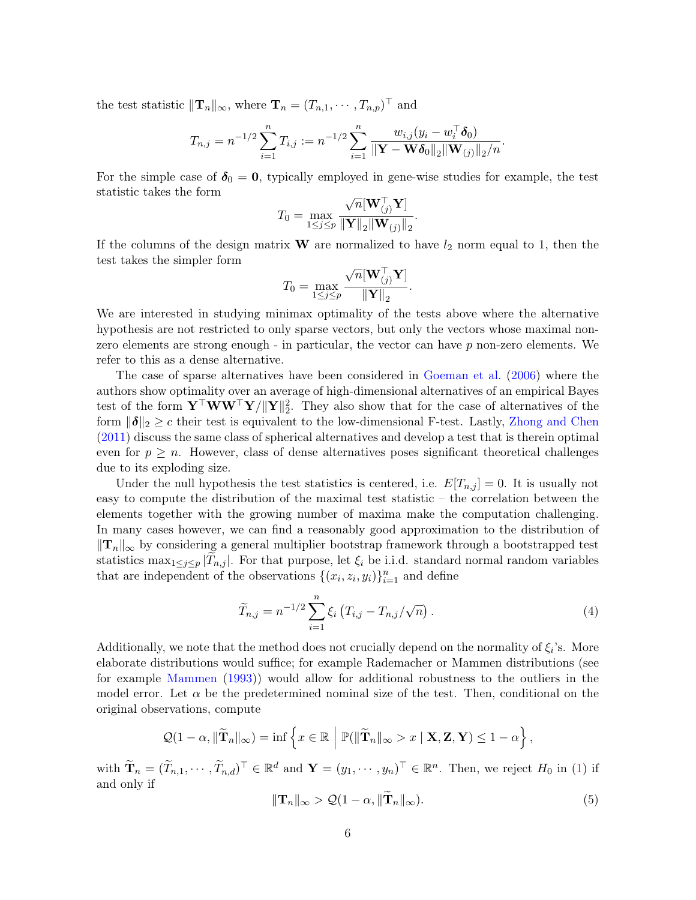the test statistic  $||\mathbf{T}_n||_{\infty}$ , where  $\mathbf{T}_n = (T_{n,1}, \cdots, T_{n,p})^\top$  and

$$
T_{n,j} = n^{-1/2} \sum_{i=1}^n T_{i,j} := n^{-1/2} \sum_{i=1}^n \frac{w_{i,j}(y_i - w_i^{\top} \boldsymbol{\delta}_0)}{\|\mathbf{Y} - \mathbf{W} \boldsymbol{\delta}_0\|_2 \|\mathbf{W}_{(j)}\|_2/n}.
$$

For the simple case of  $\delta_0 = 0$ , typically employed in gene-wise studies for example, the test statistic takes the form

$$
T_0 = \max_{1 \leq j \leq p} \frac{\sqrt{n}[\mathbf{W}_{(j)}^\top \mathbf{Y}]}{\|\mathbf{Y}\|_2 \|\mathbf{W}_{(j)}\|_2}.
$$

If the columns of the design matrix  $\bf{W}$  are normalized to have  $l_2$  norm equal to 1, then the test takes the simpler form

$$
T_0 = \max_{1 \le j \le p} \frac{\sqrt{n}[\mathbf{W}_{(j)}^{\top} \mathbf{Y}]}{\|\mathbf{Y}\|_2}.
$$

We are interested in studying minimax optimality of the tests above where the alternative hypothesis are not restricted to only sparse vectors, but only the vectors whose maximal nonzero elements are strong enough - in particular, the vector can have p non-zero elements. We refer to this as a dense alternative.

The case of sparse alternatives have been considered in Goeman et al. (2006) where the authors show optimality over an average of high-dimensional alternatives of an empirical Bayes test of the form  $\mathbf{Y}^\top \mathbf{W} \mathbf{W}^\top \mathbf{Y} / \|\mathbf{Y}\|_2^2$ . They also show that for the case of alternatives of the form  $\|\boldsymbol{\delta}\|_2 \geq c$  their test is equivalent to the low-dimensional F-test. Lastly, Zhong and Chen (2011) discuss the same class of spherical alternatives and develop a test that is therein optimal even for  $p \geq n$ . However, class of dense alternatives poses significant theoretical challenges due to its exploding size.

Under the null hypothesis the test statistics is centered, i.e.  $E[T_{n,j}] = 0$ . It is usually not easy to compute the distribution of the maximal test statistic – the correlation between the elements together with the growing number of maxima make the computation challenging. In many cases however, we can find a reasonably good approximation to the distribution of  $||T_n||_{\infty}$  by considering a general multiplier bootstrap framework through a bootstrapped test statistics max<sub>1≤j≤p</sub> |T<sub>n,j</sub> |. For that purpose, let  $\xi_i$  be i.i.d. standard normal random variables that are independent of the observations  $\{(x_i, z_i, y_i)\}_{i=1}^n$  and define

$$
\widetilde{T}_{n,j} = n^{-1/2} \sum_{i=1}^{n} \xi_i \left( T_{i,j} - T_{n,j} / \sqrt{n} \right). \tag{4}
$$

Additionally, we note that the method does not crucially depend on the normality of  $\xi_i$ 's. More elaborate distributions would suffice; for example Rademacher or Mammen distributions (see for example Mammen (1993)) would allow for additional robustness to the outliers in the model error. Let  $\alpha$  be the predetermined nominal size of the test. Then, conditional on the original observations, compute

$$
\mathcal{Q}(1-\alpha, \|\widetilde{\mathbf{T}}_n\|_{\infty}) = \inf \left\{ x \in \mathbb{R} \middle| \mathbb{P}(\|\widetilde{\mathbf{T}}_n\|_{\infty} > x \mid \mathbf{X}, \mathbf{Z}, \mathbf{Y}) \leq 1-\alpha \right\},\
$$

with  $\widetilde{\mathbf{T}}_n = (\widetilde{T}_{n,1}, \cdots, \widetilde{T}_{n,d})^\top \in \mathbb{R}^d$  and  $\mathbf{Y} = (y_1, \cdots, y_n)^\top \in \mathbb{R}^n$ . Then, we reject  $H_0$  in (1) if and only if

$$
\|\mathbf{T}_n\|_{\infty} > \mathcal{Q}(1-\alpha, \|\mathbf{T}_n\|_{\infty}).
$$
\n(5)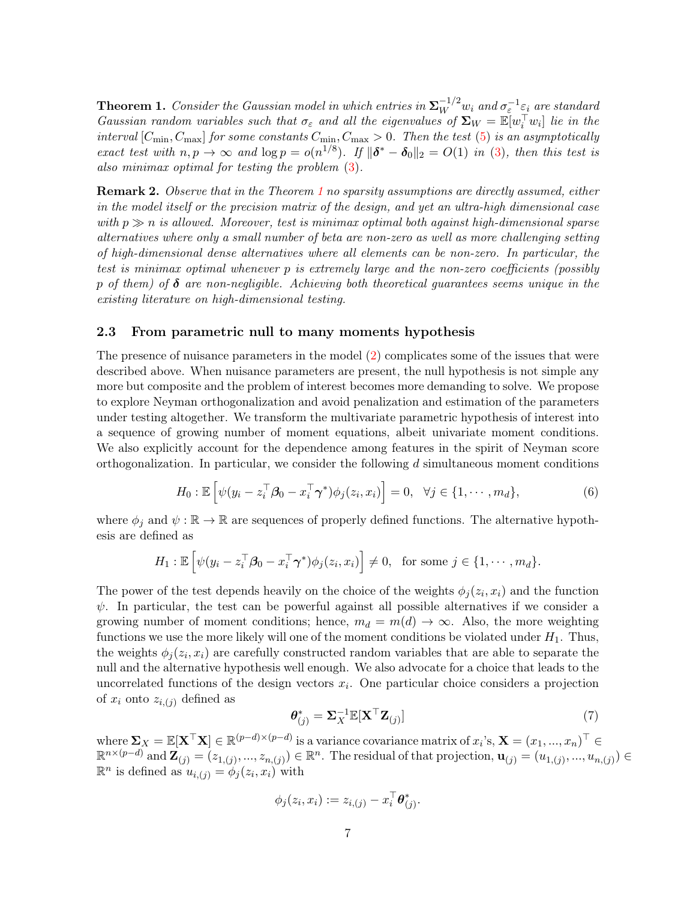**Theorem 1.** Consider the Gaussian model in which entries in  $\Sigma_W^{-1/2}$   $w_i$  and  $\sigma_{\varepsilon}^{-1}$  $\varepsilon_i$  are standard Gaussian random variables such that  $\sigma_{\varepsilon}$  and all the eigenvalues of  $\Sigma_W = \mathbb{E}[w_i^{\dagger} w_i]$  lie in the interval  $[C_{\min}, C_{\max}]$  for some constants  $C_{\min}, C_{\max} > 0$ . Then the test (5) is an asymptotically exact test with  $n, p \to \infty$  and  $\log p = o(n^{1/8})$ . If  $\|\boldsymbol{\delta}^* - \boldsymbol{\delta}_0\|_2 = O(1)$  in (3), then this test is also minimax optimal for testing the problem (3).

Remark 2. Observe that in the Theorem 1 no sparsity assumptions are directly assumed, either in the model itself or the precision matrix of the design, and yet an ultra-high dimensional case with  $p \gg n$  is allowed. Moreover, test is minimax optimal both against high-dimensional sparse alternatives where only a small number of beta are non-zero as well as more challenging setting of high-dimensional dense alternatives where all elements can be non-zero. In particular, the test is minimax optimal whenever p is extremely large and the non-zero coefficients (possibly p of them) of  $\delta$  are non-negligible. Achieving both theoretical guarantees seems unique in the existing literature on high-dimensional testing.

### 2.3 From parametric null to many moments hypothesis

The presence of nuisance parameters in the model (2) complicates some of the issues that were described above. When nuisance parameters are present, the null hypothesis is not simple any more but composite and the problem of interest becomes more demanding to solve. We propose to explore Neyman orthogonalization and avoid penalization and estimation of the parameters under testing altogether. We transform the multivariate parametric hypothesis of interest into a sequence of growing number of moment equations, albeit univariate moment conditions. We also explicitly account for the dependence among features in the spirit of Neyman score orthogonalization. In particular, we consider the following  $d$  simultaneous moment conditions

$$
H_0: \mathbb{E}\left[\psi(y_i - z_i^\top \boldsymbol{\beta}_0 - x_i^\top \boldsymbol{\gamma}^*)\phi_j(z_i, x_i)\right] = 0, \quad \forall j \in \{1, \cdots, m_d\},\tag{6}
$$

where  $\phi_i$  and  $\psi : \mathbb{R} \to \mathbb{R}$  are sequences of properly defined functions. The alternative hypothesis are defined as

$$
H_1: \mathbb{E}\left[\psi(y_i - z_i^\top \boldsymbol{\beta}_0 - x_i^\top \boldsymbol{\gamma}^*)\phi_j(z_i, x_i)\right] \neq 0, \text{ for some } j \in \{1, \cdots, m_d\}.
$$

The power of the test depends heavily on the choice of the weights  $\phi_j(z_i, x_i)$  and the function  $\psi$ . In particular, the test can be powerful against all possible alternatives if we consider a growing number of moment conditions; hence,  $m_d = m(d) \rightarrow \infty$ . Also, the more weighting functions we use the more likely will one of the moment conditions be violated under  $H_1$ . Thus, the weights  $\phi_j(z_i, x_i)$  are carefully constructed random variables that are able to separate the null and the alternative hypothesis well enough. We also advocate for a choice that leads to the uncorrelated functions of the design vectors  $x_i$ . One particular choice considers a projection of  $x_i$  onto  $z_{i,(j)}$  defined as

$$
\boldsymbol{\theta}_{(j)}^* = \boldsymbol{\Sigma}_X^{-1} \mathbb{E}[\mathbf{X}^\top \mathbf{Z}_{(j)}] \tag{7}
$$

where  $\sum_{X} = \mathbb{E}[\mathbf{X}^{\top}\mathbf{X}] \in \mathbb{R}^{(p-d)\times (p-d)}$  is a variance covariance matrix of  $x_i$ 's,  $\mathbf{X} = (x_1, ..., x_n)^\top \in$  $\mathbb{R}^{n \times (p-d)}$  and  $\mathbf{Z}_{(j)} = (z_{1,(j)},...,z_{n,(j)}) \in \mathbb{R}^n$ . The residual of that projection,  $\mathbf{u}_{(j)} = (u_{1,(j)},...,u_{n,(j)}) \in$  $\mathbb{R}^n$  is defined as  $u_{i,(j)} = \phi_j(z_i, x_i)$  with

$$
\phi_j(z_i,x_i):=z_{i,(j)}-x_i^\top \boldsymbol{\theta}^*_{(j)}.
$$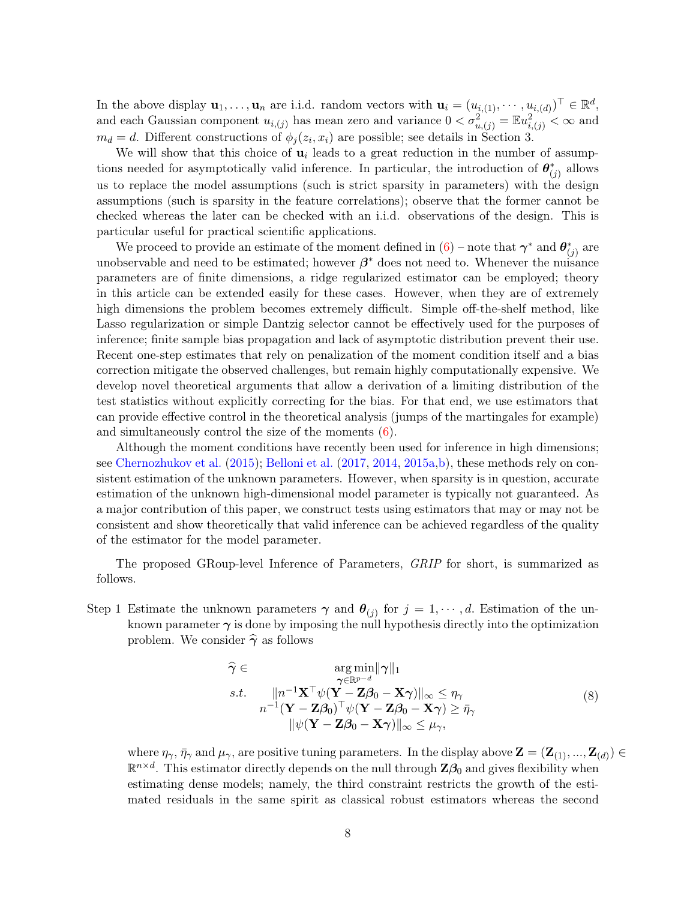In the above display  $\mathbf{u}_1, \ldots, \mathbf{u}_n$  are i.i.d. random vectors with  $\mathbf{u}_i = (u_{i,(1)}, \cdots, u_{i,(d)})^\top \in \mathbb{R}^d$ , and each Gaussian component  $u_{i,(j)}$  has mean zero and variance  $0 < \sigma_{u,(j)}^2 = \mathbb{E} u_{i,(j)}^2 < \infty$  and  $m_d = d$ . Different constructions of  $\phi_j(z_i, x_i)$  are possible; see details in Section 3.

We will show that this choice of  $\mathbf{u}_i$  leads to a great reduction in the number of assumptions needed for asymptotically valid inference. In particular, the introduction of  $\theta^*_{(j)}$  allows us to replace the model assumptions (such is strict sparsity in parameters) with the design assumptions (such is sparsity in the feature correlations); observe that the former cannot be checked whereas the later can be checked with an i.i.d. observations of the design. This is particular useful for practical scientific applications.

We proceed to provide an estimate of the moment defined in  $(6)$  – note that  $\boldsymbol{\gamma}^*$  and  $\boldsymbol{\theta}^*_{(j)}$  are unobservable and need to be estimated; however  $\beta^*$  does not need to. Whenever the nuisance parameters are of finite dimensions, a ridge regularized estimator can be employed; theory in this article can be extended easily for these cases. However, when they are of extremely high dimensions the problem becomes extremely difficult. Simple off-the-shelf method, like Lasso regularization or simple Dantzig selector cannot be effectively used for the purposes of inference; finite sample bias propagation and lack of asymptotic distribution prevent their use. Recent one-step estimates that rely on penalization of the moment condition itself and a bias correction mitigate the observed challenges, but remain highly computationally expensive. We develop novel theoretical arguments that allow a derivation of a limiting distribution of the test statistics without explicitly correcting for the bias. For that end, we use estimators that can provide effective control in the theoretical analysis (jumps of the martingales for example) and simultaneously control the size of the moments  $(6)$ .

Although the moment conditions have recently been used for inference in high dimensions; see Chernozhukov et al. (2015); Belloni et al. (2017, 2014, 2015a,b), these methods rely on consistent estimation of the unknown parameters. However, when sparsity is in question, accurate estimation of the unknown high-dimensional model parameter is typically not guaranteed. As a major contribution of this paper, we construct tests using estimators that may or may not be consistent and show theoretically that valid inference can be achieved regardless of the quality of the estimator for the model parameter.

The proposed GRoup-level Inference of Parameters, GRIP for short, is summarized as follows.

Step 1 Estimate the unknown parameters  $\gamma$  and  $\theta_{(j)}$  for  $j = 1, \dots, d$ . Estimation of the unknown parameter  $\gamma$  is done by imposing the null hypothesis directly into the optimization problem. We consider  $\hat{\gamma}$  as follows

$$
\widehat{\gamma} \in \argmin_{\gamma \in \mathbb{R}^{p-d}} ||\gamma||_1
$$
\n*s.t.*\n
$$
||n^{-1}\mathbf{X}^\top \psi(\mathbf{Y} - \mathbf{Z}\beta_0 - \mathbf{X}\gamma)||_{\infty} \leq \eta_{\gamma}
$$
\n
$$
n^{-1}(\mathbf{Y} - \mathbf{Z}\beta_0)^\top \psi(\mathbf{Y} - \mathbf{Z}\beta_0 - \mathbf{X}\gamma) \geq \bar{\eta}_{\gamma}
$$
\n
$$
||\psi(\mathbf{Y} - \mathbf{Z}\beta_0 - \mathbf{X}\gamma)||_{\infty} \leq \mu_{\gamma},
$$
\n(8)

where  $\eta_{\gamma}$ ,  $\bar{\eta}_{\gamma}$  and  $\mu_{\gamma}$ , are positive tuning parameters. In the display above  $\mathbf{Z} = (\mathbf{Z}_{(1)},...,\mathbf{Z}_{(d)}) \in$  $\mathbb{R}^{n \times d}$ . This estimator directly depends on the null through  $\mathbf{Z}\beta_0$  and gives flexibility when estimating dense models; namely, the third constraint restricts the growth of the estimated residuals in the same spirit as classical robust estimators whereas the second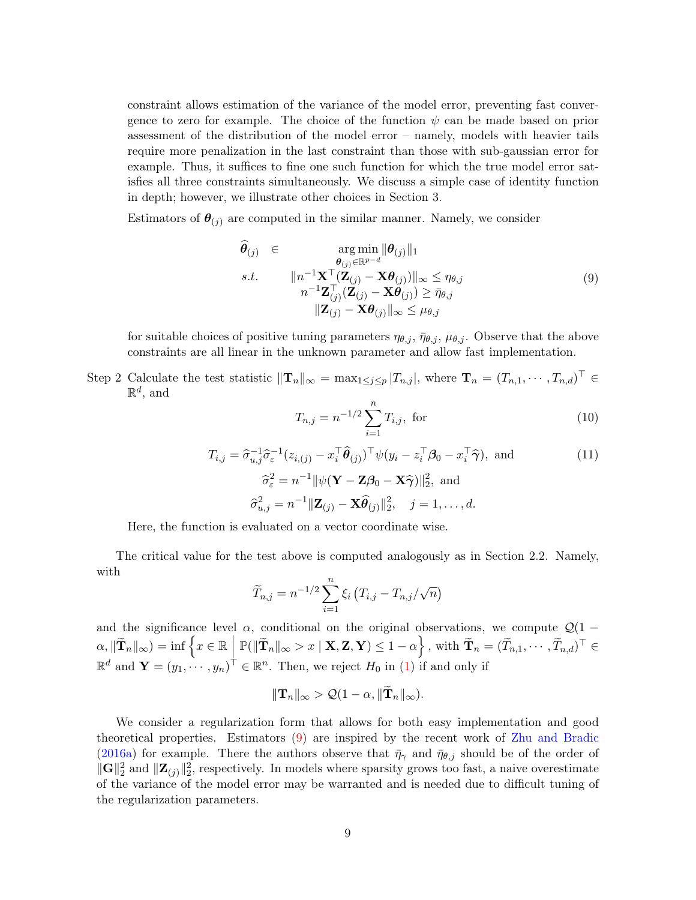constraint allows estimation of the variance of the model error, preventing fast convergence to zero for example. The choice of the function  $\psi$  can be made based on prior assessment of the distribution of the model error – namely, models with heavier tails require more penalization in the last constraint than those with sub-gaussian error for example. Thus, it suffices to fine one such function for which the true model error satisfies all three constraints simultaneously. We discuss a simple case of identity function in depth; however, we illustrate other choices in Section 3.

Estimators of  $\theta_{(j)}$  are computed in the similar manner. Namely, we consider

$$
\theta_{(j)} \in \underset{n^{-1}\mathbf{Z}_{(j)}^{-}(\mathbf{Z}_{(j)} - \mathbf{X}\boldsymbol{\theta}_{(j)})||_{\infty}}{\arg \min ||\boldsymbol{\theta}_{(j)}||_{1}}
$$
\ns.t. 
$$
||n^{-1}\mathbf{X}^{\top}(\mathbf{Z}_{(j)} - \mathbf{X}\boldsymbol{\theta}_{(j)})||_{\infty} \leq \eta_{\theta,j}
$$
\n
$$
n^{-1}\mathbf{Z}_{(j)}^{\top}(\mathbf{Z}_{(j)} - \mathbf{X}\boldsymbol{\theta}_{(j)}) \geq \bar{\eta}_{\theta,j}
$$
\n
$$
||\mathbf{Z}_{(j)} - \mathbf{X}\boldsymbol{\theta}_{(j)}||_{\infty} \leq \mu_{\theta,j}
$$
\n(9)

for suitable choices of positive tuning parameters  $\eta_{\theta,j}, \bar{\eta}_{\theta,j}, \mu_{\theta,j}$ . Observe that the above constraints are all linear in the unknown parameter and allow fast implementation.

Step 2 Calculate the test statistic  $\|\mathbf{T}_n\|_{\infty} = \max_{1 \leq j \leq p} |T_{n,j}|$ , where  $\mathbf{T}_n = (T_{n,1}, \dots, T_{n,d})^{\top} \in$  $\mathbb{R}^d$ , and

$$
T_{n,j} = n^{-1/2} \sum_{i=1}^{n} T_{i,j}, \text{ for } (10)
$$

$$
T_{i,j} = \hat{\sigma}_{u,j}^{-1} \hat{\sigma}_{\varepsilon}^{-1} (z_{i,(j)} - x_i^{\top} \hat{\boldsymbol{\theta}}_{(j)})^{\top} \psi(y_i - z_i^{\top} \boldsymbol{\beta}_0 - x_i^{\top} \hat{\boldsymbol{\gamma}}), \text{ and}
$$
  
\n
$$
\hat{\sigma}_{\varepsilon}^2 = n^{-1} ||\psi(\mathbf{Y} - \mathbf{Z}\boldsymbol{\beta}_0 - \mathbf{X}\hat{\boldsymbol{\gamma}})||_2^2, \text{ and}
$$
  
\n
$$
\hat{\sigma}_{u,j}^2 = n^{-1} ||\mathbf{Z}_{(j)} - \mathbf{X}\hat{\boldsymbol{\theta}}_{(j)}||_2^2, \quad j = 1, ..., d.
$$
\n(11)

Here, the function is evaluated on a vector coordinate wise.

The critical value for the test above is computed analogously as in Section 2.2. Namely, with

$$
\widetilde{T}_{n,j} = n^{-1/2} \sum_{i=1}^{n} \xi_i (T_{i,j} - T_{n,j}/\sqrt{n})
$$

and the significance level  $\alpha$ , conditional on the original observations, we compute  $\mathcal{Q}(1 \alpha, \|\widetilde{\mathbf{T}}_n\|_{\infty}$  = inf  $\Big\{x \in \mathbb{R} \Big| \mathbb{P}(\|\widetilde{\mathbf{T}}_n\|_{\infty} > x \mid \mathbf{X}, \mathbf{Z}, \mathbf{Y}) \leq 1 - \alpha \Big\}$ , with  $\widetilde{\mathbf{T}}_n = (\widetilde{T}_{n,1}, \cdots, \widetilde{T}_{n,d})^{\top} \in$  $\mathbb{R}^d$  and  $\mathbf{Y} = (y_1, \dots, y_n)^\top \in \mathbb{R}^n$ . Then, we reject  $H_0$  in (1) if and only if

$$
\|\mathbf{T}_n\|_{\infty} > \mathcal{Q}(1-\alpha, \|\mathbf{T}_n\|_{\infty}).
$$

We consider a regularization form that allows for both easy implementation and good theoretical properties. Estimators (9) are inspired by the recent work of Zhu and Bradic (2016a) for example. There the authors observe that  $\bar{\eta}_{\gamma}$  and  $\bar{\eta}_{\theta,j}$  should be of the order of  $\|\mathbf{G}\|_2^2$  and  $\|\mathbf{Z}_{(j)}\|_2^2$ , respectively. In models where sparsity grows too fast, a naive overestimate of the variance of the model error may be warranted and is needed due to difficult tuning of the regularization parameters.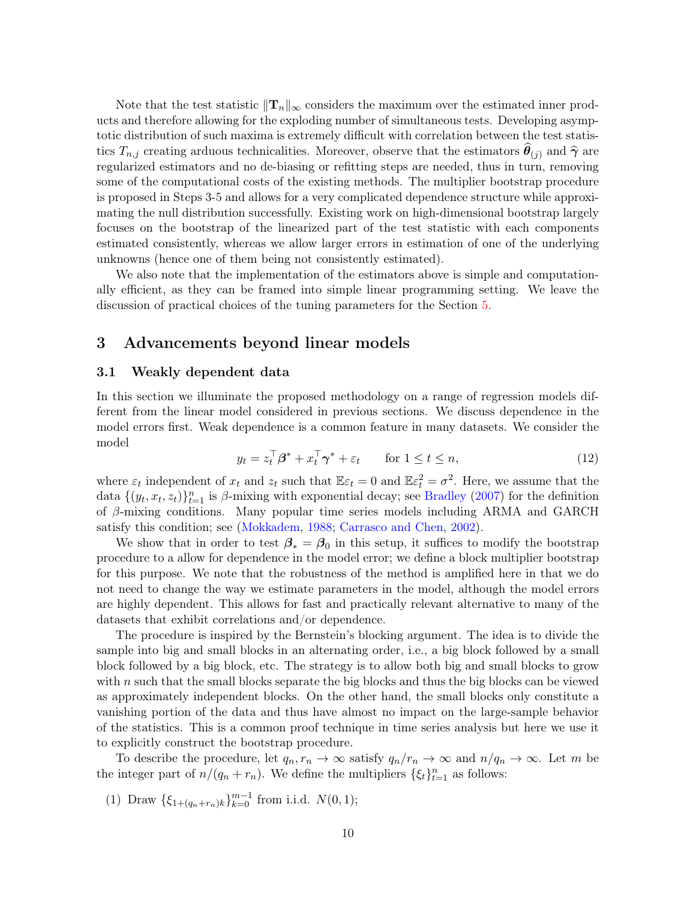Note that the test statistic  $\|\mathbf{T}_n\|_{\infty}$  considers the maximum over the estimated inner products and therefore allowing for the exploding number of simultaneous tests. Developing asymptotic distribution of such maxima is extremely difficult with correlation between the test statistics  $T_{n,j}$  creating arduous technicalities. Moreover, observe that the estimators  $\theta_{(j)}$  and  $\hat{\gamma}$  are regularized estimators and no de-biasing or refitting steps are needed, thus in turn, removing some of the computational costs of the existing methods. The multiplier bootstrap procedure is proposed in Steps 3-5 and allows for a very complicated dependence structure while approximating the null distribution successfully. Existing work on high-dimensional bootstrap largely focuses on the bootstrap of the linearized part of the test statistic with each components estimated consistently, whereas we allow larger errors in estimation of one of the underlying unknowns (hence one of them being not consistently estimated).

We also note that the implementation of the estimators above is simple and computationally efficient, as they can be framed into simple linear programming setting. We leave the discussion of practical choices of the tuning parameters for the Section 5.

# 3 Advancements beyond linear models

#### 3.1 Weakly dependent data

In this section we illuminate the proposed methodology on a range of regression models different from the linear model considered in previous sections. We discuss dependence in the model errors first. Weak dependence is a common feature in many datasets. We consider the model

$$
y_t = z_t^\top \beta^* + x_t^\top \gamma^* + \varepsilon_t \qquad \text{for } 1 \le t \le n,
$$
\n
$$
(12)
$$

where  $\varepsilon_t$  independent of  $x_t$  and  $z_t$  such that  $\mathbb{E}\varepsilon_t = 0$  and  $\mathbb{E}\varepsilon_t^2 = \sigma^2$ . Here, we assume that the data  $\{(y_t, x_t, z_t)\}_{t=1}^n$  is  $\beta$ -mixing with exponential decay; see Bradley (2007) for the definition of β-mixing conditions. Many popular time series models including ARMA and GARCH satisfy this condition; see (Mokkadem, 1988; Carrasco and Chen, 2002).

We show that in order to test  $\beta_* = \beta_0$  in this setup, it suffices to modify the bootstrap procedure to a allow for dependence in the model error; we define a block multiplier bootstrap for this purpose. We note that the robustness of the method is amplified here in that we do not need to change the way we estimate parameters in the model, although the model errors are highly dependent. This allows for fast and practically relevant alternative to many of the datasets that exhibit correlations and/or dependence.

The procedure is inspired by the Bernstein's blocking argument. The idea is to divide the sample into big and small blocks in an alternating order, i.e., a big block followed by a small block followed by a big block, etc. The strategy is to allow both big and small blocks to grow with  $n$  such that the small blocks separate the big blocks and thus the big blocks can be viewed as approximately independent blocks. On the other hand, the small blocks only constitute a vanishing portion of the data and thus have almost no impact on the large-sample behavior of the statistics. This is a common proof technique in time series analysis but here we use it to explicitly construct the bootstrap procedure.

To describe the procedure, let  $q_n, r_n \to \infty$  satisfy  $q_n/r_n \to \infty$  and  $n/q_n \to \infty$ . Let m be the integer part of  $n/(q_n + r_n)$ . We define the multipliers  $\{\xi_t\}_{t=1}^n$  as follows:

(1) Draw  $\{\xi_{1+(q_n+r_n)k}\}_{k=0}^{m-1}$  from i.i.d.  $N(0, 1)$ ;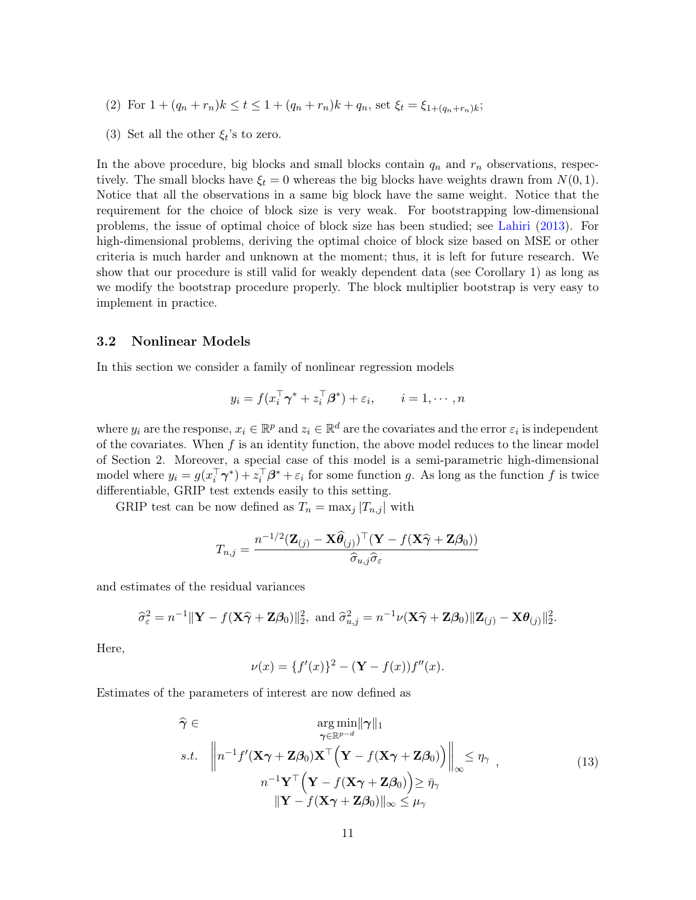- (2) For  $1 + (q_n + r_n)k \le t \le 1 + (q_n + r_n)k + q_n$ , set  $\xi_t = \xi_{1+(q_n+r_n)k}$ ;
- (3) Set all the other  $\xi_t$ 's to zero.

In the above procedure, big blocks and small blocks contain  $q_n$  and  $r_n$  observations, respectively. The small blocks have  $\xi_t = 0$  whereas the big blocks have weights drawn from  $N(0, 1)$ . Notice that all the observations in a same big block have the same weight. Notice that the requirement for the choice of block size is very weak. For bootstrapping low-dimensional problems, the issue of optimal choice of block size has been studied; see Lahiri (2013). For high-dimensional problems, deriving the optimal choice of block size based on MSE or other criteria is much harder and unknown at the moment; thus, it is left for future research. We show that our procedure is still valid for weakly dependent data (see Corollary 1) as long as we modify the bootstrap procedure properly. The block multiplier bootstrap is very easy to implement in practice.

### 3.2 Nonlinear Models

In this section we consider a family of nonlinear regression models

$$
y_i = f(x_i^{\top} \boldsymbol{\gamma}^* + z_i^{\top} \boldsymbol{\beta}^*) + \varepsilon_i, \qquad i = 1, \cdots, n
$$

where  $y_i$  are the response,  $x_i \in \mathbb{R}^p$  and  $z_i \in \mathbb{R}^d$  are the covariates and the error  $\varepsilon_i$  is independent of the covariates. When  $f$  is an identity function, the above model reduces to the linear model of Section 2. Moreover, a special case of this model is a semi-parametric high-dimensional model where  $y_i = g(x_i^{\dagger} \gamma^*) + z_i^{\dagger} \beta^* + \varepsilon_i$  for some function g. As long as the function f is twice differentiable, GRIP test extends easily to this setting.

GRIP test can be now defined as  $T_n = \max_j |T_{n,j}|$  with

$$
T_{n,j} = \frac{n^{-1/2}(\mathbf{Z}_{(j)} - \mathbf{X}\widehat{\boldsymbol{\theta}}_{(j)})^{\top}(\mathbf{Y} - f(\mathbf{X}\widehat{\boldsymbol{\gamma}} + \mathbf{Z}\boldsymbol{\beta}_0))}{\widehat{\sigma}_{u,j}\widehat{\sigma}_{\varepsilon}}
$$

and estimates of the residual variances

$$
\widehat{\sigma}_{\varepsilon}^2 = n^{-1} \|\mathbf{Y} - f(\mathbf{X}\widehat{\boldsymbol{\gamma}} + \mathbf{Z}\boldsymbol{\beta}_0)\|_2^2, \text{ and } \widehat{\sigma}_{u,j}^2 = n^{-1}\nu(\mathbf{X}\widehat{\boldsymbol{\gamma}} + \mathbf{Z}\boldsymbol{\beta}_0)\|\mathbf{Z}_{(j)} - \mathbf{X}\boldsymbol{\theta}_{(j)}\|_2^2.
$$

Here,

$$
\nu(x) = \{f'(x)\}^2 - (\mathbf{Y} - f(x))f''(x).
$$

Estimates of the parameters of interest are now defined as

$$
\widehat{\gamma} \in \underset{\gamma \in \mathbb{R}^{p-d}}{\arg \min} ||\gamma||_1
$$
\n
$$
s.t. \quad \left\| n^{-1} f'(\mathbf{X}\gamma + \mathbf{Z}\beta_0) \mathbf{X}^\top \Big(\mathbf{Y} - f(\mathbf{X}\gamma + \mathbf{Z}\beta_0) \Big) \right\|_{\infty} \le \eta_\gamma,
$$
\n
$$
n^{-1} \mathbf{Y}^\top \Big(\mathbf{Y} - f(\mathbf{X}\gamma + \mathbf{Z}\beta_0) \Big) \ge \bar{\eta}_\gamma
$$
\n
$$
||\mathbf{Y} - f(\mathbf{X}\gamma + \mathbf{Z}\beta_0) ||_{\infty} \le \mu_\gamma
$$
\n(13)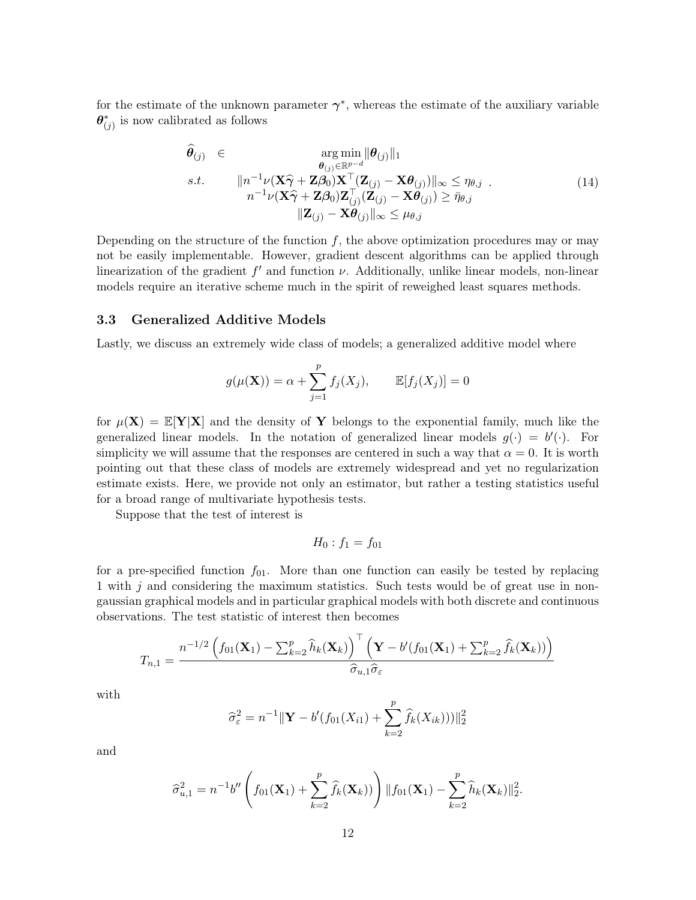for the estimate of the unknown parameter  $\gamma^*$ , whereas the estimate of the auxiliary variable  $\boldsymbol{\theta}^*_{(j)}$  is now calibrated as follows

$$
\widehat{\boldsymbol{\theta}}_{(j)} \in \underset{n^{-1}\nu(\mathbf{X}\widehat{\boldsymbol{\gamma}} + \mathbf{Z}\boldsymbol{\beta}_0)\mathbf{X}^{\top}(\mathbf{Z}_{(j)} - \mathbf{X}\boldsymbol{\theta}_{(j)})||_{\infty} \leq \eta_{\theta,j}}{\arg \min_{\boldsymbol{\theta}_{(j)} \in \mathbb{R}^{p-d}} |\boldsymbol{\theta}_{(j)}||_{1}} \ns.t. \qquad ||n^{-1}\nu(\mathbf{X}\widehat{\boldsymbol{\gamma}} + \mathbf{Z}\boldsymbol{\beta}_0)\mathbf{X}^{\top}(\mathbf{Z}_{(j)} - \mathbf{X}\boldsymbol{\theta}_{(j)})||_{\infty} \leq \eta_{\theta,j} ||\mathbf{Z}_{(j)} - \mathbf{X}\boldsymbol{\theta}_{(j)}||_{\infty} \leq \mu_{\theta,j}
$$
\n(14)

Depending on the structure of the function  $f$ , the above optimization procedures may or may not be easily implementable. However, gradient descent algorithms can be applied through linearization of the gradient  $f'$  and function  $\nu$ . Additionally, unlike linear models, non-linear models require an iterative scheme much in the spirit of reweighed least squares methods.

### 3.3 Generalized Additive Models

Lastly, we discuss an extremely wide class of models; a generalized additive model where

$$
g(\mu(\mathbf{X})) = \alpha + \sum_{j=1}^{p} f_j(X_j), \qquad \mathbb{E}[f_j(X_j)] = 0
$$

for  $\mu(\mathbf{X}) = \mathbb{E}[\mathbf{Y}|\mathbf{X}]$  and the density of Y belongs to the exponential family, much like the generalized linear models. In the notation of generalized linear models  $g(\cdot) = b'(\cdot)$ . For simplicity we will assume that the responses are centered in such a way that  $\alpha = 0$ . It is worth pointing out that these class of models are extremely widespread and yet no regularization estimate exists. Here, we provide not only an estimator, but rather a testing statistics useful for a broad range of multivariate hypothesis tests.

Suppose that the test of interest is

$$
H_0: f_1=f_{01}
$$

for a pre-specified function  $f_{01}$ . More than one function can easily be tested by replacing 1 with j and considering the maximum statistics. Such tests would be of great use in nongaussian graphical models and in particular graphical models with both discrete and continuous observations. The test statistic of interest then becomes

$$
T_{n,1} = \frac{n^{-1/2} \left( f_{01}(\mathbf{X}_1) - \sum_{k=2}^p \widehat{h}_k(\mathbf{X}_k) \right)^{\top} \left( \mathbf{Y} - b'(f_{01}(\mathbf{X}_1) + \sum_{k=2}^p \widehat{f}_k(\mathbf{X}_k)) \right)}{\widehat{\sigma}_{u,1} \widehat{\sigma}_{\varepsilon}}
$$

with

$$
\hat{\sigma}_{\varepsilon}^{2} = n^{-1} \|\mathbf{Y} - b'(f_{01}(X_{i1}) + \sum_{k=2}^{p} \hat{f}_{k}(X_{ik}))\|_{2}^{2}
$$

and

$$
\widehat{\sigma}_{u,1}^2 = n^{-1}b'' \left( f_{01}(\mathbf{X}_1) + \sum_{k=2}^p \widehat{f}_k(\mathbf{X}_k) ) \right) || f_{01}(\mathbf{X}_1) - \sum_{k=2}^p \widehat{h}_k(\mathbf{X}_k) ||_2^2.
$$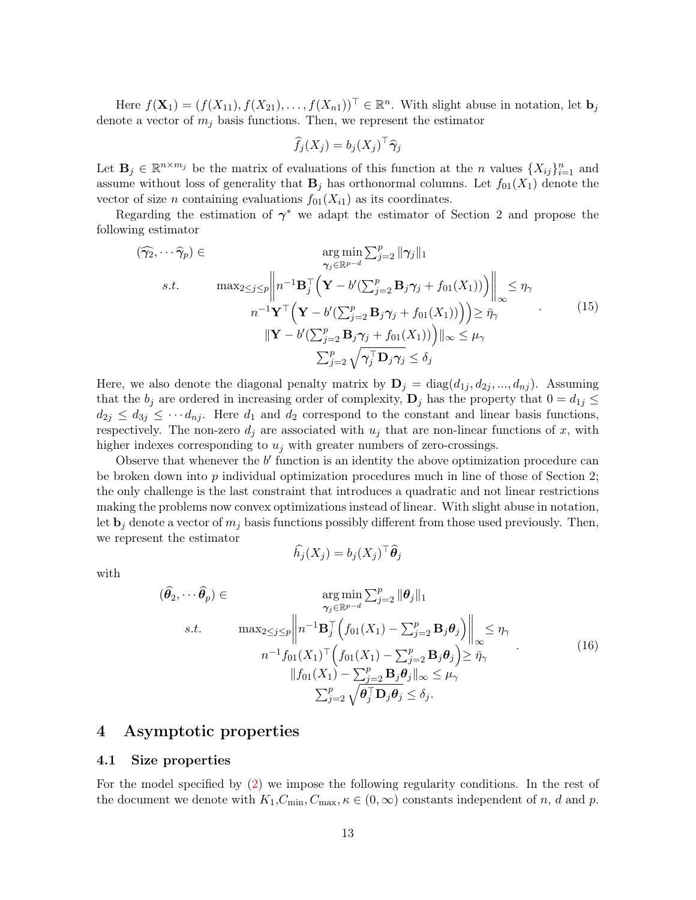Here  $f(\mathbf{X}_1) = (f(X_{11}), f(X_{21}), \dots, f(X_{n1}))^\top \in \mathbb{R}^n$ . With slight abuse in notation, let  $\mathbf{b}_j$ denote a vector of  $m_j$  basis functions. Then, we represent the estimator

$$
\widehat{f}_j(X_j) = b_j(X_j)^\top \widehat{\boldsymbol{\gamma}}_j
$$

Let  $\mathbf{B}_j \in \mathbb{R}^{n \times m_j}$  be the matrix of evaluations of this function at the *n* values  $\{X_{ij}\}_{i=1}^n$  and assume without loss of generality that  $\mathbf{B}_i$  has orthonormal columns. Let  $f_{01}(X_1)$  denote the vector of size *n* containing evaluations  $f_{01}(X_{i1})$  as its coordinates.

Regarding the estimation of  $\gamma^*$  we adapt the estimator of Section 2 and propose the following estimator

$$
(\widehat{\gamma}_{2}, \cdots, \widehat{\gamma}_{p}) \in \argmin_{\gamma_{j} \in \mathbb{R}^{p-d}} \sum_{j=2}^{p} ||\gamma_{j}||_{1}
$$
  
s.t. 
$$
\max_{2 \leq j \leq p} \left\| n^{-1} \mathbf{B}_{j}^{\top} \left( \mathbf{Y} - b'(\sum_{j=2}^{p} \mathbf{B}_{j} \gamma_{j} + f_{01}(X_{1})) \right) \right\|_{\infty} \leq \eta_{\gamma}
$$

$$
n^{-1} \mathbf{Y}^{\top} \left( \mathbf{Y} - b'(\sum_{j=2}^{p} \mathbf{B}_{j} \gamma_{j} + f_{01}(X_{1})) \right) \geq \overline{\eta}_{\gamma}
$$

$$
||\mathbf{Y} - b'(\sum_{j=2}^{p} \mathbf{B}_{j} \gamma_{j} + f_{01}(X_{1})) \leq \mu_{\gamma}
$$

$$
\sum_{j=2}^{p} \sqrt{\gamma_{j}^{\top} \mathbf{D}_{j} \gamma_{j}} \leq \delta_{j}
$$
(15)

Here, we also denote the diagonal penalty matrix by  $\mathbf{D}_j = \text{diag}(d_{1j}, d_{2j}, ..., d_{nj})$ . Assuming that the  $b_j$  are ordered in increasing order of complexity,  $\mathbf{D}_j$  has the property that  $0 = d_{1j} \leq$  $d_{2j} \leq d_{3j} \leq \cdots d_{nj}$ . Here  $d_1$  and  $d_2$  correspond to the constant and linear basis functions, respectively. The non-zero  $d_j$  are associated with  $u_j$  that are non-linear functions of x, with higher indexes corresponding to  $u_i$  with greater numbers of zero-crossings.

Observe that whenever the  $b'$  function is an identity the above optimization procedure can be broken down into  $p$  individual optimization procedures much in line of those of Section 2; the only challenge is the last constraint that introduces a quadratic and not linear restrictions making the problems now convex optimizations instead of linear. With slight abuse in notation, let  $\mathbf{b}_j$  denote a vector of  $m_j$  basis functions possibly different from those used previously. Then, we represent the estimator

$$
\widehat{h}_j(X_j) = b_j(X_j)^\top \widehat{\boldsymbol{\theta}}_j
$$

with

$$
(\hat{\theta}_2, \cdots \hat{\theta}_p) \in \operatorname{arg\min}_{\gamma_j \in \mathbb{R}^{p-d}} \sum_{j=2}^p ||\theta_j||_1
$$
  
s.t. 
$$
\operatorname{max}_{2 \le j \le p} \left\| n^{-1} \mathbf{B}_j^{\top} \left( f_{01}(X_1) - \sum_{j=2}^p \mathbf{B}_j \theta_j \right) \right\|_{\infty} \le \eta_\gamma
$$

$$
n^{-1} f_{01}(X_1)^\top \left( f_{01}(X_1) - \sum_{j=2}^p \mathbf{B}_j \theta_j \right) \ge \bar{\eta}_\gamma
$$

$$
||f_{01}(X_1) - \sum_{j=2}^p \mathbf{B}_j \theta_j||_{\infty} \le \mu_\gamma
$$

$$
\sum_{j=2}^p \sqrt{\theta_j^{\top} \mathbf{D}_j \theta_j} \le \delta_j.
$$
 (16)

### 4 Asymptotic properties

#### 4.1 Size properties

For the model specified by (2) we impose the following regularity conditions. In the rest of the document we denote with  $K_1, C_{\text{min}}, C_{\text{max}}, \kappa \in (0, \infty)$  constants independent of n, d and p.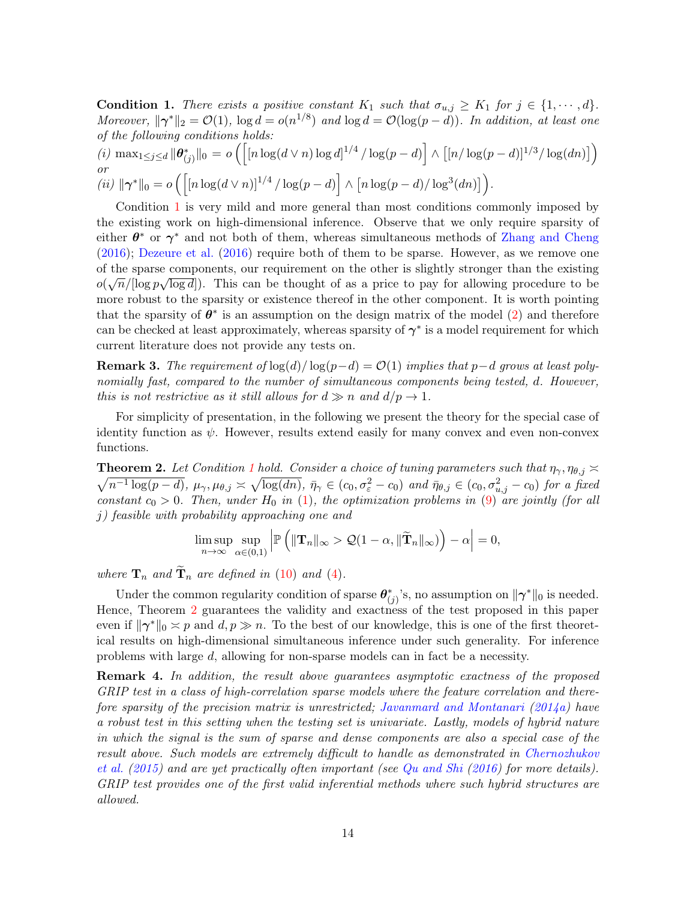**Condition 1.** There exists a positive constant  $K_1$  such that  $\sigma_{u,j} \geq K_1$  for  $j \in \{1, \dots, d\}$ . Moreover,  $\|\gamma^*\|_2 = O(1)$ ,  $\log d = o(n^{1/8})$  and  $\log d = O(\log(p-d))$ . In addition, at least one of the following conditions holds:

(i) 
$$
\max_{1 \le j \le d} ||\theta_{(j)}^*||_0 = o\left( \left[ \left[ n \log(d \vee n) \log d \right]^{1/4} / \log(p - d) \right] \wedge \left[ \left[ n / \log(p - d) \right]^{1/3} / \log(dn) \right] \right)
$$
  
or  
(ii)  $||\gamma^*||_0 = o\left( \left[ \left[ n \log(d \vee n) \right]^{1/4} / \log(p - d) \right] \wedge \left[ n \log(p - d) / \log^3(dn) \right] \right).$ 

Condition 1 is very mild and more general than most conditions commonly imposed by the existing work on high-dimensional inference. Observe that we only require sparsity of either  $\theta^*$  or  $\gamma^*$  and not both of them, whereas simultaneous methods of Zhang and Cheng (2016); Dezeure et al. (2016) require both of them to be sparse. However, as we remove one of the sparse components, our requirement on the other is slightly stronger than the existing  $o(\sqrt{n}/[\log p\sqrt{\log d}])$ . This can be thought of as a price to pay for allowing procedure to be more robust to the sparsity or existence thereof in the other component. It is worth pointing that the sparsity of  $\theta^*$  is an assumption on the design matrix of the model (2) and therefore can be checked at least approximately, whereas sparsity of  $\gamma^*$  is a model requirement for which current literature does not provide any tests on.

**Remark 3.** The requirement of  $\log(d)/\log(p-d) = \mathcal{O}(1)$  implies that p $-d$  grows at least polynomially fast, compared to the number of simultaneous components being tested, d. However, this is not restrictive as it still allows for  $d \gg n$  and  $d/p \to 1$ .

For simplicity of presentation, in the following we present the theory for the special case of identity function as  $\psi$ . However, results extend easily for many convex and even non-convex functions.

**Theorem 2.** Let Condition 1 hold. Consider a choice of tuning parameters such that  $\eta_{\gamma}, \eta_{\theta,j} \geq$  $\sqrt{n^{-1}\log(p-d)}$ ,  $\mu_{\gamma}, \mu_{\theta,j} \asymp \sqrt{\log(dn)}$ ,  $\bar{\eta}_{\gamma} \in (c_0, \sigma_{\varepsilon}^2 - c_0)$  and  $\bar{\eta}_{\theta,j} \in (c_0, \sigma_{u,j}^2 - c_0)$  for a fixed constant  $c_0 > 0$ . Then, under  $H_0$  in (1), the optimization problems in (9) are jointly (for all j) feasible with probability approaching one and

$$
\limsup_{n\to\infty}\sup_{\alpha\in(0,1)}\left|\mathbb{P}\left(\|\mathbf{T}_n\|_{\infty}>\mathcal{Q}(1-\alpha,\|\widetilde{\mathbf{T}}_n\|_{\infty})\right)-\alpha\right|=0,
$$

where  $\mathbf{T}_n$  and  $\mathbf{T}_n$  are defined in (10) and (4).

Under the common regularity condition of sparse  $\theta^*_{(j)}$ 's, no assumption on  $\|\gamma^*\|_0$  is needed. Hence, Theorem 2 guarantees the validity and exactness of the test proposed in this paper even if  $\|\gamma^*\|_0 \asymp p$  and  $d, p \gg n$ . To the best of our knowledge, this is one of the first theoretical results on high-dimensional simultaneous inference under such generality. For inference problems with large d, allowing for non-sparse models can in fact be a necessity.

**Remark 4.** In addition, the result above guarantees asymptotic exactness of the proposed GRIP test in a class of high-correlation sparse models where the feature correlation and therefore sparsity of the precision matrix is unrestricted; Javanmard and Montanari (2014a) have a robust test in this setting when the testing set is univariate. Lastly, models of hybrid nature in which the signal is the sum of sparse and dense components are also a special case of the result above. Such models are extremely difficult to handle as demonstrated in Chernozhukov et al. (2015) and are yet practically often important (see Qu and Shi (2016) for more details). GRIP test provides one of the first valid inferential methods where such hybrid structures are allowed.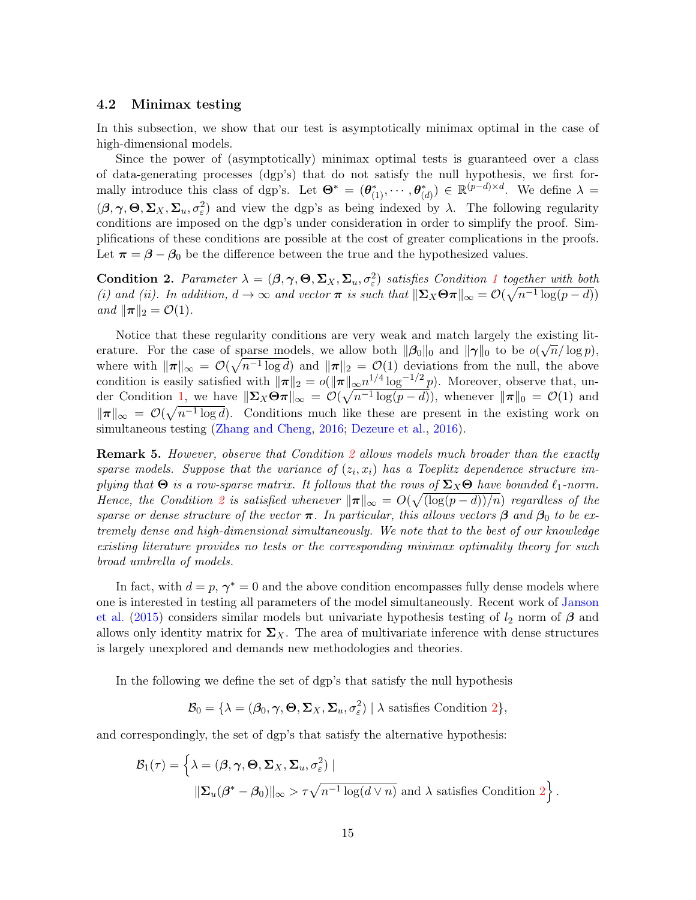#### 4.2 Minimax testing

In this subsection, we show that our test is asymptotically minimax optimal in the case of high-dimensional models.

Since the power of (asymptotically) minimax optimal tests is guaranteed over a class of data-generating processes (dgp's) that do not satisfy the null hypothesis, we first formally introduce this class of dgp's. Let  $\Theta^* = (\theta^*_{(1)}, \cdots, \theta^*_{(d)}) \in \mathbb{R}^{(p-d)\times d}$ . We define  $\lambda =$  $(\beta, \gamma, \Theta, \Sigma_X, \Sigma_u, \sigma_\varepsilon^2)$  and view the dgp's as being indexed by  $\lambda$ . The following regularity conditions are imposed on the dgp's under consideration in order to simplify the proof. Simplifications of these conditions are possible at the cost of greater complications in the proofs. Let  $\pi = \beta - \beta_0$  be the difference between the true and the hypothesized values.

**Condition 2.** Parameter  $\lambda = (\beta, \gamma, \Theta, \Sigma_X, \Sigma_u, \sigma_{\varepsilon}^2)$  satisfies Condition 1 together with both (i) and (ii). In addition,  $d \to \infty$  and vector  $\pi$  is such that  $\|\Sigma_X\Theta\pi\|_{\infty} = \mathcal{O}(\sqrt{n^{-1}\log(p-d)})$ and  $\|\boldsymbol{\pi}\|_2 = \mathcal{O}(1)$ .

Notice that these regularity conditions are very weak and match largely the existing literature. For the case of sparse models, we allow both  $\|\beta_0\|_0$  and  $\|\gamma\|_0$  to be  $o(\sqrt{n}/\log p)$ , where with  $\|\pi\|_{\infty} = \mathcal{O}(\sqrt{n^{-1} \log d})$  and  $\|\pi\|_2 = \mathcal{O}(1)$  deviations from the null, the above condition is easily satisfied with  $\|\pi\|_2 = o(\|\pi\|_{\infty}n^{1/4}\log^{-1/2}p)$ . Moreover, observe that, under Condition 1, we have  $\|\Sigma_X\Theta\pi\|_{\infty} = \mathcal{O}(\sqrt{n^{-1}\log(p-d)})$ , whenever  $\|\pi\|_0 = \mathcal{O}(1)$  and  $\|\pi\|_{\infty} = \mathcal{O}(\sqrt{n^{-1} \log d})$ . Conditions much like these are present in the existing work on simultaneous testing (Zhang and Cheng, 2016; Dezeure et al., 2016).

**Remark 5.** However, observe that Condition 2 allows models much broader than the exactly sparse models. Suppose that the variance of  $(z_i, x_i)$  has a Toeplitz dependence structure implying that  $\Theta$  is a row-sparse matrix. It follows that the rows of  $\Sigma_X\Theta$  have bounded  $\ell_1$ -norm. Hence, the Condition 2 is satisfied whenever  $\|\pi\|_{\infty} = O(\sqrt{(\log(p-d))/n})$  regardless of the sparse or dense structure of the vector  $\pi$ . In particular, this allows vectors  $\beta$  and  $\beta_0$  to be extremely dense and high-dimensional simultaneously. We note that to the best of our knowledge existing literature provides no tests or the corresponding minimax optimality theory for such broad umbrella of models.

In fact, with  $d = p$ ,  $\gamma^* = 0$  and the above condition encompasses fully dense models where one is interested in testing all parameters of the model simultaneously. Recent work of Janson et al. (2015) considers similar models but univariate hypothesis testing of  $l_2$  norm of  $\beta$  and allows only identity matrix for  $\Sigma_X$ . The area of multivariate inference with dense structures is largely unexplored and demands new methodologies and theories.

In the following we define the set of dgp's that satisfy the null hypothesis

$$
\mathcal{B}_0 = \{ \lambda = (\beta_0, \gamma, \Theta, \Sigma_X, \Sigma_u, \sigma_{\varepsilon}^2) \mid \lambda \text{ satisfies Condition 2} \},
$$

and correspondingly, the set of dgp's that satisfy the alternative hypothesis:

$$
\mathcal{B}_1(\tau) = \left\{ \lambda = (\beta, \gamma, \Theta, \Sigma_X, \Sigma_u, \sigma_{\varepsilon}^2) \mid \right\}
$$
  

$$
\|\Sigma_u(\beta^* - \beta_0)\|_{\infty} > \tau \sqrt{n^{-1} \log(d \vee n)} \text{ and } \lambda \text{ satisfies Condition } 2 \right\}.
$$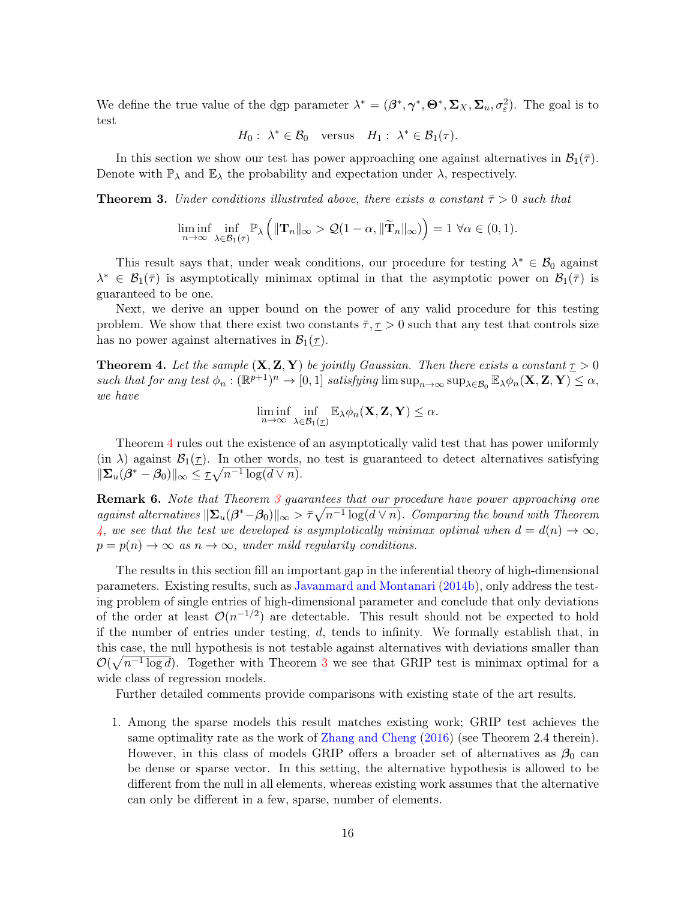We define the true value of the dgp parameter  $\lambda^* = (\beta^*, \gamma^*, \Theta^*, \Sigma_X, \Sigma_u, \sigma_{\varepsilon}^2)$ . The goal is to test

$$
H_0: \lambda^* \in \mathcal{B}_0
$$
 versus  $H_1: \lambda^* \in \mathcal{B}_1(\tau)$ .

In this section we show our test has power approaching one against alternatives in  $\mathcal{B}_1(\bar{\tau})$ . Denote with  $\mathbb{P}_{\lambda}$  and  $\mathbb{E}_{\lambda}$  the probability and expectation under  $\lambda$ , respectively.

**Theorem 3.** Under conditions illustrated above, there exists a constant  $\bar{\tau} > 0$  such that

$$
\liminf_{n\to\infty}\inf_{\lambda\in\mathcal{B}_1(\bar{\tau})}\mathbb{P}_{\lambda}\left(\|\mathbf{T}_n\|_{\infty}>\mathcal{Q}(1-\alpha,\|\widetilde{\mathbf{T}}_n\|_{\infty})\right)=1\,\,\forall\alpha\in(0,1).
$$

This result says that, under weak conditions, our procedure for testing  $\lambda^* \in \mathcal{B}_0$  against  $\lambda^* \in \mathcal{B}_1(\overline{\tau})$  is asymptotically minimax optimal in that the asymptotic power on  $\mathcal{B}_1(\overline{\tau})$  is guaranteed to be one.

Next, we derive an upper bound on the power of any valid procedure for this testing problem. We show that there exist two constants  $\overline{\tau}, \underline{\tau} > 0$  such that any test that controls size has no power against alternatives in  $\mathcal{B}_1(\tau)$ .

**Theorem 4.** Let the sample  $(X, Z, Y)$  be jointly Gaussian. Then there exists a constant  $\tau > 0$ such that for any test  $\phi_n : (\mathbb{R}^{p+1})^n \to [0,1]$  satisfying  $\limsup_{n\to\infty} \sup_{\lambda \in \mathcal{B}_0} \mathbb{E}_{\lambda} \phi_n(\mathbf{X}, \mathbf{Z}, \mathbf{Y}) \leq \alpha$ , we have

$$
\liminf_{n\to\infty}\inf_{\lambda\in\mathcal{B}_1(\underline{\tau})}\mathbb{E}_{\lambda}\phi_n(\mathbf{X},\mathbf{Z},\mathbf{Y})\leq\alpha.
$$

Theorem 4 rules out the existence of an asymptotically valid test that has power uniformly (in  $\lambda$ ) against  $\mathcal{B}_1(\tau)$ . In other words, no test is guaranteed to detect alternatives satisfying  $\|\mathbf{\Sigma}_u(\boldsymbol{\beta}^* - \boldsymbol{\beta}_0)\|_{\infty} \leq \tau \sqrt{n^{-1} \log(d \vee n)}.$ 

Remark 6. Note that Theorem 3 guarantees that our procedure have power approaching one against alternatives  $\|\Sigma_u(\beta^*-\beta_0)\|_{\infty} > \bar{\tau}\sqrt{n^{-1}\log(d\vee n)}$ . Comparing the bound with Theorem 4, we see that the test we developed is asymptotically minimax optimal when  $d = d(n) \to \infty$ ,  $p = p(n) \rightarrow \infty$  as  $n \rightarrow \infty$ , under mild regularity conditions.

The results in this section fill an important gap in the inferential theory of high-dimensional parameters. Existing results, such as Javanmard and Montanari (2014b), only address the testing problem of single entries of high-dimensional parameter and conclude that only deviations of the order at least  $\mathcal{O}(n^{-1/2})$  are detectable. This result should not be expected to hold if the number of entries under testing,  $d$ , tends to infinity. We formally establish that, in this case, the null hypothesis is not testable against alternatives with deviations smaller than  $\mathcal{O}(\sqrt{n^{-1} \log d})$ . Together with Theorem 3 we see that GRIP test is minimax optimal for a wide class of regression models.

Further detailed comments provide comparisons with existing state of the art results.

1. Among the sparse models this result matches existing work; GRIP test achieves the same optimality rate as the work of Zhang and Cheng (2016) (see Theorem 2.4 therein). However, in this class of models GRIP offers a broader set of alternatives as  $\beta_0$  can be dense or sparse vector. In this setting, the alternative hypothesis is allowed to be different from the null in all elements, whereas existing work assumes that the alternative can only be different in a few, sparse, number of elements.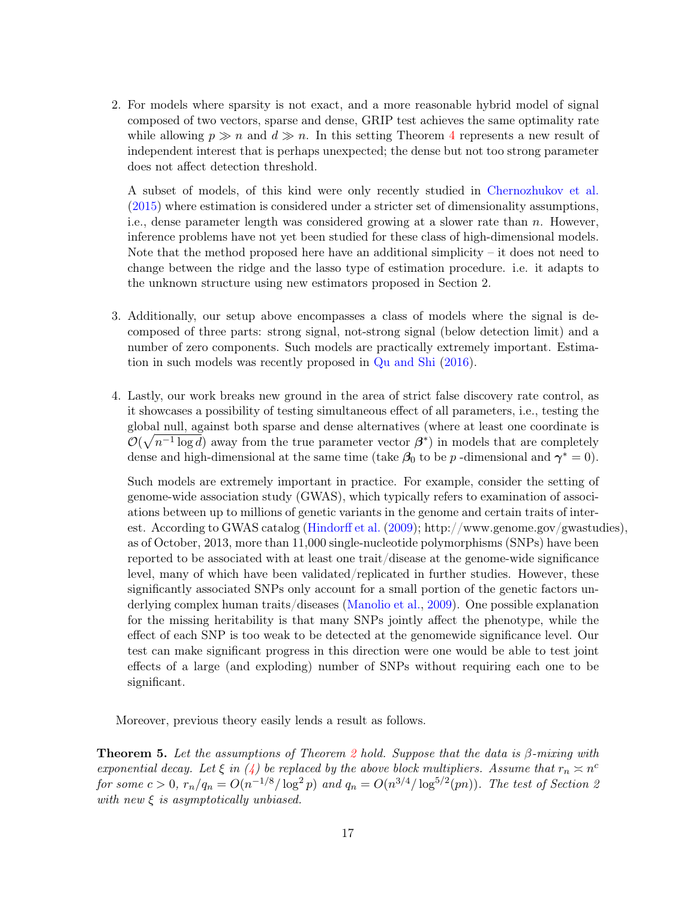2. For models where sparsity is not exact, and a more reasonable hybrid model of signal composed of two vectors, sparse and dense, GRIP test achieves the same optimality rate while allowing  $p \gg n$  and  $d \gg n$ . In this setting Theorem 4 represents a new result of independent interest that is perhaps unexpected; the dense but not too strong parameter does not affect detection threshold.

A subset of models, of this kind were only recently studied in Chernozhukov et al. (2015) where estimation is considered under a stricter set of dimensionality assumptions, i.e., dense parameter length was considered growing at a slower rate than n. However, inference problems have not yet been studied for these class of high-dimensional models. Note that the method proposed here have an additional simplicity – it does not need to change between the ridge and the lasso type of estimation procedure. i.e. it adapts to the unknown structure using new estimators proposed in Section 2.

- 3. Additionally, our setup above encompasses a class of models where the signal is decomposed of three parts: strong signal, not-strong signal (below detection limit) and a number of zero components. Such models are practically extremely important. Estimation in such models was recently proposed in Qu and Shi (2016).
- 4. Lastly, our work breaks new ground in the area of strict false discovery rate control, as it showcases a possibility of testing simultaneous effect of all parameters, i.e., testing the global null, against both sparse and dense alternatives (where at least one coordinate is  $\mathcal{O}(\sqrt{n^{-1}\log d})$  away from the true parameter vector  $\beta^*$ ) in models that are completely dense and high-dimensional at the same time (take  $\beta_0$  to be p-dimensional and  $\gamma^*=0$ ).

Such models are extremely important in practice. For example, consider the setting of genome-wide association study (GWAS), which typically refers to examination of associations between up to millions of genetic variants in the genome and certain traits of interest. According to GWAS catalog (Hindorff et al. (2009); http://www.genome.gov/gwastudies), as of October, 2013, more than 11,000 single-nucleotide polymorphisms (SNPs) have been reported to be associated with at least one trait/disease at the genome-wide significance level, many of which have been validated/replicated in further studies. However, these significantly associated SNPs only account for a small portion of the genetic factors underlying complex human traits/diseases (Manolio et al., 2009). One possible explanation for the missing heritability is that many SNPs jointly affect the phenotype, while the effect of each SNP is too weak to be detected at the genomewide significance level. Our test can make significant progress in this direction were one would be able to test joint effects of a large (and exploding) number of SNPs without requiring each one to be significant.

Moreover, previous theory easily lends a result as follows.

**Theorem 5.** Let the assumptions of Theorem 2 hold. Suppose that the data is  $\beta$ -mixing with exponential decay. Let  $\xi$  in (4) be replaced by the above block multipliers. Assume that  $r_n \approx n^c$ for some  $c > 0$ ,  $r_n/q_n = O(n^{-1/8}/\log^2 p)$  and  $q_n = O(n^{3/4}/\log^{5/2}(pn))$ . The test of Section 2 with new  $\xi$  is asymptotically unbiased.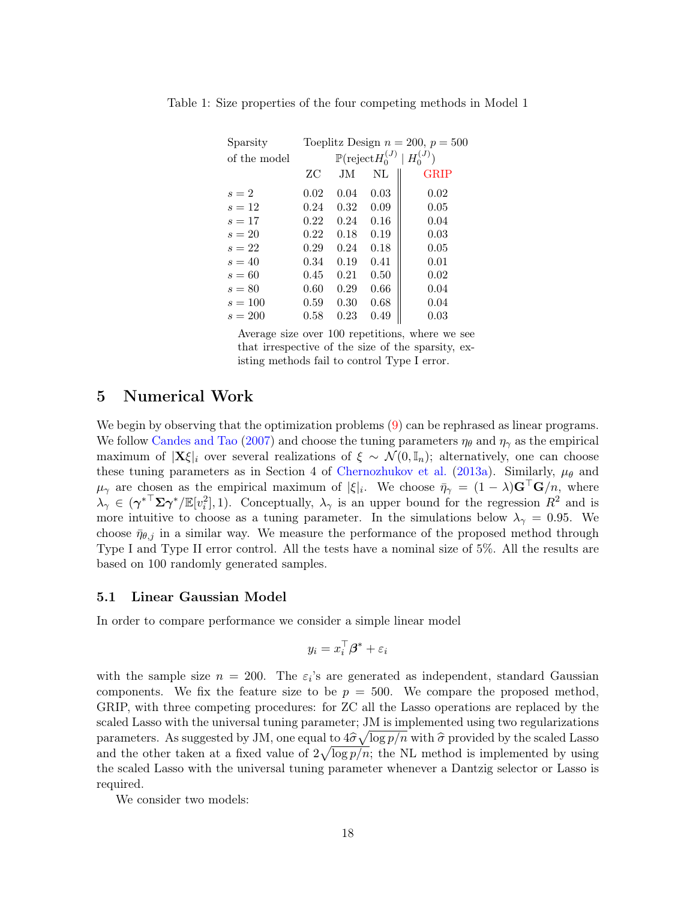| Sparsity     |      |      |                                        | Toeplitz Design $n = 200$ , $p = 500$ |
|--------------|------|------|----------------------------------------|---------------------------------------|
| of the model |      |      | $\mathbb{P}(\mathrm{reject} H_0^{(J)}$ | $H_0^{(J)}$                           |
|              | ZС   | JM.  | NL                                     | <b>GRIP</b>                           |
| $s=2$        | 0.02 | 0.04 | 0.03                                   | 0.02                                  |
| $s=12$       | 0.24 | 0.32 | 0.09                                   | 0.05                                  |
| $s=17$       | 0.22 | 0.24 | 0.16                                   | 0.04                                  |
| $s=20$       | 0.22 | 0.18 | 0.19                                   | 0.03                                  |
| $s=22$       | 0.29 | 0.24 | 0.18                                   | 0.05                                  |
| $s=40$       | 0.34 | 0.19 | 0.41                                   | 0.01                                  |
| $s=60$       | 0.45 | 0.21 | 0.50                                   | 0.02                                  |
| $s=80$       | 0.60 | 0.29 | 0.66                                   | 0.04                                  |
| $s = 100$    | 0.59 | 0.30 | 0.68                                   | 0.04                                  |
| $s = 200$    | 0.58 | 0.23 | 0.49                                   | 0.03                                  |

Table 1: Size properties of the four competing methods in Model 1

Average size over 100 repetitions, where we see that irrespective of the size of the sparsity, existing methods fail to control Type I error.

# 5 Numerical Work

We begin by observing that the optimization problems (9) can be rephrased as linear programs. We follow Candes and Tao (2007) and choose the tuning parameters  $\eta_{\theta}$  and  $\eta_{\gamma}$  as the empirical maximum of  $|\mathbf{X}\xi|_i$  over several realizations of  $\xi \sim \mathcal{N}(0,\mathbb{I}_n)$ ; alternatively, one can choose these tuning parameters as in Section 4 of Chernozhukov et al. (2013a). Similarly,  $\mu_{\theta}$  and  $\mu_{\gamma}$  are chosen as the empirical maximum of  $|\xi|_i$ . We choose  $\bar{\eta}_{\gamma} = (1 - \lambda) \mathbf{G}^{\dagger} \mathbf{G}/n$ , where  $\lambda_{\gamma} \in (\gamma^{*T} \Sigma \gamma^{*}/\mathbb{E}[v_i^2], 1)$ . Conceptually,  $\lambda_{\gamma}$  is an upper bound for the regression  $R^2$  and is more intuitive to choose as a tuning parameter. In the simulations below  $\lambda_{\gamma} = 0.95$ . We choose  $\bar{\eta}_{\theta,i}$  in a similar way. We measure the performance of the proposed method through Type I and Type II error control. All the tests have a nominal size of 5%. All the results are based on 100 randomly generated samples.

### 5.1 Linear Gaussian Model

In order to compare performance we consider a simple linear model

$$
y_i = x_i^\top \boldsymbol{\beta}^* + \varepsilon_i
$$

with the sample size  $n = 200$ . The  $\varepsilon_i$ 's are generated as independent, standard Gaussian components. We fix the feature size to be  $p = 500$ . We compare the proposed method, GRIP, with three competing procedures: for ZC all the Lasso operations are replaced by the scaled Lasso with the universal tuning parameter; JM is implemented using two regularizations parameters. As suggested by JM, one equal to  $4\hat{\sigma}\sqrt{\log p/n}$  with  $\hat{\sigma}$  provided by the scaled Lasso and the other taken at a fixed value of  $2\sqrt{\log p/n}$ ; the NL method is implemented by using the scaled Lasso with the universal tuning parameter whenever a Dantzig selector or Lasso is required.

We consider two models: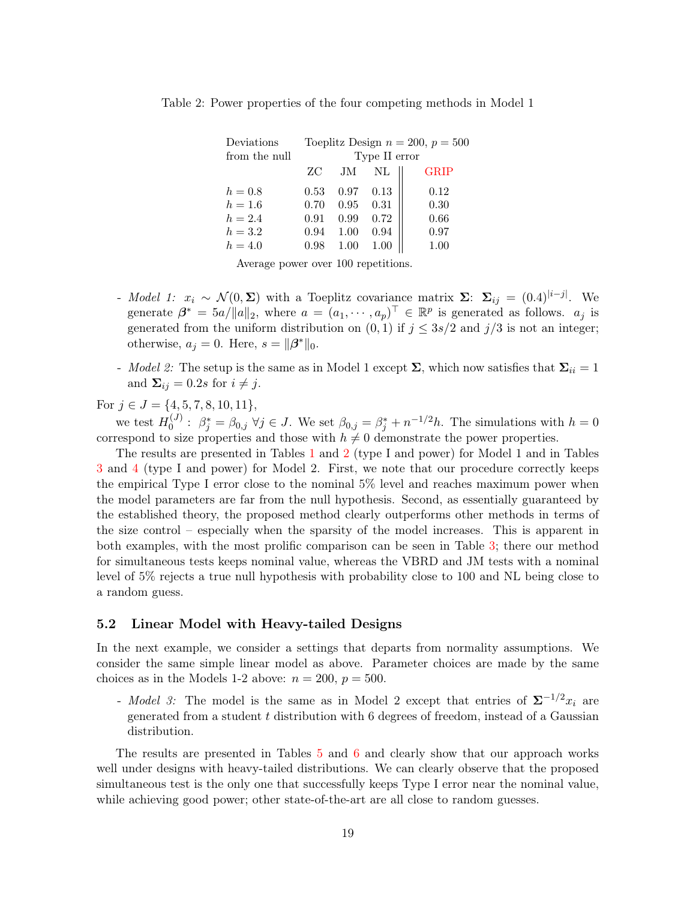| Deviations    |      |      |               | Toeplitz Design $n = 200, p = 500$ |
|---------------|------|------|---------------|------------------------------------|
| from the null |      |      | Type II error |                                    |
|               | ZС   | JM   | $\rm NL$      | <b>GRIP</b>                        |
| $h=0.8$       | 0.53 | 0.97 | 0.13          | 0.12                               |
| $h = 1.6$     | 0.70 | 0.95 | 0.31          | 0.30                               |
| $h = 2.4$     | 0.91 | 0.99 | 0.72          | 0.66                               |
| $h = 3.2$     | 0.94 | 1.00 | 0.94          | 0.97                               |
| $h = 4.0$     | 0.98 | 1.00 | 1.00          | 1.00                               |
|               |      |      |               |                                    |

Table 2: Power properties of the four competing methods in Model 1

Average power over 100 repetitions.

- Model 1:  $x_i \sim \mathcal{N}(0, \Sigma)$  with a Toeplitz covariance matrix  $\Sigma$ :  $\Sigma_{ij} = (0.4)^{|i-j|}$ . We generate  $\beta^* = 5a/||a||_2$ , where  $a = (a_1, \dots, a_p)^\top \in \mathbb{R}^p$  is generated as follows.  $a_j$  is generated from the uniform distribution on  $(0, 1)$  if  $j \leq 3s/2$  and  $j/3$  is not an integer; otherwise,  $a_j = 0$ . Here,  $s = ||\beta^*||_0$ .
- Model 2: The setup is the same as in Model 1 except  $\Sigma$ , which now satisfies that  $\Sigma_{ii} = 1$ and  $\Sigma_{ij} = 0.2s$  for  $i \neq j$ .

For  $j \in J = \{4, 5, 7, 8, 10, 11\},\$ 

we test  $H_0^{(J)}$  $\beta_0^{(J)}$ :  $\beta_j^* = \beta_{0,j}$   $\forall j \in J$ . We set  $\beta_{0,j} = \beta_j^* + n^{-1/2}h$ . The simulations with  $h = 0$ correspond to size properties and those with  $h \neq 0$  demonstrate the power properties.

The results are presented in Tables 1 and 2 (type I and power) for Model 1 and in Tables 3 and 4 (type I and power) for Model 2. First, we note that our procedure correctly keeps the empirical Type I error close to the nominal 5% level and reaches maximum power when the model parameters are far from the null hypothesis. Second, as essentially guaranteed by the established theory, the proposed method clearly outperforms other methods in terms of the size control – especially when the sparsity of the model increases. This is apparent in both examples, with the most prolific comparison can be seen in Table 3; there our method for simultaneous tests keeps nominal value, whereas the VBRD and JM tests with a nominal level of 5% rejects a true null hypothesis with probability close to 100 and NL being close to a random guess.

#### 5.2 Linear Model with Heavy-tailed Designs

In the next example, we consider a settings that departs from normality assumptions. We consider the same simple linear model as above. Parameter choices are made by the same choices as in the Models 1-2 above:  $n = 200$ ,  $p = 500$ .

- Model 3: The model is the same as in Model 2 except that entries of  $\Sigma^{-1/2}x_i$  are generated from a student t distribution with 6 degrees of freedom, instead of a Gaussian distribution.

The results are presented in Tables 5 and 6 and clearly show that our approach works well under designs with heavy-tailed distributions. We can clearly observe that the proposed simultaneous test is the only one that successfully keeps Type I error near the nominal value, while achieving good power; other state-of-the-art are all close to random guesses.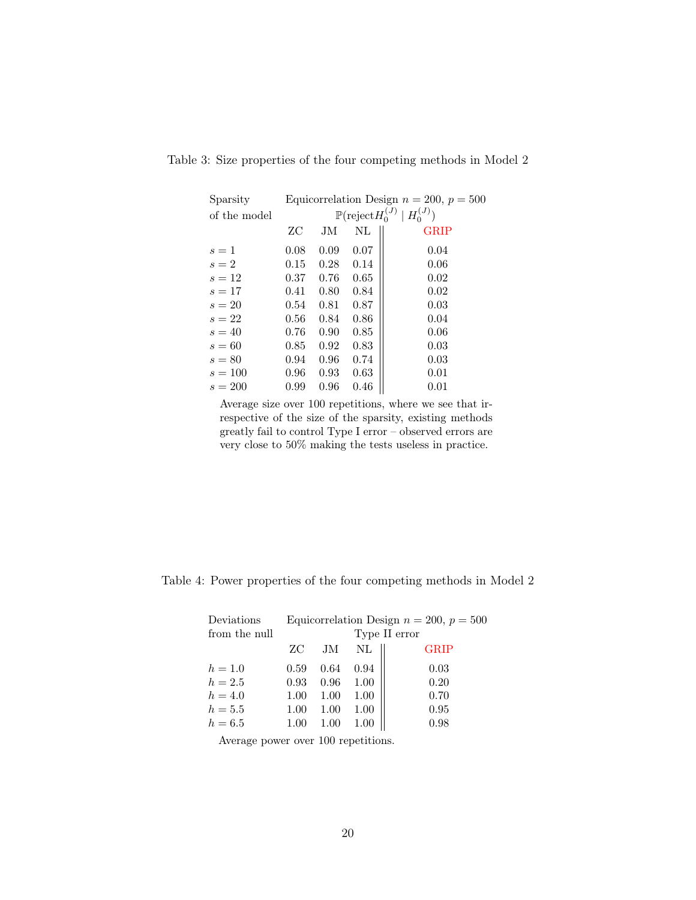| Sparsity     |      |      |          | Equicorrelation Design $n = 200$ , $p = 500$         |
|--------------|------|------|----------|------------------------------------------------------|
| of the model |      |      |          | $\mathbb{P}(\text{reject} H_0^{(J)} \mid H_0^{(J)})$ |
|              | ZС   | JМ   | $\rm NL$ | <b>GRIP</b>                                          |
| $s=1$        | 0.08 | 0.09 | 0.07     | 0.04                                                 |
| $s=2$        | 0.15 | 0.28 | 0.14     | 0.06                                                 |
| $s=12$       | 0.37 | 0.76 | 0.65     | 0.02                                                 |
| $s=17$       | 0.41 | 0.80 | 0.84     | 0.02                                                 |
| $s=20$       | 0.54 | 0.81 | 0.87     | 0.03                                                 |
| $s=22$       | 0.56 | 0.84 | 0.86     | 0.04                                                 |
| $s=40$       | 0.76 | 0.90 | 0.85     | 0.06                                                 |
| $s=60$       | 0.85 | 0.92 | 0.83     | 0.03                                                 |
| $s=80$       | 0.94 | 0.96 | 0.74     | 0.03                                                 |
| $s = 100$    | 0.96 | 0.93 | 0.63     | 0.01                                                 |
| $s = 200$    | 0.99 | 0.96 | 0.46     | 0.01                                                 |

Table 3: Size properties of the four competing methods in Model 2

Average size over 100 repetitions, where we see that irrespective of the size of the sparsity, existing methods greatly fail to control Type I error – observed errors are very close to 50% making the tests useless in practice.

| Deviations    |      |      |      | Equicorrelation Design $n = 200$ , $p = 500$ |
|---------------|------|------|------|----------------------------------------------|
| from the null |      |      |      | Type II error                                |
|               | ZС   | JM   | NL   | <b>GRIP</b>                                  |
| $h = 1.0$     | 0.59 | 0.64 | 0.94 | 0.03                                         |
| $h = 2.5$     | 0.93 | 0.96 | 1.00 | 0.20                                         |
| $h = 4.0$     | 1.00 | 1.00 | 1.00 | 0.70                                         |
| $h=5.5$       | 1.00 | 1.00 | 1.00 | 0.95                                         |
| $h = 6.5$     | 1.00 | 1.00 |      | 0.98                                         |

Average power over 100 repetitions.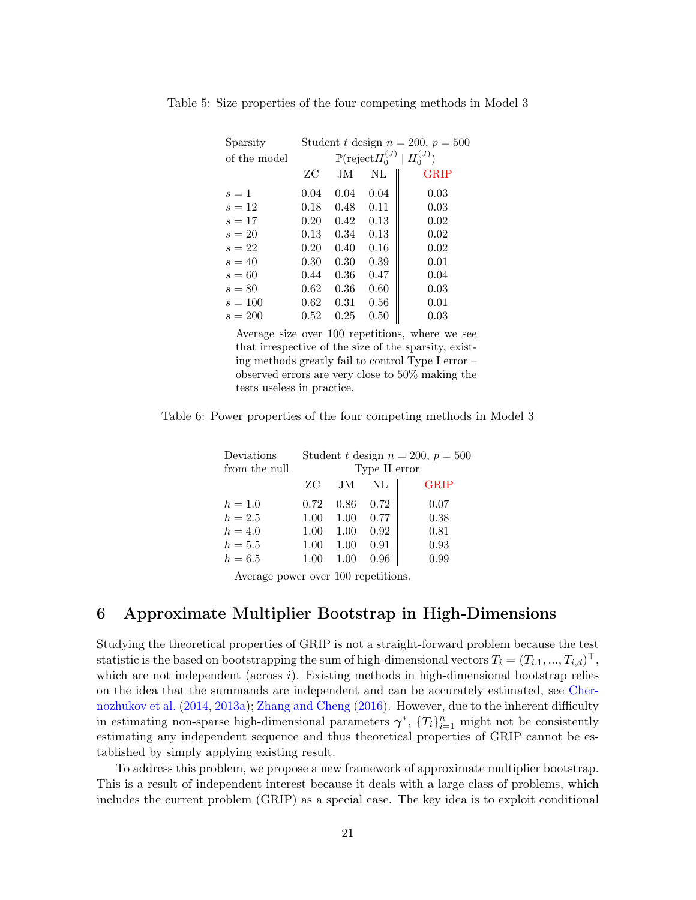| Sparsity     |      |      |                                       | Student t design $n = 200$ , $p = 500$ |
|--------------|------|------|---------------------------------------|----------------------------------------|
| of the model |      |      | $\mathbb{P}(\text{reject} H_0^{(J)})$ | $H_0^{(J)}$                            |
|              | ZС   | JM.  | NL                                    | <b>GRIP</b>                            |
| $s=1$        | 0.04 | 0.04 | 0.04                                  | 0.03                                   |
| $s=12$       | 0.18 | 0.48 | 0.11                                  | 0.03                                   |
| $s=17$       | 0.20 | 0.42 | 0.13                                  | 0.02                                   |
| $s=20$       | 0.13 | 0.34 | 0.13                                  | 0.02                                   |
| $s=22$       | 0.20 | 0.40 | 0.16                                  | 0.02                                   |
| $s=40$       | 0.30 | 0.30 | 0.39                                  | 0.01                                   |
| $s=60$       | 0.44 | 0.36 | 0.47                                  | 0.04                                   |
| $s = 80$     | 0.62 | 0.36 | 0.60                                  | 0.03                                   |
| $s = 100$    | 0.62 | 0.31 | 0.56                                  | 0.01                                   |
| $s = 200$    | 0.52 | 0.25 | 0.50                                  | 0.03                                   |

Table 5: Size properties of the four competing methods in Model 3

Average size over 100 repetitions, where we see that irrespective of the size of the sparsity, existing methods greatly fail to control Type I error – observed errors are very close to 50% making the tests useless in practice.

Table 6: Power properties of the four competing methods in Model 3

| Deviations    |      |      |               | Student t design $n = 200$ , $p = 500$ |
|---------------|------|------|---------------|----------------------------------------|
| from the null |      |      | Type II error |                                        |
|               | ZС   | JM   | NL            | <b>GRIP</b>                            |
| $h = 1.0$     | 0.72 | 0.86 | 0.72          | 0.07                                   |
| $h = 2.5$     | 1.00 | 1.00 | 0.77          | 0.38                                   |
| $h = 4.0$     | 1.00 | 1.00 | 0.92          | 0.81                                   |
| $h=5.5$       | 1.00 | 1.00 | 0.91          | 0.93                                   |
| $h = 6.5$     | 1.00 | 1.00 | 0.96          | 0.99                                   |

Average power over 100 repetitions.

# 6 Approximate Multiplier Bootstrap in High-Dimensions

Studying the theoretical properties of GRIP is not a straight-forward problem because the test statistic is the based on bootstrapping the sum of high-dimensional vectors  $T_i = (T_{i,1},...,T_{i,d})^\top,$ which are not independent (across  $i$ ). Existing methods in high-dimensional bootstrap relies on the idea that the summands are independent and can be accurately estimated, see Chernozhukov et al. (2014, 2013a); Zhang and Cheng (2016). However, due to the inherent difficulty in estimating non-sparse high-dimensional parameters  $\gamma^*$ ,  $\{T_i\}_{i=1}^n$  might not be consistently estimating any independent sequence and thus theoretical properties of GRIP cannot be established by simply applying existing result.

To address this problem, we propose a new framework of approximate multiplier bootstrap. This is a result of independent interest because it deals with a large class of problems, which includes the current problem (GRIP) as a special case. The key idea is to exploit conditional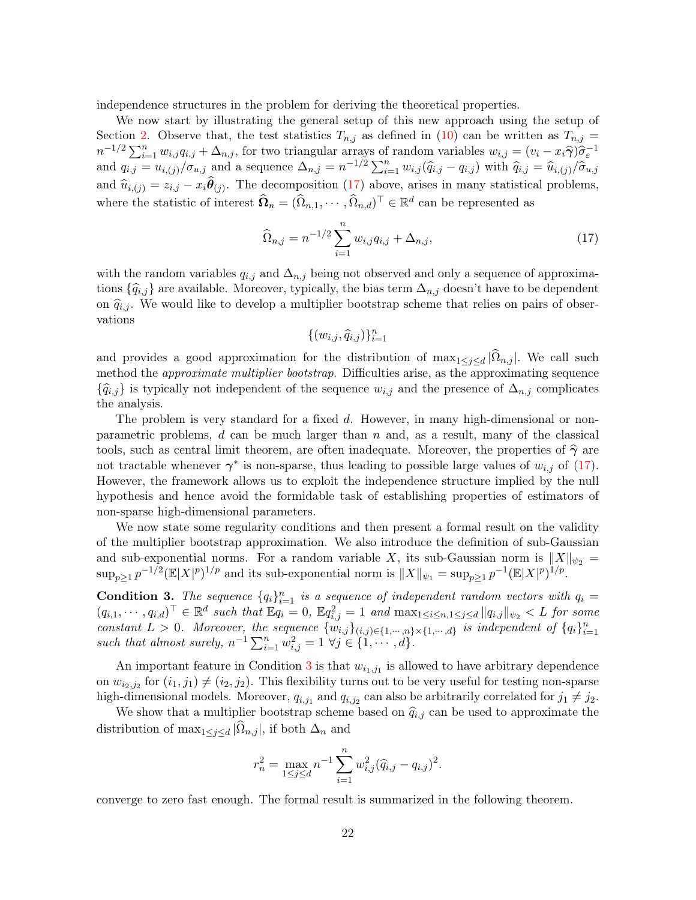independence structures in the problem for deriving the theoretical properties.

We now start by illustrating the general setup of this new approach using the setup of Section 2. Observe that, the test statistics  $T_{n,j}$  as defined in (10) can be written as  $T_{n,j}$  =  $n^{-1/2}\sum_{i=1}^n w_{i,j}q_{i,j} + \Delta_{n,j}$ , for two triangular arrays of random variables  $w_{i,j} = (v_i - x_i\hat{\gamma})\hat{\sigma}^{-1}_\varepsilon$ and  $q_{i,j} = u_{i,(j)}/\sigma_{u,j}$  and a sequence  $\Delta_{n,j} = n^{-1/2} \sum_{i=1}^n w_{i,j} (\hat{q}_{i,j} - q_{i,j})$  with  $\hat{q}_{i,j} = \hat{u}_{i,(j)}/\hat{\sigma}_{u,j}$ and  $\hat{u}_{i,(j)} = z_{i,j} - x_i \theta_{(j)}$ . The decomposition (17) above, arises in many statistical problems, where the statistic of interest  $\widehat{\Omega}_n = (\widehat{\Omega}_{n,1}, \cdots, \widehat{\Omega}_{n,d})^\top \in \mathbb{R}^d$  can be represented as

$$
\widehat{\Omega}_{n,j} = n^{-1/2} \sum_{i=1}^{n} w_{i,j} q_{i,j} + \Delta_{n,j},
$$
\n(17)

with the random variables  $q_{i,j}$  and  $\Delta_{n,j}$  being not observed and only a sequence of approximations  $\{\widehat{q}_{i,j}\}\$ are available. Moreover, typically, the bias term  $\Delta_{n,j}$  doesn't have to be dependent on  $\hat{q}_{i,j}$ . We would like to develop a multiplier bootstrap scheme that relies on pairs of observations

$$
\{(w_{i,j}, \widehat{q}_{i,j})\}_{i=1}^n
$$

and provides a good approximation for the distribution of  $\max_{1 \leq j \leq d} |\Omega_{n,j}|$ . We call such method the *approximate multiplier bootstrap*. Difficulties arise, as the approximating sequence  ${\{\hat{q}_{i,j}\}}$  is typically not independent of the sequence  $w_{i,j}$  and the presence of  $\Delta_{n,j}$  complicates the analysis.

The problem is very standard for a fixed d. However, in many high-dimensional or nonparametric problems,  $d$  can be much larger than  $n$  and, as a result, many of the classical tools, such as central limit theorem, are often inadequate. Moreover, the properties of  $\hat{\gamma}$  are not tractable whenever  $\gamma^*$  is non-sparse, thus leading to possible large values of  $w_{i,j}$  of (17). However, the framework allows us to exploit the independence structure implied by the null hypothesis and hence avoid the formidable task of establishing properties of estimators of non-sparse high-dimensional parameters.

We now state some regularity conditions and then present a formal result on the validity of the multiplier bootstrap approximation. We also introduce the definition of sub-Gaussian and sub-exponential norms. For a random variable X, its sub-Gaussian norm is  $||X||_{\psi_2} =$  $\sup_{p\geq 1} p^{-1/2} (\mathbb{E}|X|^p)^{1/p}$  and its sub-exponential norm is  $||X||_{\psi_1} = \sup_{p\geq 1} p^{-1} (\mathbb{E}|X|^p)^{1/p}$ .

**Condition 3.** The sequence  $\{q_i\}_{i=1}^n$  is a sequence of independent random vectors with  $q_i =$  $(q_{i,1},\dots,q_{i,d})^{\top} \in \mathbb{R}^d$  such that  $\mathbb{E}q_i=0$ ,  $\mathbb{E}q_{i,j}^2=1$  and  $\max_{1 \leq i \leq n, 1 \leq j \leq d} ||q_{i,j}||_{\psi_2} < L$  for some constant  $L > 0$ . Moreover, the sequence  $\{w_{i,j}\}_{(i,j)\in\{1,\cdots,n\}\times\{1,\cdots,d\}}$  is independent of  $\{q_i\}_{i=1}^n$ such that almost surely,  $n^{-1} \sum_{i=1}^{n} w_{i,j}^2 = 1 \ \forall j \in \{1, \cdots, d\}.$ 

An important feature in Condition 3 is that  $w_{i_1,j_1}$  is allowed to have arbitrary dependence on  $w_{i_2,j_2}$  for  $(i_1, j_1) \neq (i_2, j_2)$ . This flexibility turns out to be very useful for testing non-sparse high-dimensional models. Moreover,  $q_{i,j_1}$  and  $q_{i,j_2}$  can also be arbitrarily correlated for  $j_1 \neq j_2$ .

We show that a multiplier bootstrap scheme based on  $\hat{q}_{i,j}$  can be used to approximate the distribution of  $\max_{1 \leq j \leq d} |\Omega_{n,j}|$ , if both  $\Delta_n$  and

$$
r_n^2 = \max_{1 \le j \le d} n^{-1} \sum_{i=1}^n w_{i,j}^2 (\widehat{q}_{i,j} - q_{i,j})^2.
$$

converge to zero fast enough. The formal result is summarized in the following theorem.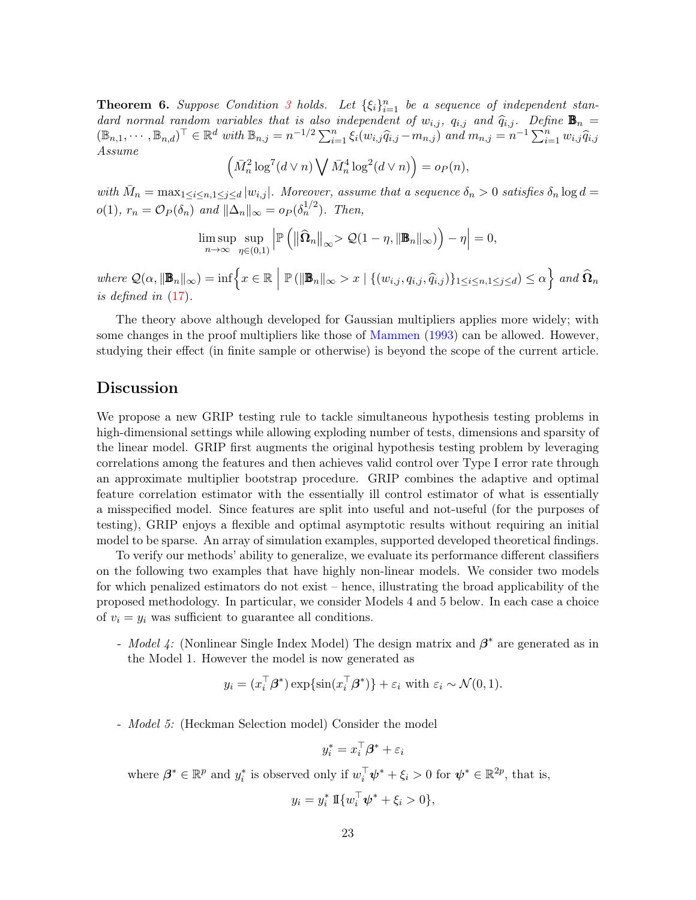**Theorem 6.** Suppose Condition 3 holds. Let  $\{\xi_i\}_{i=1}^n$  be a sequence of independent standard normal random variables that is also independent of  $w_{i,j}$ ,  $q_{i,j}$  and  $\widehat{q}_{i,j}$ . Define  $\mathbf{B}_n =$  $(\mathbb{B}_{n,1}, \dots, \mathbb{B}_{n,d})^{\top} \in \mathbb{R}^d$  with  $\mathbb{B}_{n,j} = n^{-1/2} \sum_{i=1}^n \xi_i (w_{i,j} \widehat{q}_{i,j} - m_{n,j})$  and  $m_{n,j} = n^{-1} \sum_{i=1}^n w_{i,j} \widehat{q}_{i,j}$ Assume

$$
\left(\bar{M}_n^2 \log^7(d \vee n) \bigvee \bar{M}_n^4 \log^2(d \vee n)\right) = o_P(n),
$$

with  $\bar{M}_n = \max_{1 \leq i \leq n, 1 \leq j \leq d} |w_{i,j}|$ . Moreover, assume that a sequence  $\delta_n > 0$  satisfies  $\delta_n \log d =$  $o(1)$ ,  $r_n = \mathcal{O}_P(\delta_n)$  and  $\|\Delta_n\|_{\infty} = o_P(\delta_n^{1/2})$ . Then,

$$
\limsup_{n\to\infty}\sup_{\eta\in(0,1)}\left|\mathbb{P}\left(\left\|\widehat{\mathbf{\Omega}}_n\right\|_{\infty}>\mathcal{Q}(1-\eta,\|\mathbf{B}_n\|_{\infty})\right)-\eta\right|=0,
$$

where  $\mathcal{Q}(\alpha, \|\mathbf{B}_n\|_{\infty}) = \inf \Big\{ x \in \mathbb{R} \Big| \mathbb{P} \left( \|\mathbf{B}_n\|_{\infty} > x \mid \{(w_{i,j}, q_{i,j}, \widehat{q}_{i,j})\}_{1 \leq i \leq n, 1 \leq j \leq d} \right) \leq \alpha \Big\}$  and  $\widehat{\Omega}_n$ is defined in (17).

The theory above although developed for Gaussian multipliers applies more widely; with some changes in the proof multipliers like those of Mammen (1993) can be allowed. However, studying their effect (in finite sample or otherwise) is beyond the scope of the current article.

### Discussion

We propose a new GRIP testing rule to tackle simultaneous hypothesis testing problems in high-dimensional settings while allowing exploding number of tests, dimensions and sparsity of the linear model. GRIP first augments the original hypothesis testing problem by leveraging correlations among the features and then achieves valid control over Type I error rate through an approximate multiplier bootstrap procedure. GRIP combines the adaptive and optimal feature correlation estimator with the essentially ill control estimator of what is essentially a misspecified model. Since features are split into useful and not-useful (for the purposes of testing), GRIP enjoys a flexible and optimal asymptotic results without requiring an initial model to be sparse. An array of simulation examples, supported developed theoretical findings.

To verify our methods' ability to generalize, we evaluate its performance different classifiers on the following two examples that have highly non-linear models. We consider two models for which penalized estimators do not exist – hence, illustrating the broad applicability of the proposed methodology. In particular, we consider Models 4 and 5 below. In each case a choice of  $v_i = y_i$  was sufficient to guarantee all conditions.

- *Model 4*: (Nonlinear Single Index Model) The design matrix and  $\beta^*$  are generated as in the Model 1. However the model is now generated as

$$
y_i = (x_i^{\top} \boldsymbol{\beta}^*) \exp\{\sin(x_i^{\top} \boldsymbol{\beta}^*)\} + \varepsilon_i \text{ with } \varepsilon_i \sim \mathcal{N}(0, 1).
$$

- Model 5: (Heckman Selection model) Consider the model

$$
y_i^* = x_i^\top \boldsymbol{\beta}^* + \varepsilon_i
$$

where  $\beta^* \in \mathbb{R}^p$  and  $y_i^*$  is observed only if  $w_i^{\top} \psi^* + \xi_i > 0$  for  $\psi^* \in \mathbb{R}^{2p}$ , that is,

$$
y_i = y_i^* \, \text{I}\{w_i^{\top} \boldsymbol{\psi}^* + \xi_i > 0\},
$$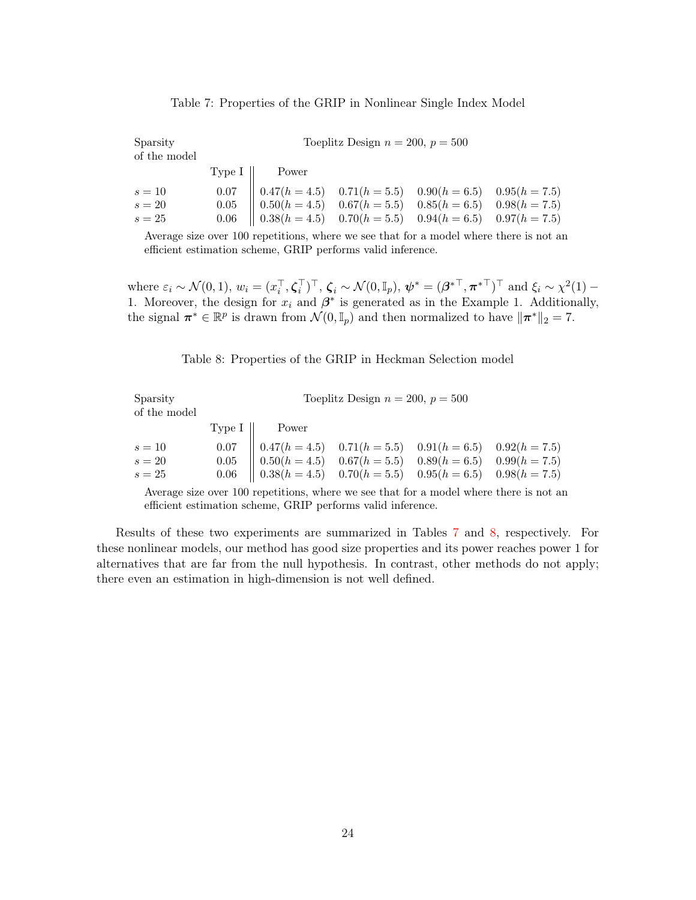|  |  |  |  |  | Table 7: Properties of the GRIP in Nonlinear Single Index Model |  |  |  |  |
|--|--|--|--|--|-----------------------------------------------------------------|--|--|--|--|
|--|--|--|--|--|-----------------------------------------------------------------|--|--|--|--|

| Sparsity<br>of the model |                                                                                                                                                                                                                                  | Toeplitz Design $n = 200$ , $p = 500$ |  |
|--------------------------|----------------------------------------------------------------------------------------------------------------------------------------------------------------------------------------------------------------------------------|---------------------------------------|--|
|                          | Type $I \parallel$ Power                                                                                                                                                                                                         |                                       |  |
| $s=10$                   | $\begin{array}{c cccc} 0.07 & 0.47(h=4.5) & 0.71(h=5.5) & 0.90(h=6.5) & 0.95(h=7.5) \\ 0.05 & 0.50(h=4.5) & 0.67(h=5.5) & 0.85(h=6.5) & 0.98(h=7.5) \\ 0.06 & 0.38(h=4.5) & 0.70(h=5.5) & 0.94(h=6.5) & 0.97(h=7.5) \end{array}$ |                                       |  |
| $s=20$                   |                                                                                                                                                                                                                                  |                                       |  |
| $s=25$                   |                                                                                                                                                                                                                                  |                                       |  |

Average size over 100 repetitions, where we see that for a model where there is not an efficient estimation scheme, GRIP performs valid inference.

where  $\varepsilon_i \sim \mathcal{N}(0, 1)$ ,  $w_i = (x_i^\top, \zeta_i^\top)^\top$ ,  $\zeta_i \sim \mathcal{N}(0, \mathbb{I}_p)$ ,  $\boldsymbol{\psi}^* = (\boldsymbol{\beta}^{*^\top}, \boldsymbol{\pi}^{*^\top})^\top$  and  $\xi_i \sim \chi^2(1)$  -1. Moreover, the design for  $x_i$  and  $\beta^*$  is generated as in the Example 1. Additionally, the signal  $\pi^* \in \mathbb{R}^p$  is drawn from  $\mathcal{N}(0, \mathbb{I}_p)$  and then normalized to have  $\|\pi^*\|_2 = 7$ .

#### Table 8: Properties of the GRIP in Heckman Selection model

| Sparsity<br>of the model |                                                                                                                                                                                                                                  | Toeplitz Design $n = 200$ , $p = 500$ |  |
|--------------------------|----------------------------------------------------------------------------------------------------------------------------------------------------------------------------------------------------------------------------------|---------------------------------------|--|
|                          | Type $I \parallel$ Power                                                                                                                                                                                                         |                                       |  |
| $s=10$                   | $\begin{array}{c cccc} 0.07 & 0.47(h=4.5) & 0.71(h=5.5) & 0.91(h=6.5) & 0.92(h=7.5) \\ 0.05 & 0.50(h=4.5) & 0.67(h=5.5) & 0.89(h=6.5) & 0.99(h=7.5) \\ 0.06 & 0.38(h=4.5) & 0.70(h=5.5) & 0.95(h=6.5) & 0.98(h=7.5) \end{array}$ |                                       |  |
| $s=20$                   |                                                                                                                                                                                                                                  |                                       |  |
| $s=25$                   |                                                                                                                                                                                                                                  |                                       |  |

Average size over 100 repetitions, where we see that for a model where there is not an efficient estimation scheme, GRIP performs valid inference.

Results of these two experiments are summarized in Tables 7 and 8, respectively. For these nonlinear models, our method has good size properties and its power reaches power 1 for alternatives that are far from the null hypothesis. In contrast, other methods do not apply; there even an estimation in high-dimension is not well defined.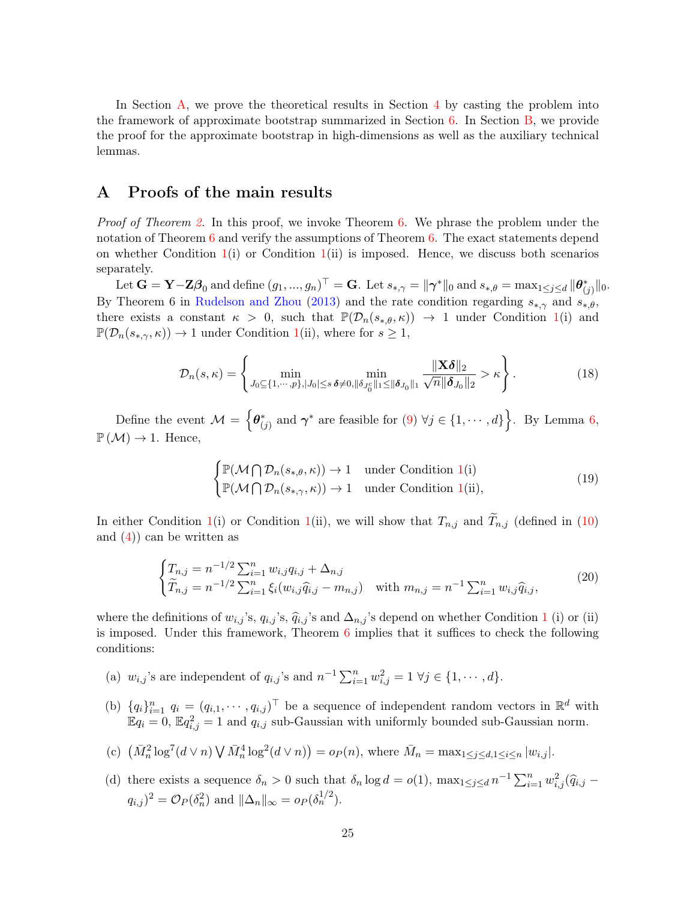In Section A, we prove the theoretical results in Section 4 by casting the problem into the framework of approximate bootstrap summarized in Section 6. In Section B, we provide the proof for the approximate bootstrap in high-dimensions as well as the auxiliary technical lemmas.

# A Proofs of the main results

*Proof of Theorem 2.* In this proof, we invoke Theorem 6. We phrase the problem under the notation of Theorem 6 and verify the assumptions of Theorem 6. The exact statements depend on whether Condition  $1(i)$  or Condition  $1(i)$  is imposed. Hence, we discuss both scenarios separately.

Let  $\mathbf{G} = \mathbf{Y} - \mathbf{Z}\boldsymbol{\beta}_0$  and define  $(g_1, ..., g_n)^\top = \mathbf{G}$ . Let  $s_{*,\gamma} = \|\boldsymbol{\gamma}^*\|_0$  and  $s_{*,\theta} = \max_{1 \leq j \leq d} \|\boldsymbol{\theta}_{(j)}^*\|_0$ . By Theorem 6 in Rudelson and Zhou (2013) and the rate condition regarding  $s_{*,\gamma}$  and  $s_{*,\theta}$ , there exists a constant  $\kappa > 0$ , such that  $\mathbb{P}(\mathcal{D}_n(s_{*,\theta},\kappa)) \to 1$  under Condition 1(i) and  $\mathbb{P}(\mathcal{D}_n(s_{*,\gamma},\kappa)) \to 1$  under Condition 1(ii), where for  $s \geq 1$ ,

$$
\mathcal{D}_n(s,\kappa) = \left\{ \min_{J_0 \subseteq \{1,\cdots,p\}, |J_0| \le s \, \delta \neq 0, \|\delta_{J_0^c}\|_1 \le \|\delta_{J_0}\|_1} \frac{\|\mathbf{X}\delta\|_2}{\sqrt{n}\|\delta_{J_0}\|_2} > \kappa \right\}.
$$
\n(18)

Define the event  $M = \left\{ \theta_{(j)}^* \text{ and } \gamma^* \text{ are feasible for } (9) \ \forall j \in \{1, \dots, d\} \right\}$ . By Lemma 6,  $\mathbb{P}(\mathcal{M}) \to 1$ . Hence,

$$
\begin{cases} \mathbb{P}(\mathcal{M} \cap \mathcal{D}_n(s_{*,\theta}, \kappa)) \to 1 & \text{under Condition 1(i)}\\ \mathbb{P}(\mathcal{M} \cap \mathcal{D}_n(s_{*,\gamma}, \kappa)) \to 1 & \text{under Condition 1(ii)}, \end{cases}
$$
 (19)

In either Condition 1(i) or Condition 1(ii), we will show that  $T_{n,j}$  and  $\widetilde{T}_{n,j}$  (defined in (10) and  $(4)$  can be written as

$$
\begin{cases} T_{n,j} = n^{-1/2} \sum_{i=1}^{n} w_{i,j} q_{i,j} + \Delta_{n,j} \\ \widetilde{T}_{n,j} = n^{-1/2} \sum_{i=1}^{n} \xi_i (w_{i,j} \widehat{q}_{i,j} - m_{n,j}) \quad \text{with } m_{n,j} = n^{-1} \sum_{i=1}^{n} w_{i,j} \widehat{q}_{i,j}, \end{cases} (20)
$$

where the definitions of  $w_{i,j}$ 's,  $q_{i,j}$ 's,  $\hat{q}_{i,j}$ 's and  $\Delta_{n,j}$ 's depend on whether Condition 1 (i) or (ii) is imposed. Under this framework, Theorem 6 implies that it suffices to check the following conditions:

- (a)  $w_{i,j}$ 's are independent of  $q_{i,j}$ 's and  $n^{-1} \sum_{i=1}^{n} w_{i,j}^2 = 1 \ \forall j \in \{1, \dots, d\}.$
- (b)  ${q_i}_{i=1}^n q_i = (q_{i,1}, \cdots, q_{i,j})^\top$  be a sequence of independent random vectors in  $\mathbb{R}^d$  with  $\mathbb{E}q_i = 0$ ,  $\mathbb{E}q_{i,j}^2 = 1$  and  $q_{i,j}$  sub-Gaussian with uniformly bounded sub-Gaussian norm.
- (c)  $(\bar{M}_n^2 \log^7(d \vee n) \bigvee \bar{M}_n^4 \log^2(d \vee n)) = o_P(n)$ , where  $\bar{M}_n = \max_{1 \leq j \leq d, 1 \leq i \leq n} |w_{i,j}|$ .
- (d) there exists a sequence  $\delta_n > 0$  such that  $\delta_n \log d = o(1)$ ,  $\max_{1 \leq j \leq d} n^{-1} \sum_{i=1}^n w_{i,j}^2 (\widehat{q}_{i,j}$  $q_{i,j}$ )<sup>2</sup> =  $\mathcal{O}_P(\delta_n^2)$  and  $\|\Delta_n\|_{\infty} = o_P(\delta_n^{1/2})$ .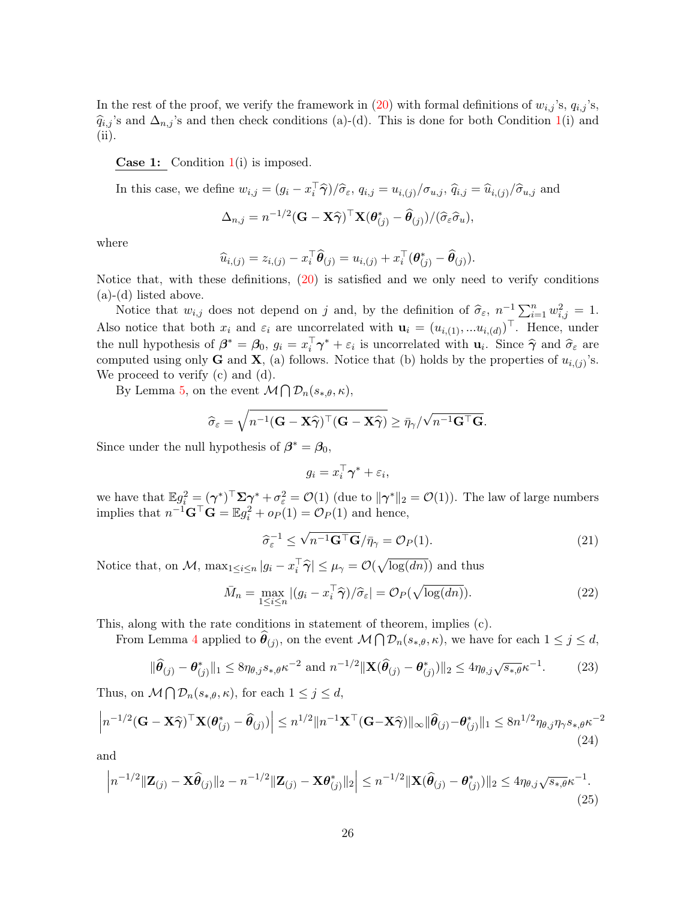In the rest of the proof, we verify the framework in (20) with formal definitions of  $w_{i,j}$ 's,  $q_{i,j}$ 's,  $\hat{q}_{i,j}$ 's and  $\Delta_{n,j}$ 's and then check conditions (a)-(d). This is done for both Condition 1(i) and (ii).

**Case 1:** Condition  $1(i)$  is imposed.

In this case, we define 
$$
w_{i,j} = (g_i - x_i^{\top} \hat{\boldsymbol{\gamma}})/\hat{\sigma}_{\varepsilon}
$$
,  $q_{i,j} = u_{i,(j)}/\sigma_{u,j}$ ,  $\hat{q}_{i,j} = \hat{u}_{i,(j)}/\hat{\sigma}_{u,j}$  and  
\n
$$
\Delta_{n,j} = n^{-1/2} (\mathbf{G} - \mathbf{X} \hat{\boldsymbol{\gamma}})^{\top} \mathbf{X} (\boldsymbol{\theta}_{(j)}^* - \hat{\boldsymbol{\theta}}_{(j)}) / (\hat{\sigma}_{\varepsilon} \hat{\sigma}_{u}),
$$

where

$$
\widehat{u}_{i,(j)} = z_{i,(j)} - x_i^{\top} \widehat{\boldsymbol{\theta}}_{(j)} = u_{i,(j)} + x_i^{\top} (\boldsymbol{\theta}_{(j)}^* - \widehat{\boldsymbol{\theta}}_{(j)}).
$$

Notice that, with these definitions, (20) is satisfied and we only need to verify conditions (a)-(d) listed above.

Notice that  $w_{i,j}$  does not depend on j and, by the definition of  $\hat{\sigma}_{\varepsilon}$ ,  $n^{-1} \sum_{i=1}^{n} w_{i,j}^2 = 1$ . Also notice that both  $x_i$  and  $\varepsilon_i$  are uncorrelated with  $\mathbf{u}_i = (u_{i,(1)},...u_{i,(d)})^\top$ . Hence, under the null hypothesis of  $\beta^* = \beta_0$ ,  $g_i = x_i^{\dagger} \gamma^* + \varepsilon_i$  is uncorrelated with  $\mathbf{u}_i$ . Since  $\hat{\gamma}$  and  $\hat{\sigma}_{\varepsilon}$  are computed using only **G** and **X**, (a) follows. Notice that (b) holds by the properties of  $u_{i,(j)}$ 's. We proceed to verify (c) and (d).

By Lemma 5, on the event  $\mathcal{M} \bigcap \mathcal{D}_n(s_{*,\theta},\kappa)$ ,

$$
\widehat{\sigma}_{\varepsilon} = \sqrt{n^{-1}(\mathbf{G} - \mathbf{X}\widehat{\boldsymbol{\gamma}})^{\top}(\mathbf{G} - \mathbf{X}\widehat{\boldsymbol{\gamma}})} \geq \bar{\eta}_{\gamma}/\sqrt{n^{-1}\mathbf{G}^{\top}\mathbf{G}}.
$$

Since under the null hypothesis of  $\beta^* = \beta_0$ ,

$$
g_i = x_i^\top \boldsymbol{\gamma}^* + \varepsilon_i,
$$

we have that  $\mathbb{E} g_i^2 = (\gamma^*)^\top \Sigma \gamma^* + \sigma_\varepsilon^2 = \mathcal{O}(1)$  (due to  $\|\gamma^*\|_2 = \mathcal{O}(1)$ ). The law of large numbers implies that  $n^{-1}$ **G**<sup> $\top$ </sup>**G** =  $\mathbb{E}g_i^2 + op(1) = \mathcal{O}_P(1)$  and hence,

$$
\widehat{\sigma}_{\varepsilon}^{-1} \le \sqrt{n^{-1} \mathbf{G}^{\top} \mathbf{G}} / \bar{\eta}_{\gamma} = \mathcal{O}_P(1). \tag{21}
$$

Notice that, on  $M$ ,  $\max_{1 \leq i \leq n} |g_i - x_i^{\top} \hat{\gamma}| \leq \mu_{\gamma} = \mathcal{O}(\sqrt{\log(dn)})$  and thus

$$
\bar{M}_n = \max_{1 \le i \le n} |(g_i - x_i^\top \hat{\boldsymbol{\gamma}})/\hat{\sigma}_{\varepsilon}| = \mathcal{O}_P(\sqrt{\log(dn)}). \tag{22}
$$

This, along with the rate conditions in statement of theorem, implies (c).

From Lemma 4 applied to  $\widehat{\theta}_{(j)}$ , on the event  $\mathcal{M} \bigcap \mathcal{D}_n(s_{*,\theta}, \kappa)$ , we have for each  $1 \leq j \leq d$ ,

$$
\|\widehat{\boldsymbol{\theta}}_{(j)} - \boldsymbol{\theta}_{(j)}^*\|_1 \le 8\eta_{\theta,j} s_{*,\theta} \kappa^{-2} \text{ and } n^{-1/2} \|\mathbf{X}(\widehat{\boldsymbol{\theta}}_{(j)} - \boldsymbol{\theta}_{(j)}^*)\|_2 \le 4\eta_{\theta,j} \sqrt{s_{*,\theta}} \kappa^{-1}.
$$
 (23)

Thus, on  $\mathcal{M} \bigcap \mathcal{D}_n(s_{*,\theta}, \kappa)$ , for each  $1 \leq j \leq d$ ,

$$
\left| n^{-1/2} (\mathbf{G} - \mathbf{X} \widehat{\boldsymbol{\gamma}})^\top \mathbf{X} (\boldsymbol{\theta}_{(j)}^* - \widehat{\boldsymbol{\theta}}_{(j)}) \right| \leq n^{1/2} \| n^{-1} \mathbf{X}^\top (\mathbf{G} - \mathbf{X} \widehat{\boldsymbol{\gamma}}) \|_{\infty} \| \widehat{\boldsymbol{\theta}}_{(j)} - \boldsymbol{\theta}_{(j)}^* \|_1 \leq 8 n^{1/2} \eta_{\theta, j} \eta_{\gamma} s_{*, \theta} \kappa^{-2}
$$
\n(24)

and

$$
\left| n^{-1/2} \|\mathbf{Z}_{(j)} - \mathbf{X}\widehat{\theta}_{(j)}\|_{2} - n^{-1/2} \|\mathbf{Z}_{(j)} - \mathbf{X}\theta_{(j)}^{*}\|_{2} \right| \leq n^{-1/2} \|\mathbf{X}(\widehat{\theta}_{(j)} - \theta_{(j)}^{*})\|_{2} \leq 4\eta_{\theta,j}\sqrt{s_{*,\theta}}\kappa^{-1}.
$$
\n(25)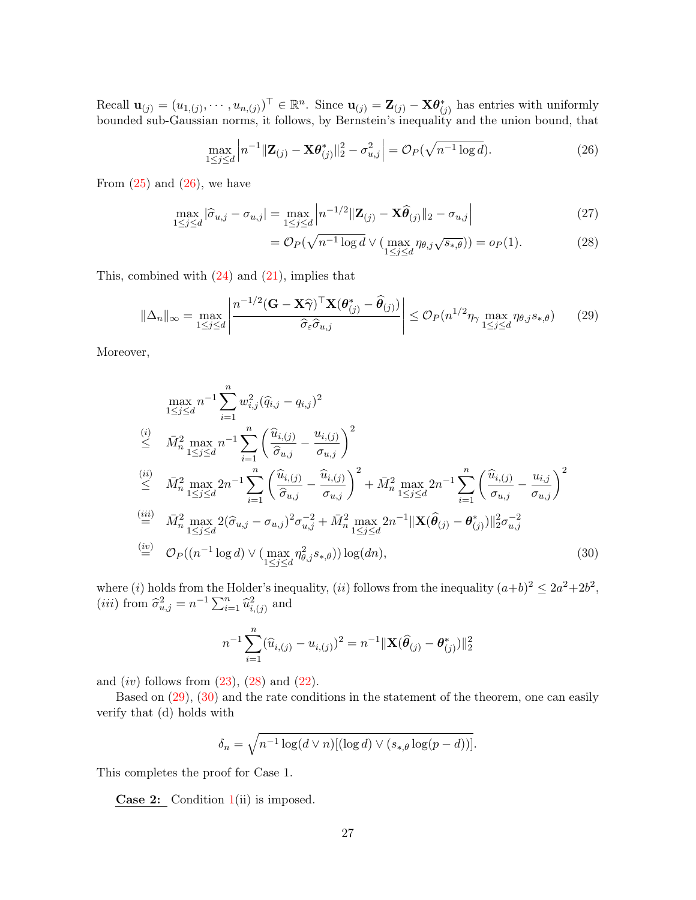Recall  $\mathbf{u}_{(j)} = (u_{1,(j)}, \dots, u_{n,(j)})^{\top} \in \mathbb{R}^n$ . Since  $\mathbf{u}_{(j)} = \mathbf{Z}_{(j)} - \mathbf{X} \boldsymbol{\theta}_{(j)}^*$  has entries with uniformly bounded sub-Gaussian norms, it follows, by Bernstein's inequality and the union bound, that

$$
\max_{1 \le j \le d} \left| n^{-1} \| \mathbf{Z}_{(j)} - \mathbf{X} \boldsymbol{\theta}_{(j)}^* \|_2^2 - \sigma_{u,j}^2 \right| = \mathcal{O}_P(\sqrt{n^{-1} \log d}). \tag{26}
$$

From  $(25)$  and  $(26)$ , we have

$$
\max_{1 \le j \le d} |\hat{\sigma}_{u,j} - \sigma_{u,j}| = \max_{1 \le j \le d} \left| n^{-1/2} ||\mathbf{Z}_{(j)} - \mathbf{X} \hat{\theta}_{(j)}||_2 - \sigma_{u,j} \right| \tag{27}
$$

$$
= \mathcal{O}_P(\sqrt{n^{-1}\log d} \vee (\max_{1 \leq j \leq d} \eta_{\theta,j}\sqrt{s_{*,\theta}})) = o_P(1). \tag{28}
$$

This, combined with  $(24)$  and  $(21)$ , implies that

$$
\|\Delta_n\|_{\infty} = \max_{1 \le j \le d} \left| \frac{n^{-1/2} (\mathbf{G} - \mathbf{X}\widehat{\boldsymbol{\gamma}})^{\top} \mathbf{X}(\boldsymbol{\theta}_{(j)}^* - \widehat{\boldsymbol{\theta}}_{(j)})}{\widehat{\sigma}_{\varepsilon} \widehat{\sigma}_{u,j}} \right| \le \mathcal{O}_P(n^{1/2} \eta_{\gamma} \max_{1 \le j \le d} \eta_{\theta, j} s_{*,\theta}) \tag{29}
$$

Moreover,

$$
\max_{1 \leq j \leq d} n^{-1} \sum_{i=1}^{n} w_{i,j}^{2} (\hat{q}_{i,j} - q_{i,j})^{2}
$$
\n
$$
\leq \bar{M}_{n}^{2} \max_{1 \leq j \leq d} n^{-1} \sum_{i=1}^{n} \left( \frac{\hat{u}_{i,(j)}}{\hat{\sigma}_{u,j}} - \frac{u_{i,(j)}}{\sigma_{u,j}} \right)^{2}
$$
\n
$$
\leq \bar{M}_{n}^{2} \max_{1 \leq j \leq d} 2n^{-1} \sum_{i=1}^{n} \left( \frac{\hat{u}_{i,(j)}}{\hat{\sigma}_{u,j}} - \frac{\hat{u}_{i,(j)}}{\sigma_{u,j}} \right)^{2} + \bar{M}_{n}^{2} \max_{1 \leq j \leq d} 2n^{-1} \sum_{i=1}^{n} \left( \frac{\hat{u}_{i,(j)}}{\sigma_{u,j}} - \frac{u_{i,j}}{\sigma_{u,j}} \right)^{2}
$$
\n
$$
\stackrel{\text{(iii)}}{=} \bar{M}_{n}^{2} \max_{1 \leq j \leq d} 2(\hat{\sigma}_{u,j} - \sigma_{u,j})^{2} \sigma_{u,j}^{-2} + \bar{M}_{n}^{2} \max_{1 \leq j \leq d} 2n^{-1} \|\mathbf{X}(\hat{\boldsymbol{\theta}}_{(j)} - \boldsymbol{\theta}_{(j)}^{*})\|_{2}^{2} \sigma_{u,j}^{-2}
$$
\n
$$
\stackrel{\text{(iv)}}{=} \mathcal{O}_{P}((n^{-1} \log d) \vee (\max_{1 \leq j \leq d} \eta_{\theta,j}^{2} s_{*,\theta})) \log(dn), \tag{30}
$$

where (i) holds from the Holder's inequality, (ii) follows from the inequality  $(a+b)^2 \leq 2a^2+2b^2$ , (*iii*) from  $\hat{\sigma}_{u,j}^2 = n^{-1} \sum_{i=1}^n \hat{u}_{i,(j)}^2$  and

$$
n^{-1} \sum_{i=1}^{n} (\widehat{u}_{i,(j)} - u_{i,(j)})^2 = n^{-1} ||\mathbf{X}(\widehat{\boldsymbol{\theta}}_{(j)} - \boldsymbol{\theta}_{(j)}^*)||_2^2
$$

and  $(iv)$  follows from  $(23)$ ,  $(28)$  and  $(22)$ .

Based on (29), (30) and the rate conditions in the statement of the theorem, one can easily verify that (d) holds with

$$
\delta_n = \sqrt{n^{-1}\log(d \vee n)[(\log d) \vee (s_{*,\theta}\log(p-d))]}.
$$

This completes the proof for Case 1.

**Case 2:** Condition  $1(i)$  is imposed.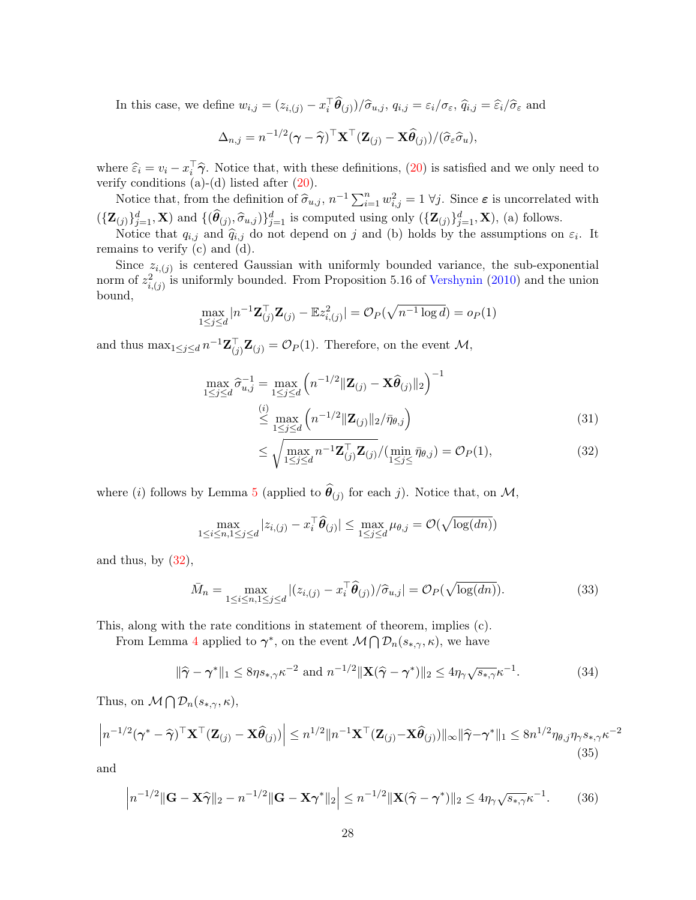In this case, we define  $w_{i,j} = (z_{i,(j)} - x_i^{\top} \theta_{(j)}) / \hat{\sigma}_{u,j}, q_{i,j} = \varepsilon_i / \sigma_{\varepsilon}, \hat{q}_{i,j} = \hat{\varepsilon}_i / \hat{\sigma}_{\varepsilon}$  and

$$
\Delta_{n,j} = n^{-1/2}(\boldsymbol{\gamma} - \widehat{\boldsymbol{\gamma}})^{\top} \mathbf{X}^{\top} (\mathbf{Z}_{(j)} - \mathbf{X} \widehat{\boldsymbol{\theta}}_{(j)}) / (\widehat{\sigma}_{\varepsilon} \widehat{\sigma}_{u}),
$$

where  $\hat{\varepsilon}_i = v_i - x_i^{\dagger} \hat{\gamma}$ . Notice that, with these definitions, (20) is satisfied and we only need to verify conditions  $(a)-(d)$  listed after  $(20)$ .

Notice that, from the definition of  $\hat{\sigma}_{u,j}$ ,  $n^{-1} \sum_{i=1}^{n} w_{i,j}^2 = 1 \ \forall j$ . Since  $\varepsilon$  is uncorrelated with  $({\{\mathbf{Z}_{(j)}\}_{j=1}^d}, \mathbf{X})$  and  $\{(\widehat{\theta}_{(j)}, \widehat{\sigma}_{u,j})\}_{j=1}^d$  is computed using only  $({\{\mathbf{Z}_{(j)}\}_{j=1}^d}, \mathbf{X}})$ , (a) follows.

Notice that  $q_{i,j}$  and  $\hat{q}_{i,j}$  do not depend on j and (b) holds by the assumptions on  $\varepsilon_i$ . It remains to verify (c) and (d).

Since  $z_{i,(j)}$  is centered Gaussian with uniformly bounded variance, the sub-exponential norm of  $z_{i,(j)}^2$  is uniformly bounded. From Proposition 5.16 of Vershynin (2010) and the union bound,

$$
\max_{1 \le j \le d} |n^{-1} \mathbf{Z}_{(j)}^{\top} \mathbf{Z}_{(j)} - \mathbb{E} z_{i,(j)}^2| = \mathcal{O}_P(\sqrt{n^{-1} \log d}) = o_P(1)
$$

and thus  $\max_{1 \leq j \leq d} n^{-1} \mathbf{Z}_{(j)}^{\top} \mathbf{Z}_{(j)} = \mathcal{O}_P(1)$ . Therefore, on the event  $\mathcal{M}$ ,

$$
\max_{1 \le j \le d} \hat{\sigma}_{u,j}^{-1} = \max_{1 \le j \le d} \left( n^{-1/2} \| \mathbf{Z}_{(j)} - \mathbf{X} \hat{\theta}_{(j)} \|_{2} \right)^{-1} \n\overset{(i)}{\le} \max_{1 \le j \le d} \left( n^{-1/2} \| \mathbf{Z}_{(j)} \|_{2} / \bar{\eta}_{\theta,j} \right)
$$
\n(31)

$$
\leq \sqrt{\max_{1 \leq j \leq d} n^{-1} \mathbf{Z}_{(j)}^{\top} \mathbf{Z}_{(j)}} / (\min_{1 \leq j \leq \bar{\eta}_{\theta,j}} \bar{\eta}_{\theta,j}) = \mathcal{O}_P(1), \tag{32}
$$

where (*i*) follows by Lemma 5 (applied to  $\theta_{(j)}$  for each *j*). Notice that, on  $M$ ,

$$
\max_{1 \leq i \leq n, 1 \leq j \leq d} |z_{i,(j)} - x_i^{\top} \widehat{\boldsymbol{\theta}}_{(j)}| \leq \max_{1 \leq j \leq d} \mu_{\theta, j} = \mathcal{O}(\sqrt{\log(dn)})
$$

and thus, by  $(32)$ ,

$$
\bar{M}_n = \max_{1 \le i \le n, 1 \le j \le d} |(z_{i,(j)} - x_i^{\top} \hat{\theta}_{(j)}) / \hat{\sigma}_{u,j}| = \mathcal{O}_P(\sqrt{\log(dn)}). \tag{33}
$$

This, along with the rate conditions in statement of theorem, implies (c).

From Lemma 4 applied to  $\gamma^*$ , on the event  $\mathcal{M} \bigcap \mathcal{D}_n(s_{*,\gamma},\kappa)$ , we have

$$
\|\widehat{\boldsymbol{\gamma}} - \boldsymbol{\gamma}^*\|_1 \le 8\eta s_{*,\gamma} \kappa^{-2} \text{ and } n^{-1/2} \|\mathbf{X}(\widehat{\boldsymbol{\gamma}} - \boldsymbol{\gamma}^*)\|_2 \le 4\eta_{\gamma} \sqrt{s_{*,\gamma}} \kappa^{-1}.
$$
 (34)

Thus, on  $\mathcal{M} \bigcap \mathcal{D}_n(s_{*,\gamma}, \kappa),$ 

$$
\left| n^{-1/2} (\boldsymbol{\gamma}^* - \widehat{\boldsymbol{\gamma}})^{\top} \mathbf{X}^{\top} (\mathbf{Z}_{(j)} - \mathbf{X} \widehat{\boldsymbol{\theta}}_{(j)}) \right| \leq n^{1/2} \| n^{-1} \mathbf{X}^{\top} (\mathbf{Z}_{(j)} - \mathbf{X} \widehat{\boldsymbol{\theta}}_{(j)}) \|_{\infty} \| \widehat{\boldsymbol{\gamma}} - \boldsymbol{\gamma}^* \|_{1} \leq 8 n^{1/2} \eta_{\theta, j} \eta_{\gamma} s_{*, \gamma} \kappa^{-2}
$$
\n(35)

and

$$
\left| n^{-1/2} \|\mathbf{G} - \mathbf{X}\widehat{\boldsymbol{\gamma}}\|_{2} - n^{-1/2} \|\mathbf{G} - \mathbf{X}\boldsymbol{\gamma}^{*}\|_{2} \right| \leq n^{-1/2} \|\mathbf{X}(\widehat{\boldsymbol{\gamma}} - \boldsymbol{\gamma}^{*})\|_{2} \leq 4\eta_{\gamma}\sqrt{s_{*,\gamma}}\kappa^{-1}.
$$
 (36)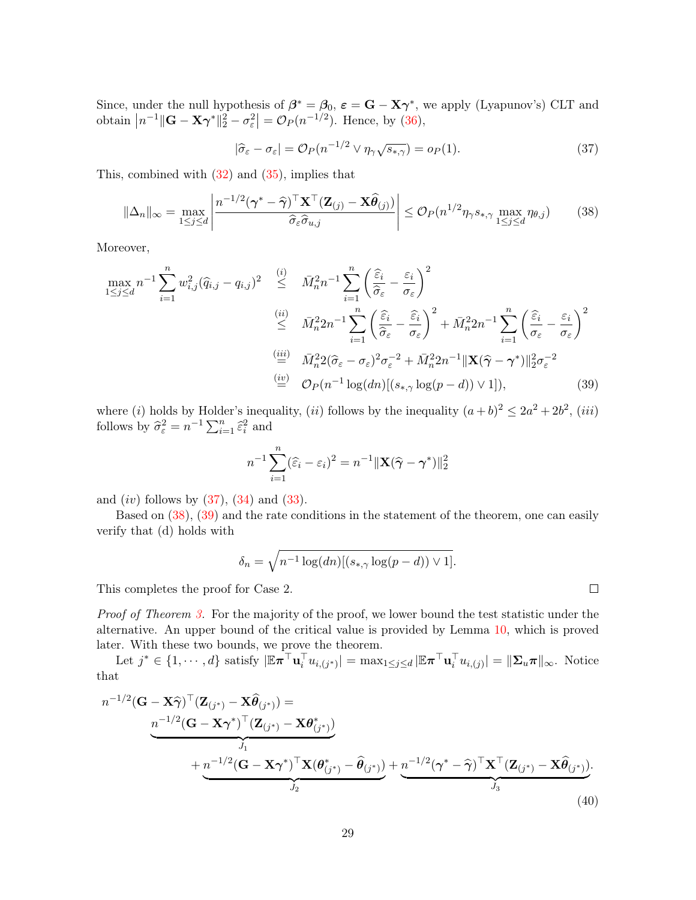Since, under the null hypothesis of  $\beta^* = \beta_0$ ,  $\varepsilon = \mathbf{G} - \mathbf{X}\gamma^*$ , we apply (Lyapunov's) CLT and obtain  $|n^{-1}||\mathbf{G}-\mathbf{X}\boldsymbol{\gamma}^*||_2^2 - \sigma_{\varepsilon}^2| = \mathcal{O}_P(n^{-1/2})$ . Hence, by (36),

$$
|\hat{\sigma}_{\varepsilon} - \sigma_{\varepsilon}| = \mathcal{O}_P(n^{-1/2} \vee \eta_{\gamma} \sqrt{s_{*,\gamma}}) = o_P(1). \tag{37}
$$

This, combined with (32) and (35), implies that

$$
\|\Delta_n\|_{\infty} = \max_{1 \le j \le d} \left| \frac{n^{-1/2}(\boldsymbol{\gamma}^* - \widehat{\boldsymbol{\gamma}})^{\top} \mathbf{X}^{\top} (\mathbf{Z}_{(j)} - \mathbf{X}\widehat{\boldsymbol{\theta}}_{(j)})}{\widehat{\sigma}_{\varepsilon} \widehat{\sigma}_{u,j}} \right| \le \mathcal{O}_P(n^{1/2}\eta_{\gamma} s_{*,\gamma} \max_{1 \le j \le d} \eta_{\theta,j}) \tag{38}
$$

Moreover,

$$
\max_{1 \leq j \leq d} n^{-1} \sum_{i=1}^{n} w_{i,j}^{2} (\widehat{q}_{i,j} - q_{i,j})^{2} \leq \overline{M}_{n}^{2} n^{-1} \sum_{i=1}^{n} \left( \frac{\widehat{\varepsilon}_{i}}{\widehat{\sigma}_{\varepsilon}} - \frac{\varepsilon_{i}}{\sigma_{\varepsilon}} \right)^{2}
$$
\n
$$
\leq \overline{M}_{n}^{2} 2 n^{-1} \sum_{i=1}^{n} \left( \frac{\widehat{\varepsilon}_{i}}{\widehat{\sigma}_{\varepsilon}} - \frac{\widehat{\varepsilon}_{i}}{\sigma_{\varepsilon}} \right)^{2} + \overline{M}_{n}^{2} 2 n^{-1} \sum_{i=1}^{n} \left( \frac{\widehat{\varepsilon}_{i}}{\sigma_{\varepsilon}} - \frac{\varepsilon_{i}}{\sigma_{\varepsilon}} \right)^{2}
$$
\n
$$
\stackrel{\text{(iii)}}{=} \overline{M}_{n}^{2} 2 (\widehat{\sigma}_{\varepsilon} - \sigma_{\varepsilon})^{2} \sigma_{\varepsilon}^{-2} + \overline{M}_{n}^{2} 2 n^{-1} \|\mathbf{X} (\widehat{\gamma} - \gamma^{*}) \|_{2}^{2} \sigma_{\varepsilon}^{-2}
$$
\n
$$
\stackrel{\text{(iv)}}{=} \mathcal{O}_{P}(n^{-1} \log(d n) [(s_{*,\gamma} \log(p - d)) \vee 1]), \tag{39}
$$

where (i) holds by Holder's inequality, (ii) follows by the inequality  $(a+b)^2 \leq 2a^2 + 2b^2$ , (iii) follows by  $\hat{\sigma}_{\varepsilon}^2 = n^{-1} \sum_{i=1}^n \hat{\varepsilon}_i^2$  and

$$
n^{-1} \sum_{i=1}^{n} (\widehat{\varepsilon}_i - \varepsilon_i)^2 = n^{-1} ||\mathbf{X}(\widehat{\boldsymbol{\gamma}} - \boldsymbol{\gamma}^*)||_2^2
$$

and  $(iv)$  follows by  $(37)$ ,  $(34)$  and  $(33)$ .

Based on (38), (39) and the rate conditions in the statement of the theorem, one can easily verify that (d) holds with

$$
\delta_n = \sqrt{n^{-1}\log(dn)[(s_{*,\gamma}\log(p-d))\vee 1]}.
$$

This completes the proof for Case 2.

Proof of Theorem 3. For the majority of the proof, we lower bound the test statistic under the alternative. An upper bound of the critical value is provided by Lemma 10, which is proved later. With these two bounds, we prove the theorem.

Let  $j^* \in \{1, \dots, d\}$  satisfy  $|\mathbb{E} \pi^{\top} \mathbf{u}_i^{\top} u_{i,(j^*)}| = \max_{1 \leq j \leq d} |\mathbb{E} \pi^{\top} \mathbf{u}_i^{\top} u_{i,(j)}| = ||\mathbf{\Sigma}_u \pi||_{\infty}$ . Notice that

$$
n^{-1/2}(\mathbf{G} - \mathbf{X}\widehat{\boldsymbol{\gamma}})^{\top}(\mathbf{Z}_{(j^*)} - \mathbf{X}\widehat{\boldsymbol{\theta}}_{(j^*)}) =
$$
  
\n
$$
n^{-1/2}(\mathbf{G} - \mathbf{X}\boldsymbol{\gamma}^*)^{\top}(\mathbf{Z}_{(j^*)} - \mathbf{X}\boldsymbol{\theta}^*_{(j^*)})
$$
  
\n
$$
+ n^{-1/2}(\mathbf{G} - \mathbf{X}\boldsymbol{\gamma}^*)^{\top}\mathbf{X}(\boldsymbol{\theta}^*_{(j^*)} - \widehat{\boldsymbol{\theta}}_{(j^*)}) + n^{-1/2}(\boldsymbol{\gamma}^* - \widehat{\boldsymbol{\gamma}})^{\top}\mathbf{X}^{\top}(\mathbf{Z}_{(j^*)} - \mathbf{X}\widehat{\boldsymbol{\theta}}_{(j^*)}).
$$
\n(40)

 $\Box$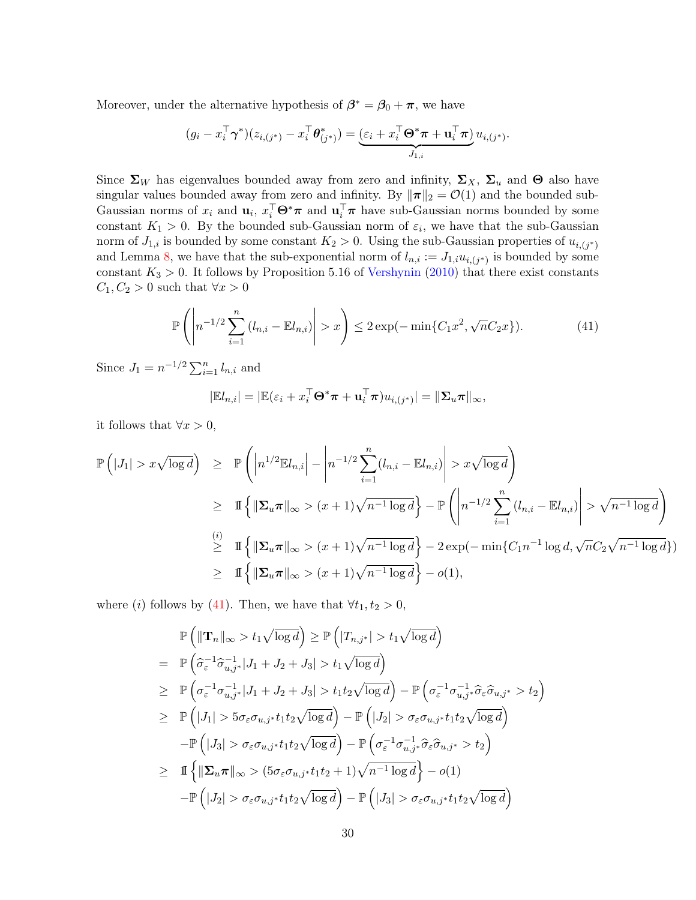Moreover, under the alternative hypothesis of  $\beta^* = \beta_0 + \pi$ , we have

$$
(g_i - x_i^\top \boldsymbol{\gamma}^*)(z_{i,(j^*)} - x_i^\top \boldsymbol{\theta}_{(j^*)}^*) = \underbrace{(\varepsilon_i + x_i^\top \boldsymbol{\Theta}^* \boldsymbol{\pi} + \mathbf{u}_i^\top \boldsymbol{\pi})}_{J_{1,i}} u_{i,(j^*)}.
$$

Since  $\Sigma_W$  has eigenvalues bounded away from zero and infinity,  $\Sigma_X$ ,  $\Sigma_u$  and  $\Theta$  also have singular values bounded away from zero and infinity. By  $\|\pi\|_2 = \mathcal{O}(1)$  and the bounded sub-Gaussian norms of  $x_i$  and  $\mathbf{u}_i$ ,  $x_i^{\top} \mathbf{\Theta}^* \pi$  and  $\mathbf{u}_i^{\top} \pi$  have sub-Gaussian norms bounded by some constant  $K_1 > 0$ . By the bounded sub-Gaussian norm of  $\varepsilon_i$ , we have that the sub-Gaussian norm of  $J_{1,i}$  is bounded by some constant  $K_2 > 0$ . Using the sub-Gaussian properties of  $u_{i,(j^*)}$ and Lemma 8, we have that the sub-exponential norm of  $l_{n,i} := J_{1,i} u_{i,(j^*)}$  is bounded by some constant  $K_3 > 0$ . It follows by Proposition 5.16 of Vershynin (2010) that there exist constants  $C_1, C_2 > 0$  such that  $\forall x > 0$ 

$$
\mathbb{P}\left(\left|n^{-1/2}\sum_{i=1}^{n}\left(l_{n,i}-\mathbb{E}l_{n,i}\right)\right|>x\right)\leq 2\exp(-\min\{C_1x^2,\sqrt{n}C_2x\}).\tag{41}
$$

Since  $J_1 = n^{-1/2} \sum_{i=1}^n l_{n,i}$  and

$$
|\mathbb{E}l_{n,i}|=|\mathbb{E}(\varepsilon_i+x_i^{\top}\Theta^*\pi+\mathbf{u}_i^{\top}\pi)u_{i,(j^*)}|=||\mathbf{\Sigma}_u\pi||_{\infty},
$$

it follows that  $\forall x > 0$ ,

$$
\mathbb{P}\left(|J_1| > x\sqrt{\log d}\right) \geq \mathbb{P}\left(\left|n^{1/2}\mathbb{E}l_{n,i}\right| - \left|n^{-1/2}\sum_{i=1}^n (l_{n,i} - \mathbb{E}l_{n,i})\right| > x\sqrt{\log d}\right)
$$
  
\n
$$
\geq \mathbb{I}\left\{\left\|\sum_u \pi\right\|_{\infty} > (x+1)\sqrt{n^{-1}\log d}\right\} - \mathbb{P}\left(\left|n^{-1/2}\sum_{i=1}^n (l_{n,i} - \mathbb{E}l_{n,i})\right| > \sqrt{n^{-1}\log d}\right\}
$$
  
\n
$$
\geq \mathbb{I}\left\{\left\|\sum_u \pi\right\|_{\infty} > (x+1)\sqrt{n^{-1}\log d}\right\} - 2\exp(-\min\{C_1n^{-1}\log d, \sqrt{n}C_2\sqrt{n^{-1}\log d}\})
$$
  
\n
$$
\geq \mathbb{I}\left\{\left\|\sum_u \pi\right\|_{\infty} > (x+1)\sqrt{n^{-1}\log d}\right\} - o(1),
$$

where (i) follows by (41). Then, we have that  $\forall t_1, t_2 > 0$ ,

$$
\mathbb{P}\left(\|\mathbf{T}_{n}\|_{\infty}>t_{1}\sqrt{\log d}\right)\geq \mathbb{P}\left(|T_{n,j^{*}}|>t_{1}\sqrt{\log d}\right)
$$
\n
$$
=\mathbb{P}\left(\widehat{\sigma}_{\varepsilon}^{-1}\widehat{\sigma}_{u,j^{*}}^{-1}|J_{1}+J_{2}+J_{3}|>t_{1}\sqrt{\log d}\right)
$$
\n
$$
\geq \mathbb{P}\left(\sigma_{\varepsilon}^{-1}\sigma_{u,j^{*}}^{-1}|J_{1}+J_{2}+J_{3}|>t_{1}t_{2}\sqrt{\log d}\right)-\mathbb{P}\left(\sigma_{\varepsilon}^{-1}\sigma_{u,j^{*}}^{-1}\widehat{\sigma}_{\varepsilon}\widehat{\sigma}_{u,j^{*}}>t_{2}\right)
$$
\n
$$
\geq \mathbb{P}\left(|J_{1}|>5\sigma_{\varepsilon}\sigma_{u,j^{*}}t_{1}t_{2}\sqrt{\log d}\right)-\mathbb{P}\left(|J_{2}|>\sigma_{\varepsilon}\sigma_{u,j^{*}}t_{1}t_{2}\sqrt{\log d}\right)
$$
\n
$$
-\mathbb{P}\left(|J_{3}|>\sigma_{\varepsilon}\sigma_{u,j^{*}}t_{1}t_{2}\sqrt{\log d}\right)-\mathbb{P}\left(\sigma_{\varepsilon}^{-1}\sigma_{u,j^{*}}^{-1}\widehat{\sigma}_{\varepsilon}\widehat{\sigma}_{u,j^{*}}>t_{2}\right)
$$
\n
$$
\geq \mathbb{I}\left\{\|\mathbf{\Sigma}_{u}\pi\|_{\infty}>(5\sigma_{\varepsilon}\sigma_{u,j^{*}}t_{1}t_{2}+1)\sqrt{n^{-1}\log d}\right\}-o(1)
$$
\n
$$
-\mathbb{P}\left(|J_{2}|>\sigma_{\varepsilon}\sigma_{u,j^{*}}t_{1}t_{2}\sqrt{\log d}\right)-\mathbb{P}\left(|J_{3}|>\sigma_{\varepsilon}\sigma_{u,j^{*}}t_{1}t_{2}\sqrt{\log d}\right)
$$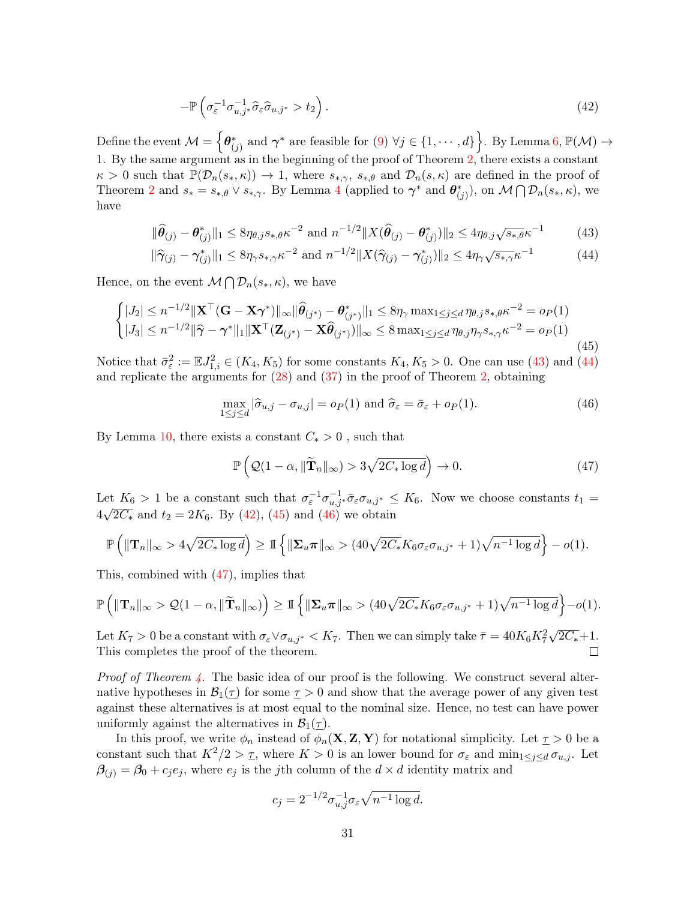$$
-\mathbb{P}\left(\sigma_{\varepsilon}^{-1}\sigma_{u,j^*}^{-1}\widehat{\sigma}_{\varepsilon}\widehat{\sigma}_{u,j^*} > t_2\right). \tag{42}
$$

Define the event  $\mathcal{M} = \left\{\boldsymbol{\theta}^*_{(j)} \text{ and } \boldsymbol{\gamma}^* \text{ are feasible for } (9) \ \forall j \in \{1, \cdots, d\} \right\}$ . By Lemma 6,  $\mathbb{P}(\mathcal{M}) \to$ 1. By the same argument as in the beginning of the proof of Theorem 2, there exists a constant  $\kappa > 0$  such that  $\mathbb{P}(\mathcal{D}_n(s_*,\kappa)) \to 1$ , where  $s_{*,\gamma}$ ,  $s_{*,\theta}$  and  $\mathcal{D}_n(s,\kappa)$  are defined in the proof of Theorem 2 and  $s_* = s_{*,\theta} \vee s_{*,\gamma}$ . By Lemma 4 (applied to  $\gamma^*$  and  $\theta^*_{(j)}$ ), on  $\mathcal{M} \bigcap \mathcal{D}_n(s_*,\kappa)$ , we have

$$
\|\widehat{\theta}_{(j)} - \theta_{(j)}^*\|_1 \le 8\eta_{\theta,j} s_{*,\theta} \kappa^{-2} \text{ and } n^{-1/2} \|X(\widehat{\theta}_{(j)} - \theta_{(j)}^*)\|_2 \le 4\eta_{\theta,j} \sqrt{s_{*,\theta}} \kappa^{-1}
$$
(43)

$$
\|\hat{\gamma}_{(j)} - \gamma_{(j)}^*\|_1 \le 8\eta_{\gamma} s_{*,\gamma} \kappa^{-2} \text{ and } n^{-1/2} \|X(\hat{\gamma}_{(j)} - \gamma_{(j)}^*)\|_2 \le 4\eta_{\gamma} \sqrt{s_{*,\gamma}} \kappa^{-1}
$$
(44)

Hence, on the event  $\mathcal{M} \bigcap \mathcal{D}_n(s_*, \kappa)$ , we have

$$
\begin{cases}\n|J_2| \leq n^{-1/2} \|\mathbf{X}^\top (\mathbf{G} - \mathbf{X} \boldsymbol{\gamma}^*)\|_{\infty} \|\widehat{\boldsymbol{\theta}}_{(j^*)} - \boldsymbol{\theta}_{(j^*)}^*\|_1 \leq 8\eta_{\gamma} \max_{1 \leq j \leq d} \eta_{\theta, j} s_{*,\theta} \kappa^{-2} = o_P(1) \\
|J_3| \leq n^{-1/2} \|\widehat{\boldsymbol{\gamma}} - \boldsymbol{\gamma}^*\|_1 \|\mathbf{X}^\top (\mathbf{Z}_{(j^*)} - \mathbf{X} \widehat{\boldsymbol{\theta}}_{(j^*)})\|_{\infty} \leq 8 \max_{1 \leq j \leq d} \eta_{\theta, j} \eta_{\gamma} s_{*,\gamma} \kappa^{-2} = o_P(1)\n\end{cases}
$$
\n(45)

Notice that  $\bar{\sigma}_{\varepsilon}^2 := \mathbb{E} J_{1,i}^2 \in (K_4, K_5)$  for some constants  $K_4, K_5 > 0$ . One can use (43) and (44) and replicate the arguments for (28) and (37) in the proof of Theorem 2, obtaining

$$
\max_{1 \le j \le d} |\hat{\sigma}_{u,j} - \sigma_{u,j}| = o_P(1) \text{ and } \hat{\sigma}_{\varepsilon} = \bar{\sigma}_{\varepsilon} + o_P(1). \tag{46}
$$

By Lemma 10, there exists a constant  $C_* > 0$ , such that

$$
\mathbb{P}\left(Q(1-\alpha, \|\widetilde{\mathbf{T}}_n\|_{\infty}) > 3\sqrt{2C_*\log d}\right) \to 0. \tag{47}
$$

Let  $K_6 > 1$  be a constant such that  $\sigma_{\varepsilon}^{-1} \sigma_{u,j^*}^{-1} \bar{\sigma}_{\varepsilon} \sigma_{u,j^*} \leq K_6$ . Now we choose constants  $t_1 =$  $4\sqrt{2C_*}$  and  $t_2 = 2K_6$ . By (42), (45) and (46) we obtain

$$
\mathbb{P}\left(\|\mathbf{T}_{n}\|_{\infty} > 4\sqrt{2C_{*}\log d}\right) \geq \mathbb{I}\left\{\|\mathbf{\Sigma}_{u}\pi\|_{\infty} > (40\sqrt{2C_{*}}K_{6}\sigma_{\varepsilon}\sigma_{u,j^{*}} + 1)\sqrt{n^{-1}\log d}\right\} - o(1).
$$

This, combined with (47), implies that

$$
\mathbb{P}\left(\|\mathbf{T}_{n}\|_{\infty} > \mathcal{Q}(1-\alpha, \|\widetilde{\mathbf{T}}_{n}\|_{\infty})\right) \geq \mathbb{I}\left\{\|\Sigma_{u}\pi\|_{\infty} > (40\sqrt{2C_{*}}K_{6}\sigma_{\varepsilon}\sigma_{u,j^{*}} + 1)\sqrt{n^{-1}\log d}\right\} - o(1).
$$

Let  $K_7 > 0$  be a constant with  $\sigma_{\varepsilon} \vee \sigma_{u,j^*} < K_7$ . Then we can simply take  $\bar{\tau} = 40K_6K_7^2\sqrt{2C_*} + 1$ . This completes the proof of the theorem.

*Proof of Theorem 4.* The basic idea of our proof is the following. We construct several alternative hypotheses in  $\mathcal{B}_1(\tau)$  for some  $\tau > 0$  and show that the average power of any given test against these alternatives is at most equal to the nominal size. Hence, no test can have power uniformly against the alternatives in  $\mathcal{B}_1(\tau)$ .

In this proof, we write  $\phi_n$  instead of  $\phi_n(\mathbf{X}, \mathbf{Z}, \mathbf{Y})$  for notational simplicity. Let  $\tau > 0$  be a constant such that  $K^2/2 > \tau$ , where  $K > 0$  is an lower bound for  $\sigma_{\varepsilon}$  and  $\min_{1 \leq j \leq d} \sigma_{u,j}$ . Let  $\beta(i) = \beta_0 + c_j e_j$ , where  $e_j$  is the j<sup>th</sup> column of the  $d \times d$  identity matrix and

$$
c_j = 2^{-1/2} \sigma_{u,j}^{-1} \sigma_{\varepsilon} \sqrt{n^{-1} \log d}.
$$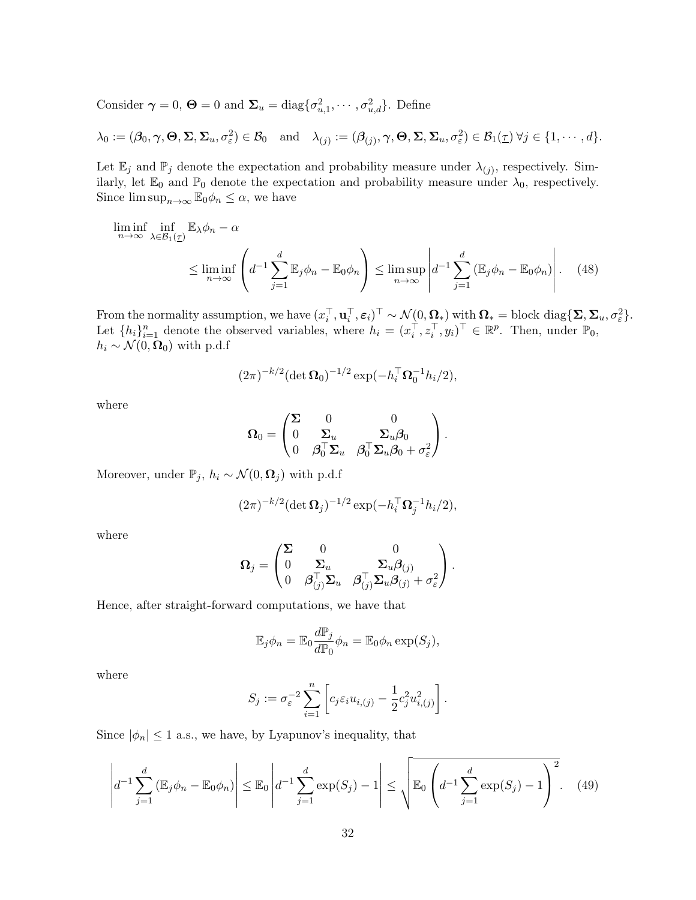Consider  $\gamma = 0$ ,  $\mathbf{\Theta} = 0$  and  $\mathbf{\Sigma}_u = \text{diag}\{\sigma_{u,1}^2, \cdots, \sigma_{u,d}^2\}$ . Define

$$
\lambda_0 := (\boldsymbol{\beta}_0, \boldsymbol{\gamma}, \boldsymbol{\Theta}, \boldsymbol{\Sigma}, \boldsymbol{\Sigma}_u, \sigma_{\varepsilon}^2) \in \mathcal{B}_0 \quad \text{and} \quad \lambda_{(j)} := (\boldsymbol{\beta}_{(j)}, \boldsymbol{\gamma}, \boldsymbol{\Theta}, \boldsymbol{\Sigma}, \boldsymbol{\Sigma}_u, \sigma_{\varepsilon}^2) \in \mathcal{B}_1(\underline{\tau}) \ \forall j \in \{1, \cdots, d\}.
$$

Let  $\mathbb{E}_j$  and  $\mathbb{P}_j$  denote the expectation and probability measure under  $\lambda_{(j)}$ , respectively. Similarly, let  $\mathbb{E}_0$  and  $\mathbb{P}_0$  denote the expectation and probability measure under  $\lambda_0$ , respectively. Since  $\limsup_{n\to\infty} \mathbb{E}_0 \phi_n \leq \alpha$ , we have

$$
\liminf_{n \to \infty} \inf_{\lambda \in \mathcal{B}_1(\underline{\tau})} \mathbb{E}_{\lambda} \phi_n - \alpha \le \liminf_{n \to \infty} \left( d^{-1} \sum_{j=1}^d \mathbb{E}_j \phi_n - \mathbb{E}_0 \phi_n \right) \le \limsup_{n \to \infty} \left| d^{-1} \sum_{j=1}^d \left( \mathbb{E}_j \phi_n - \mathbb{E}_0 \phi_n \right) \right|.
$$
 (48)

From the normality assumption, we have  $(x_i^\top, \mathbf{u}_i^\top, \boldsymbol{\varepsilon}_i)^\top \sim \mathcal{N}(\mathbf{0}, \mathbf{\Omega}_*)$  with  $\mathbf{\Omega}_* = \text{block diag}\{\mathbf{\Sigma}, \mathbf{\Sigma}_u, \sigma_{\varepsilon}^2\}.$ Let  $\{h_i\}_{i=1}^n$  denote the observed variables, where  $h_i = (x_i^\top, z_i^\top, y_i)^\top \in \mathbb{R}^p$ . Then, under  $\mathbb{P}_0$ ,  $h_i \sim \mathcal{N}(0, \Omega_0)$  with p.d.f

$$
(2\pi)^{-k/2} (\det \mathbf{\Omega}_0)^{-1/2} \exp(-h_i^{\top} \mathbf{\Omega}_0^{-1} h_i/2),
$$

where

$$
\mathbf{\Omega}_0 = \begin{pmatrix} \mathbf{\Sigma} & 0 & 0 \\ 0 & \mathbf{\Sigma}_u & \mathbf{\Sigma}_u\boldsymbol{\beta}_0 \\ 0 & \boldsymbol{\beta}_0^\top\mathbf{\Sigma}_u & \boldsymbol{\beta}_0^\top\mathbf{\Sigma}_u\boldsymbol{\beta}_0 + \sigma_\varepsilon^2 \end{pmatrix}.
$$

Moreover, under  $\mathbb{P}_j$ ,  $h_i \sim \mathcal{N}(0, \mathbf{\Omega}_j)$  with p.d.f

$$
(2\pi)^{-k/2} (\det \Omega_j)^{-1/2} \exp(-h_i^{\top} \Omega_j^{-1} h_i/2),
$$

where

$$
\boldsymbol{\Omega}_j = \begin{pmatrix} \boldsymbol{\Sigma} & 0 & 0 \\ 0 & \boldsymbol{\Sigma}_u & \boldsymbol{\Sigma}_u \boldsymbol{\beta}_{(j)} \\ 0 & \boldsymbol{\beta}_{(j)}^\top \boldsymbol{\Sigma}_u & \boldsymbol{\beta}_{(j)}^\top \boldsymbol{\Sigma}_u \boldsymbol{\beta}_{(j)} + \sigma_{\varepsilon}^2 \end{pmatrix}.
$$

Hence, after straight-forward computations, we have that

$$
\mathbb{E}_j \phi_n = \mathbb{E}_0 \frac{d\mathbb{P}_j}{d\mathbb{P}_0} \phi_n = \mathbb{E}_0 \phi_n \exp(S_j),
$$

where

$$
S_j := \sigma_{\varepsilon}^{-2} \sum_{i=1}^n \left[ c_j \varepsilon_i u_{i,(j)} - \frac{1}{2} c_j^2 u_{i,(j)}^2 \right].
$$

Since  $|\phi_n| \leq 1$  a.s., we have, by Lyapunov's inequality, that

$$
\left| d^{-1} \sum_{j=1}^{d} \left( \mathbb{E}_{j} \phi_{n} - \mathbb{E}_{0} \phi_{n} \right) \right| \leq \mathbb{E}_{0} \left| d^{-1} \sum_{j=1}^{d} \exp(S_{j}) - 1 \right| \leq \sqrt{\mathbb{E}_{0} \left( d^{-1} \sum_{j=1}^{d} \exp(S_{j}) - 1 \right)^{2}}.
$$
 (49)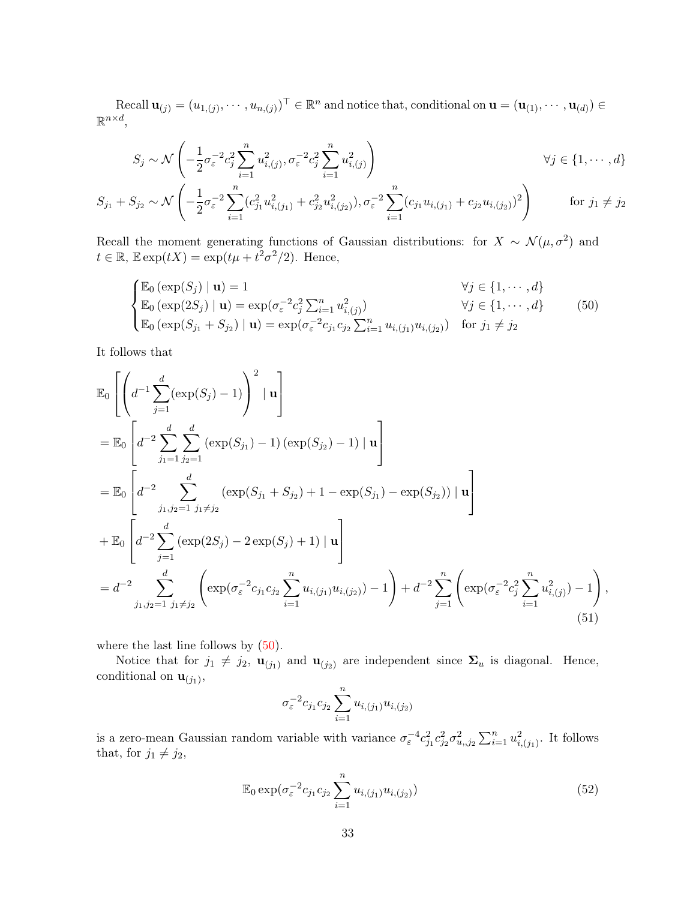Recall  $\mathbf{u}_{(j)} = (u_{1,(j)}, \cdots, u_{n,(j)})^{\top} \in \mathbb{R}^n$  and notice that, conditional on  $\mathbf{u} = (\mathbf{u}_{(1)}, \cdots, \mathbf{u}_{(d)}) \in$  $\mathbb{R}^{n \times d}$ ,

$$
S_j \sim \mathcal{N}\left(-\frac{1}{2}\sigma_{\varepsilon}^{-2}c_j^2\sum_{i=1}^n u_{i,(j)}^2, \sigma_{\varepsilon}^{-2}c_j^2\sum_{i=1}^n u_{i,(j)}^2\right) \qquad \forall j \in \{1, \cdots, d\}
$$

$$
S_{j_1} + S_{j_2} \sim \mathcal{N}\left(-\frac{1}{2}\sigma_\varepsilon^{-2} \sum_{i=1}^n (c_{j_1}^2 u_{i,(j_1)}^2 + c_{j_2}^2 u_{i,(j_2)}^2), \sigma_\varepsilon^{-2} \sum_{i=1}^n (c_{j_1} u_{i,(j_1)} + c_{j_2} u_{i,(j_2)})^2\right) \qquad \text{for } j_1 \neq j_2
$$

Recall the moment generating functions of Gaussian distributions: for  $X \sim \mathcal{N}(\mu, \sigma^2)$  and  $t \in \mathbb{R}, \mathbb{E} \exp(tX) = \exp(t\mu + t^2\sigma^2/2).$  Hence,

$$
\begin{cases}\n\mathbb{E}_0 (\exp(S_j) \mid \mathbf{u}) = 1 & \forall j \in \{1, \dots, d\} \\
\mathbb{E}_0 (\exp(2S_j) \mid \mathbf{u}) = \exp(\sigma_{\varepsilon}^{-2} c_j^2 \sum_{i=1}^n u_{i,(j)}^2) & \forall j \in \{1, \dots, d\} \\
\mathbb{E}_0 (\exp(S_{j_1} + S_{j_2}) \mid \mathbf{u}) = \exp(\sigma_{\varepsilon}^{-2} c_{j_1} c_{j_2} \sum_{i=1}^n u_{i,(j_1)} u_{i,(j_2)}) & \text{for } j_1 \neq j_2\n\end{cases}
$$
(50)

It follows that

$$
\mathbb{E}_{0}\left[\left(d^{-1}\sum_{j=1}^{d}(\exp(S_{j})-1)\right)^{2}|\mathbf{u}\right]
$$
\n
$$
=\mathbb{E}_{0}\left[d^{-2}\sum_{j_{1}=1}^{d}\sum_{j_{2}=1}^{d}(\exp(S_{j_{1}})-1)(\exp(S_{j_{2}})-1)|\mathbf{u}\right]
$$
\n
$$
=\mathbb{E}_{0}\left[d^{-2}\sum_{j_{1},j_{2}=1}^{d}\sum_{j_{1}\neq j_{2}}^{d}(\exp(S_{j_{1}}+S_{j_{2}})+1-\exp(S_{j_{1}})-\exp(S_{j_{2}}))|\mathbf{u}\right]
$$
\n
$$
+\mathbb{E}_{0}\left[d^{-2}\sum_{j=1}^{d}(\exp(2S_{j})-2\exp(S_{j})+1)|\mathbf{u}\right]
$$
\n
$$
=d^{-2}\sum_{j_{1},j_{2}=1}^{d}\sum_{j_{1}\neq j_{2}}^{d}\left(\exp(\sigma_{\varepsilon}^{-2}c_{j_{1}}c_{j_{2}}\sum_{i=1}^{n}u_{i,(j_{1})}u_{i,(j_{2})})-1\right)+d^{-2}\sum_{j=1}^{n}\left(\exp(\sigma_{\varepsilon}^{-2}c_{j}^{2}\sum_{i=1}^{n}u_{i,(j)}^{2})-1\right),\tag{51}
$$

where the last line follows by  $(50)$ .

Notice that for  $j_1 \neq j_2$ ,  $\mathbf{u}_{(j_1)}$  and  $\mathbf{u}_{(j_2)}$  are independent since  $\Sigma_u$  is diagonal. Hence, conditional on  $\mathbf{u}_{(j_1)}$ ,

$$
\sigma_{\varepsilon}^{-2} c_{j_1} c_{j_2} \sum_{i=1}^n u_{i,(j_1)} u_{i,(j_2)}
$$

is a zero-mean Gaussian random variable with variance  $\sigma_{\varepsilon}^{-4} c_{j_1}^2 c_{j_2}^2 \sigma_{u,j_2}^2 \sum_{i=1}^n u_{i,(j_1)}^2$ . It follows that, for  $j_1 \neq j_2$ ,

$$
\mathbb{E}_0 \exp(\sigma_{\varepsilon}^{-2} c_{j_1} c_{j_2} \sum_{i=1}^n u_{i,(j_1)} u_{i,(j_2)})
$$
\n(52)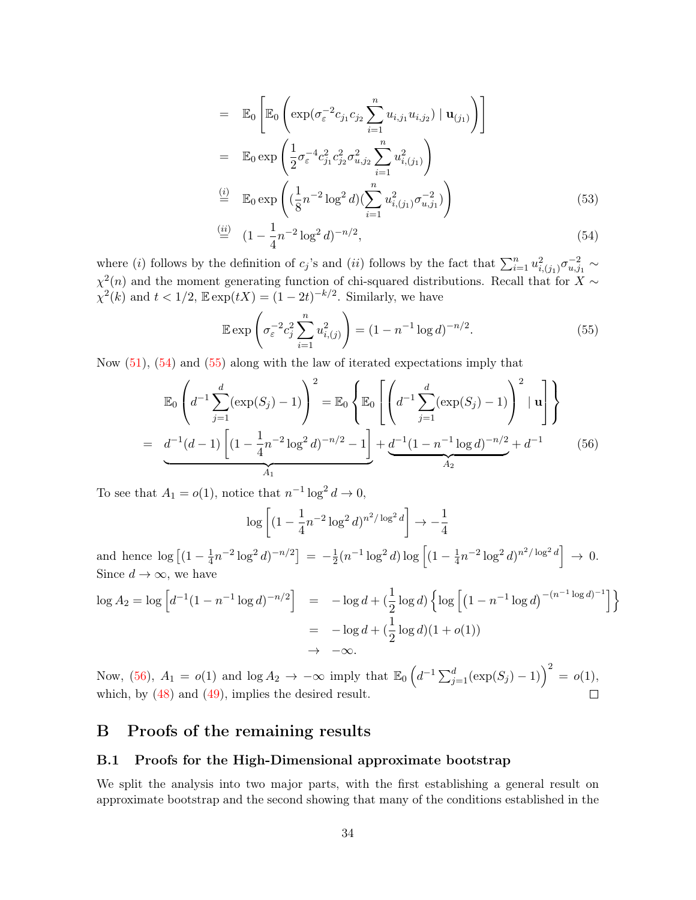$$
= \mathbb{E}_{0} \left[ \mathbb{E}_{0} \left( \exp \left( \sigma_{\varepsilon}^{-2} c_{j_{1}} c_{j_{2}} \sum_{i=1}^{n} u_{i,j_{1}} u_{i,j_{2}} \right) \mid \mathbf{u}_{(j_{1})} \right) \right]
$$
  
\n
$$
= \mathbb{E}_{0} \exp \left( \frac{1}{2} \sigma_{\varepsilon}^{-4} c_{j_{1}}^{2} c_{j_{2}}^{2} \sigma_{u,j_{2}}^{2} \sum_{i=1}^{n} u_{i,(j_{1})}^{2} \right)
$$
  
\n
$$
\stackrel{\text{(i)}}{=} \mathbb{E}_{0} \exp \left( \left( \frac{1}{8} n^{-2} \log^{2} d \right) \left( \sum_{i=1}^{n} u_{i,(j_{1})}^{2} \sigma_{u,j_{1}}^{-2} \right) \right)
$$
  
\n
$$
\stackrel{\text{(ii)}}{=} \left( 1 - \frac{1}{4} n^{-2} \log^{2} d \right)^{-n/2}, \tag{54}
$$

where (*i*) follows by the definition of  $c_j$ 's and (*ii*) follows by the fact that  $\sum_{i=1}^n u_{i,(j_1)}^2 \sigma_{u,j_1}^{-2} \sim$  $\chi^2(n)$  and the moment generating function of chi-squared distributions. Recall that for X ∼  $\chi^2(k)$  and  $t < 1/2$ ,  $\mathbb{E} \exp(tX) = (1 - 2t)^{-k/2}$ . Similarly, we have

$$
\mathbb{E} \exp\left(\sigma_{\varepsilon}^{-2} c_j^2 \sum_{i=1}^n u_{i,(j)}^2\right) = (1 - n^{-1} \log d)^{-n/2}.
$$
 (55)

Now (51), (54) and (55) along with the law of iterated expectations imply that

$$
\mathbb{E}_0\left(d^{-1}\sum_{j=1}^d(\exp(S_j)-1)\right)^2 = \mathbb{E}_0\left\{\mathbb{E}_0\left[\left(d^{-1}\sum_{j=1}^d(\exp(S_j)-1)\right)^2|\mathbf{u}\right]\right\}
$$

$$
=\underbrace{d^{-1}(d-1)\left[(1-\frac{1}{4}n^{-2}\log^2 d)^{-n/2}-1\right]}_{A_1}+\underbrace{d^{-1}(1-n^{-1}\log d)^{-n/2}}_{A_2}+d^{-1}
$$
(56)

To see that  $A_1 = o(1)$ , notice that  $n^{-1} \log^2 d \to 0$ ,

$$
\log \left[ (1 - \frac{1}{4} n^{-2} \log^2 d)^{n^2/\log^2 d} \right] \to -\frac{1}{4}
$$

and hence  $\log \left[ (1 - \frac{1}{4}) \right]$  $\frac{1}{4}n^{-2}\log^2 d)^{-n/2}$  =  $-\frac{1}{2}$  $\frac{1}{2}(n^{-1}\log^2 d)\log\left[(1-\frac{1}{4})\right]$  $\frac{1}{4}n^{-2}\log^2 d)^{n^2/\log^2 d}$   $\rightarrow 0.$ Since  $d \to \infty$ , we have

$$
\log A_2 = \log \left[ d^{-1} (1 - n^{-1} \log d)^{-n/2} \right] = -\log d + \left( \frac{1}{2} \log d \right) \left\{ \log \left[ (1 - n^{-1} \log d)^{-(n^{-1} \log d)^{-1}} \right] \right\}
$$
  
= -\log d + \left( \frac{1}{2} \log d \right) (1 + o(1))  
 $\to -\infty.$ 

Now, (56),  $A_1 = o(1)$  and  $\log A_2 \to -\infty$  imply that  $\mathbb{E}_0 \left( d^{-1} \sum_{j=1}^d (\exp(S_j) - 1) \right)^2 = o(1)$ , which, by (48) and (49), implies the desired result.

### B Proofs of the remaining results

### B.1 Proofs for the High-Dimensional approximate bootstrap

We split the analysis into two major parts, with the first establishing a general result on approximate bootstrap and the second showing that many of the conditions established in the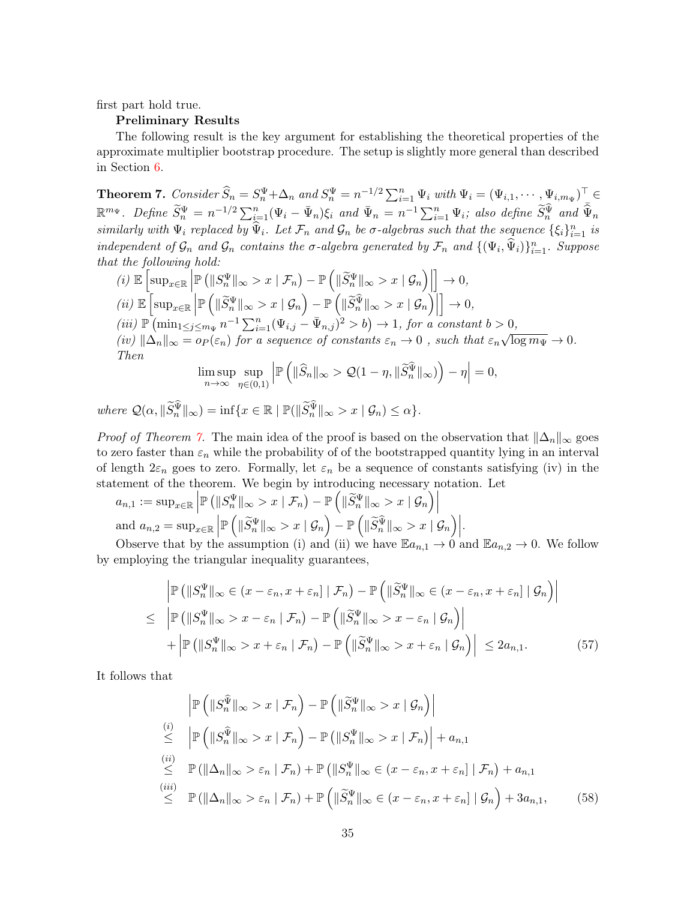first part hold true.

#### Preliminary Results

The following result is the key argument for establishing the theoretical properties of the approximate multiplier bootstrap procedure. The setup is slightly more general than described in Section 6.

**Theorem 7.** Consider  $\widehat{S}_n = S_n^{\Psi} + \Delta_n$  and  $S_n^{\Psi} = n^{-1/2} \sum_{i=1}^n \Psi_i$  with  $\Psi_i = (\Psi_{i,1}, \cdots, \Psi_{i,m_{\Psi}})^\top \in$  $\mathbb{R}^{m_{\Psi}}$ . Define  $\widetilde{S}_n^{\Psi} = n^{-1/2} \sum_{i=1}^n (\Psi_i - \bar{\Psi}_n) \xi_i$  and  $\bar{\Psi}_n = n^{-1} \sum_{i=1}^n \Psi_i$ ; also define  $\widetilde{S}_n^{\widehat{\Psi}}$  and  $\bar{\widehat{\Psi}}_n$ similarly with  $\Psi_i$  replaced by  $\widehat{\Psi}_i$ . Let  $\mathcal{F}_n$  and  $\mathcal{G}_n$  be  $\sigma$ -algebras such that the sequence  $\{\xi_i\}_{i=1}^n$  is independent of  $\mathcal{G}_n$  and  $\mathcal{G}_n$  contains the  $\sigma$ -algebra generated by  $\mathcal{F}_n$  and  $\{(\Psi_i, \widehat{\Psi}_i)\}_{i=1}^n$ . Suppose that the following hold:

(i) 
$$
\mathbb{E}\left[\sup_{x \in \mathbb{R}} \left| \mathbb{P}\left(\|S_n^{\Psi}\|_{\infty} > x \mid \mathcal{F}_n\right) - \mathbb{P}\left(\|\widetilde{S}_n^{\Psi}\|_{\infty} > x \mid \mathcal{G}_n\right) \right|\right] \to 0,
$$
  
\n(ii)  $\mathbb{E}\left[\sup_{x \in \mathbb{R}} \left| \mathbb{P}\left(\|\widetilde{S}_n^{\Psi}\|_{\infty} > x \mid \mathcal{G}_n\right) - \mathbb{P}\left(\|\widetilde{S}_n^{\widetilde{\Psi}}\|_{\infty} > x \mid \mathcal{G}_n\right) \right|\right] \to 0,$   
\n(iii)  $\mathbb{P}\left(\min_{1 \leq j \leq m_{\Psi}} n^{-1} \sum_{i=1}^n (\Psi_{i,j} - \bar{\Psi}_{n,j})^2 > b\right) \to 1$ , for a constant  $b > 0$ ,  
\n(iv)  $\|\Delta_n\|_{\infty} = op(\varepsilon_n)$  for a sequence of constants  $\varepsilon_n \to 0$ , such that  $\varepsilon_n \sqrt{\log m_{\Psi}} \to 0$ .  
\nThen  
\n $\limsup_{n \to \infty} \limsup_{n \to \infty} \left| \mathbb{P}\left(\|\widehat{S}_n\|_{\infty} > O(1 - \varepsilon) \|\widetilde{S}_n^{\widetilde{\Psi}}\|_{\infty}\right) \right| \to 0$ 

$$
\limsup_{n\to\infty}\sup_{\eta\in(0,1)}\left|\mathbb{P}\left(\|\widehat{S}_n\|_{\infty}>\mathcal{Q}(1-\eta,\|\widetilde{S}_n^{\widehat{\Psi}}\|_{\infty})\right)-\eta\right|=0,
$$

where  $\mathcal{Q}(\alpha, \|\tilde{S}_n^{\Psi}\|_{\infty}) = \inf \{x \in \mathbb{R} \mid \mathbb{P}(\|\tilde{S}_n^{\Psi}\|_{\infty} > x \mid \mathcal{G}_n) \leq \alpha\}.$ 

*Proof of Theorem 7.* The main idea of the proof is based on the observation that  $\|\Delta_n\|_{\infty}$  goes to zero faster than  $\varepsilon_n$  while the probability of of the bootstrapped quantity lying in an interval of length  $2\varepsilon_n$  goes to zero. Formally, let  $\varepsilon_n$  be a sequence of constants satisfying (iv) in the statement of the theorem. We begin by introducing necessary notation. Let

$$
a_{n,1} := \sup_{x \in \mathbb{R}} \left| \mathbb{P} \left( \|S_n^{\Psi}\|_{\infty} > x \mid \mathcal{F}_n \right) - \mathbb{P} \left( \| \widetilde{S}_n^{\Psi} \|_{\infty} > x \mid \mathcal{G}_n \right) \right|
$$
  
and 
$$
a_{n,2} = \sup_{x \in \mathbb{R}} \left| \mathbb{P} \left( \| \widetilde{S}_n^{\Psi} \|_{\infty} > x \mid \mathcal{G}_n \right) - \mathbb{P} \left( \| \widetilde{S}_n^{\widetilde{\Psi}} \|_{\infty} > x \mid \mathcal{G}_n \right) \right|.
$$
 Observe that by the assumption (i) and (ii) we have Eq. 1.30.

Observe that by the assumption (i) and (ii) we have  $\mathbb{E}a_{n,1} \to 0$  and  $\mathbb{E}a_{n,2} \to 0$ . We follow by employing the triangular inequality guarantees,

$$
\mathbb{P}\left(\|S_n^{\Psi}\|_{\infty} \in (x - \varepsilon_n, x + \varepsilon_n] \mid \mathcal{F}_n\right) - \mathbb{P}\left(\|\widetilde{S}_n^{\Psi}\|_{\infty} \in (x - \varepsilon_n, x + \varepsilon_n] \mid \mathcal{G}_n\right) \big|
$$
  
\n
$$
\leq \left| \mathbb{P}\left(\|S_n^{\Psi}\|_{\infty} > x - \varepsilon_n \mid \mathcal{F}_n\right) - \mathbb{P}\left(\|\widetilde{S}_n^{\Psi}\|_{\infty} > x - \varepsilon_n \mid \mathcal{G}_n\right) \right|
$$
  
\n
$$
+ \left| \mathbb{P}\left(\|S_n^{\Psi}\|_{\infty} > x + \varepsilon_n \mid \mathcal{F}_n\right) - \mathbb{P}\left(\|\widetilde{S}_n^{\Psi}\|_{\infty} > x + \varepsilon_n \mid \mathcal{G}_n\right) \right| \leq 2a_{n,1}.
$$
 (57)

It follows that

$$
\begin{aligned}\n\left| \mathbb{P} \left( \|S_n^{\widehat{\Psi}}\|_{\infty} > x \mid \mathcal{F}_n \right) - \mathbb{P} \left( \| \widetilde{S}_n^{\Psi} \|_{\infty} > x \mid \mathcal{G}_n \right) \right| \\
&\stackrel{(i)}{\leq} \left| \mathbb{P} \left( \|S_n^{\widehat{\Psi}}\|_{\infty} > x \mid \mathcal{F}_n \right) - \mathbb{P} \left( \|S_n^{\Psi} \|_{\infty} > x \mid \mathcal{F}_n \right) \right| + a_{n,1} \\
&\stackrel{(ii)}{\leq} \mathbb{P} \left( \| \Delta_n \|_{\infty} > \varepsilon_n \mid \mathcal{F}_n \right) + \mathbb{P} \left( \|S_n^{\Psi} \|_{\infty} \in (x - \varepsilon_n, x + \varepsilon_n] \mid \mathcal{F}_n \right) + a_{n,1} \\
&\stackrel{(iii)}{\leq} \mathbb{P} \left( \| \Delta_n \|_{\infty} > \varepsilon_n \mid \mathcal{F}_n \right) + \mathbb{P} \left( \| \widetilde{S}_n^{\Psi} \|_{\infty} \in (x - \varepsilon_n, x + \varepsilon_n] \mid \mathcal{G}_n \right) + 3a_{n,1},\n\end{aligned} \tag{58}
$$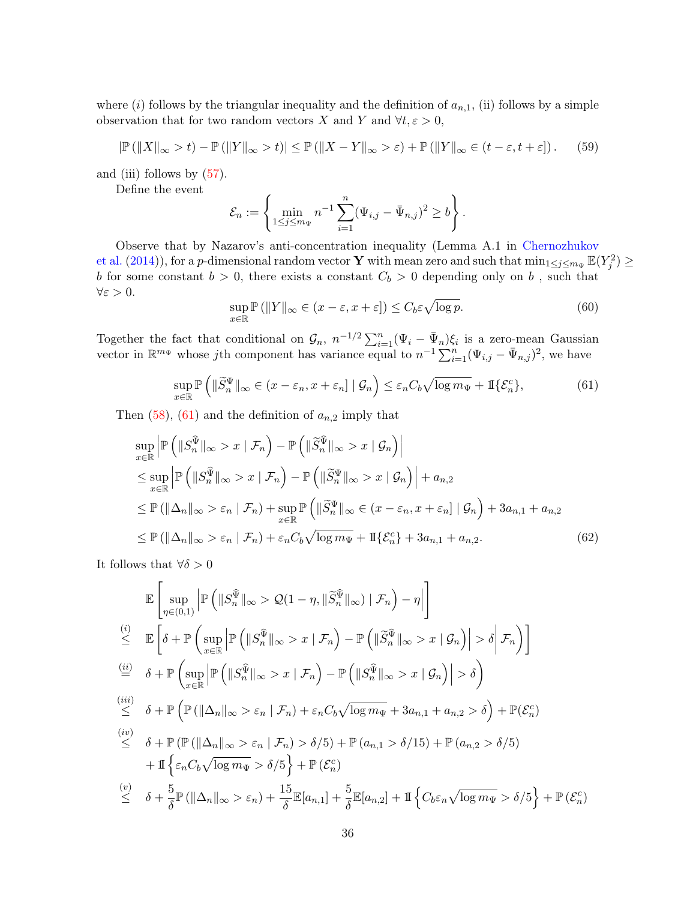where (i) follows by the triangular inequality and the definition of  $a_{n,1}$ , (ii) follows by a simple observation that for two random vectors X and Y and  $\forall t, \varepsilon > 0$ ,

$$
|\mathbb{P}\left(\|X\|_{\infty} > t\right) - \mathbb{P}\left(\|Y\|_{\infty} > t\right)| \le \mathbb{P}\left(\|X - Y\|_{\infty} > \varepsilon\right) + \mathbb{P}\left(\|Y\|_{\infty} \in (t - \varepsilon, t + \varepsilon]\right). \tag{59}
$$

and (iii) follows by (57).

Define the event

$$
\mathcal{E}_n := \left\{ \min_{1 \leq j \leq m_{\Psi}} n^{-1} \sum_{i=1}^n (\Psi_{i,j} - \bar{\Psi}_{n,j})^2 \geq b \right\}.
$$

Observe that by Nazarov's anti-concentration inequality (Lemma A.1 in Chernozhukov et al. (2014)), for a *p*-dimensional random vector **Y** with mean zero and such that  $\min_{1 \le j \le m_{\Psi}} \mathbb{E}(Y_j^2) \ge$ b for some constant  $b > 0$ , there exists a constant  $C_b > 0$  depending only on b, such that  $\forall \varepsilon > 0.$ 

$$
\sup_{x \in \mathbb{R}} \mathbb{P}\left(\|Y\|_{\infty} \in (x - \varepsilon, x + \varepsilon]\right) \le C_b \varepsilon \sqrt{\log p}.\tag{60}
$$

Together the fact that conditional on  $\mathcal{G}_n$ ,  $n^{-1/2} \sum_{i=1}^n (\Psi_i - \bar{\Psi}_n) \xi_i$  is a zero-mean Gaussian vector in  $\mathbb{R}^{m_{\Psi}}$  whose jth component has variance equal to  $n^{-1} \sum_{i=1}^{n} (\Psi_{i,j} - \bar{\Psi}_{n,j})^2$ , we have

$$
\sup_{x \in \mathbb{R}} \mathbb{P}\left(\|\widetilde{S}_n^{\Psi}\|_{\infty} \in (x - \varepsilon_n, x + \varepsilon_n] \mid \mathcal{G}_n\right) \le \varepsilon_n C_b \sqrt{\log m_{\Psi}} + \mathbb{I}\{\mathcal{E}_n^c\},\tag{61}
$$

Then  $(58)$ ,  $(61)$  and the definition of  $a_{n,2}$  imply that

$$
\sup_{x \in \mathbb{R}} \left| \mathbb{P} \left( \|S_n^{\widehat{\Psi}}\|_{\infty} > x \mid \mathcal{F}_n \right) - \mathbb{P} \left( \| \widetilde{S}_n^{\widehat{\Psi}}\|_{\infty} > x \mid \mathcal{G}_n \right) \right|
$$
  
\n
$$
\leq \sup_{x \in \mathbb{R}} \left| \mathbb{P} \left( \|S_n^{\widehat{\Psi}}\|_{\infty} > x \mid \mathcal{F}_n \right) - \mathbb{P} \left( \| \widetilde{S}_n^{\Psi}\|_{\infty} > x \mid \mathcal{G}_n \right) \right| + a_{n,2}
$$
  
\n
$$
\leq \mathbb{P} \left( \| \Delta_n \|_{\infty} > \varepsilon_n \mid \mathcal{F}_n \right) + \sup_{x \in \mathbb{R}} \mathbb{P} \left( \| \widetilde{S}_n^{\Psi}\|_{\infty} \in (x - \varepsilon_n, x + \varepsilon_n] \mid \mathcal{G}_n \right) + 3a_{n,1} + a_{n,2}
$$
  
\n
$$
\leq \mathbb{P} \left( \| \Delta_n \|_{\infty} > \varepsilon_n \mid \mathcal{F}_n \right) + \varepsilon_n C_b \sqrt{\log m_\Psi} + \mathbb{I} \{ \mathcal{E}_n^c \} + 3a_{n,1} + a_{n,2}.
$$
 (62)

It follows that  $\forall \delta > 0$ 

$$
\mathbb{E}\left[\sup_{\eta\in(0,1)}\left|\mathbb{P}\left(\|S_{n}^{\widehat{\Psi}}\|_{\infty} > \mathcal{Q}(1-\eta, \|\widetilde{S}_{n}^{\widehat{\Psi}}\|_{\infty}) \mid \mathcal{F}_{n}\right) - \eta\right|\right]
$$
\n
$$
\leq \mathbb{E}\left[\delta + \mathbb{P}\left(\sup_{x\in\mathbb{R}}\left|\mathbb{P}\left(\|S_{n}^{\widehat{\Psi}}\|_{\infty} > x \mid \mathcal{F}_{n}\right) - \mathbb{P}\left(\|\widetilde{S}_{n}^{\widehat{\Psi}}\|_{\infty} > x \mid \mathcal{G}_{n}\right)\right| > \delta\right|\mathcal{F}_{n}\right)\right]
$$
\n
$$
\stackrel{(ii)}{\leq} \delta + \mathbb{P}\left(\sup_{x\in\mathbb{R}}\left|\mathbb{P}\left(\|S_{n}^{\widehat{\Psi}}\|_{\infty} > x \mid \mathcal{F}_{n}\right) - \mathbb{P}\left(\|S_{n}^{\widehat{\Psi}}\|_{\infty} > x \mid \mathcal{G}_{n}\right)\right| > \delta\right)
$$
\n
$$
\stackrel{(iii)}{\leq} \delta + \mathbb{P}\left(\mathbb{P}(\|\Delta_{n}\|_{\infty} > \varepsilon_{n} \mid \mathcal{F}_{n}) + \varepsilon_{n}C_{b}\sqrt{\log m_{\Psi}} + 3a_{n,1} + a_{n,2} > \delta\right) + \mathbb{P}(\mathcal{E}_{n}^{c})
$$
\n
$$
\stackrel{(iv)}{\leq} \delta + \mathbb{P}\left(\mathbb{P}(\|\Delta_{n}\|_{\infty} > \varepsilon_{n} \mid \mathcal{F}_{n}) > \delta/5\right) + \mathbb{P}(a_{n,1} > \delta/15) + \mathbb{P}(a_{n,2} > \delta/5)
$$
\n
$$
+ \mathbb{I}\left\{\varepsilon_{n}C_{b}\sqrt{\log m_{\Psi}} > \delta/5\right\} + \mathbb{P}(\mathcal{E}_{n}^{c})
$$
\n
$$
\stackrel{(v)}{\leq} \delta + \frac{5}{\delta}\mathbb{P}(\|\Delta_{n}\|_{\infty} > \varepsilon_{n}) + \frac{15}{\delta}\mathbb{E}[a_{n,1}]
$$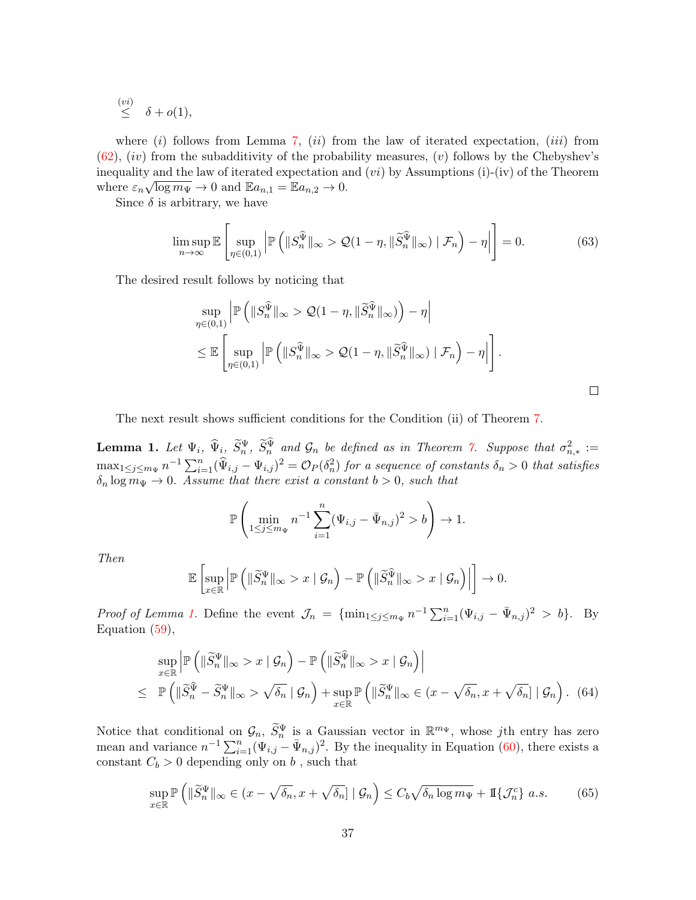$\stackrel{(vi)}{\leq} \delta + o(1),$ 

where  $(i)$  follows from Lemma 7,  $(ii)$  from the law of iterated expectation,  $(iii)$  from  $(62)$ ,  $(iv)$  from the subadditivity of the probability measures,  $(v)$  follows by the Chebyshev's inequality and the law of iterated expectation and  $(vi)$  by Assumptions (i)-(iv) of the Theorem where  $\varepsilon_n \sqrt{\log m_\Psi} \to 0$  and  $\mathbb{E}a_{n,1} = \mathbb{E}a_{n,2} \to 0$ .

Since  $\delta$  is arbitrary, we have

$$
\limsup_{n \to \infty} \mathbb{E} \left[ \sup_{\eta \in (0,1)} \left| \mathbb{P} \left( \|S_n^{\widehat{\Psi}}\|_{\infty} > \mathcal{Q}(1-\eta, \|\widetilde{S}_n^{\widehat{\Psi}}\|_{\infty}) \mid \mathcal{F}_n \right) - \eta \right| \right] = 0. \tag{63}
$$

The desired result follows by noticing that

$$
\sup_{\eta \in (0,1)} \left| \mathbb{P} \left( \|S_n^{\widehat{\Psi}}\|_{\infty} > \mathcal{Q}(1-\eta, \|\widetilde{S}_n^{\widehat{\Psi}}\|_{\infty}) \right) - \eta \right|
$$
  

$$
\leq \mathbb{E} \left[ \sup_{\eta \in (0,1)} \left| \mathbb{P} \left( \|S_n^{\widehat{\Psi}}\|_{\infty} > \mathcal{Q}(1-\eta, \|\widetilde{S}_n^{\widehat{\Psi}}\|_{\infty}) \mid \mathcal{F}_n \right) - \eta \right| \right].
$$

The next result shows sufficient conditions for the Condition (ii) of Theorem 7.

**Lemma 1.** Let  $\Psi_i$ ,  $\widehat{\Psi}_i$ ,  $\widetilde{S}_n^{\Psi}$ ,  $\widetilde{S}_n^{\Psi}$  and  $\mathcal{G}_n$  be defined as in Theorem 7. Suppose that  $\sigma_{n,*}^2 :=$  $\max_{1 \leq j \leq m_{\Psi}} n^{-1} \sum_{i=1}^{n} (\widehat{\Psi}_{i,j} - \Psi_{i,j})^2 = \mathcal{O}_P(\delta_n^2)$  for a sequence of constants  $\delta_n > 0$  that satisfies  $\delta_n \log m_\Psi \to 0$ . Assume that there exist a constant  $b > 0$ , such that

$$
\mathbb{P}\left(\min_{1 \le j \le m_{\Psi}} n^{-1} \sum_{i=1}^{n} (\Psi_{i,j} - \bar{\Psi}_{n,j})^2 > b\right) \to 1.
$$

Then

$$
\mathbb{E}\left[\sup_{x\in\mathbb{R}}\left|\mathbb{P}\left(\|\widetilde{S}_n^{\Psi}\|_{\infty}>x\mid\mathcal{G}_n\right)-\mathbb{P}\left(\|\widetilde{S}_n^{\widehat{\Psi}}\|_{\infty}>x\mid\mathcal{G}_n\right)\right|\right]\to 0.
$$

*Proof of Lemma 1.* Define the event  $\mathcal{J}_n = \{\min_{1 \leq j \leq m_{\Psi}} n^{-1} \sum_{i=1}^n (\Psi_{i,j} - \bar{\Psi}_{n,j})^2 > b\}$ . By Equation (59),

$$
\sup_{x \in \mathbb{R}} \left| \mathbb{P} \left( \| \widetilde{S}_n^{\Psi} \|_{\infty} > x \mid \mathcal{G}_n \right) - \mathbb{P} \left( \| \widetilde{S}_n^{\widetilde{\Psi}} \|_{\infty} > x \mid \mathcal{G}_n \right) \right|
$$
\n
$$
\leq \mathbb{P} \left( \| \widetilde{S}_n^{\widetilde{\Psi}} - \widetilde{S}_n^{\Psi} \|_{\infty} > \sqrt{\delta_n} \mid \mathcal{G}_n \right) + \sup_{x \in \mathbb{R}} \mathbb{P} \left( \| \widetilde{S}_n^{\Psi} \|_{\infty} \in (x - \sqrt{\delta_n}, x + \sqrt{\delta_n}] \mid \mathcal{G}_n \right). \tag{64}
$$

Notice that conditional on  $\mathcal{G}_n$ ,  $\widetilde{S}_n^{\Psi}$  is a Gaussian vector in  $\mathbb{R}^{m_{\Psi}}$ , whose *j*th entry has zero mean and variance  $n^{-1} \sum_{i=1}^{n} (\Psi_{i,j} - \bar{\Psi}_{n,j})^2$ . By the inequality in Equation (60), there exists a constant  $C_b > 0$  depending only on b, such that

$$
\sup_{x \in \mathbb{R}} \mathbb{P}\left(\|\widetilde{S}_n^{\Psi}\|_{\infty} \in (x - \sqrt{\delta_n}, x + \sqrt{\delta_n}] \mid \mathcal{G}_n\right) \le C_b \sqrt{\delta_n \log m_{\Psi}} + \mathbb{I}\{\mathcal{J}_n^c\} \ a.s. \tag{65}
$$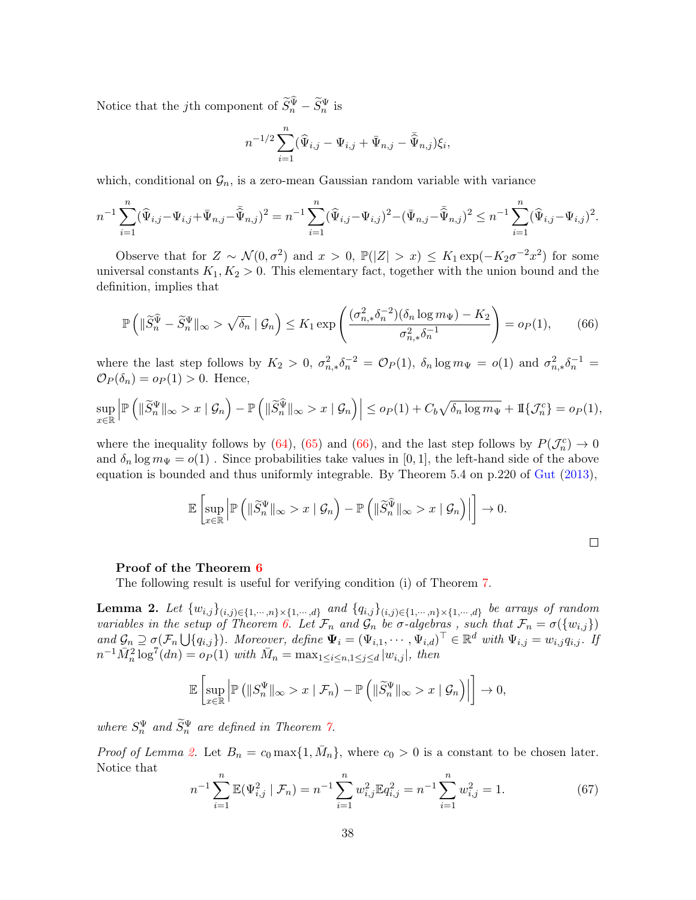Notice that the *j*th component of  $\widetilde{S}_n^{\Psi} - \widetilde{S}_n^{\Psi}$  is

$$
n^{-1/2} \sum_{i=1}^{n} (\widehat{\Psi}_{i,j} - \Psi_{i,j} + \bar{\Psi}_{n,j} - \bar{\widehat{\Psi}}_{n,j}) \xi_i,
$$

which, conditional on  $\mathcal{G}_n$ , is a zero-mean Gaussian random variable with variance

$$
n^{-1} \sum_{i=1}^n (\widehat{\Psi}_{i,j} - \Psi_{i,j} + \bar{\Psi}_{n,j} - \widehat{\bar{\Psi}}_{n,j})^2 = n^{-1} \sum_{i=1}^n (\widehat{\Psi}_{i,j} - \Psi_{i,j})^2 - (\bar{\Psi}_{n,j} - \bar{\hat{\Psi}}_{n,j})^2 \le n^{-1} \sum_{i=1}^n (\widehat{\Psi}_{i,j} - \Psi_{i,j})^2.
$$

Observe that for  $Z \sim \mathcal{N}(0, \sigma^2)$  and  $x > 0$ ,  $\mathbb{P}(|Z| > x) \leq K_1 \exp(-K_2 \sigma^{-2} x^2)$  for some universal constants  $K_1, K_2 > 0$ . This elementary fact, together with the union bound and the definition, implies that

$$
\mathbb{P}\left(\|\widetilde{S}_n^{\widehat{\Psi}} - \widetilde{S}_n^{\Psi}\|_{\infty} > \sqrt{\delta_n} \mid \mathcal{G}_n\right) \le K_1 \exp\left(\frac{(\sigma_{n,*}^2 \delta_n^{-2})(\delta_n \log m_\Psi) - K_2}{\sigma_{n,*}^2 \delta_n^{-1}}\right) = o_P(1),\tag{66}
$$

where the last step follows by  $K_2 > 0$ ,  $\sigma_{n,*}^2 \delta_n^{-2} = \mathcal{O}_P(1)$ ,  $\delta_n \log m_\Psi = o(1)$  and  $\sigma_{n,*}^2 \delta_n^{-1} = o(1)$ .  $\mathcal{O}_P(\delta_n) = o_P(1) > 0$ . Hence,

$$
\sup_{x\in\mathbb{R}}\left|\mathbb{P}\left(\|\widetilde{S}_n^{\Psi}\|_{\infty}>x\mid\mathcal{G}_n\right)-\mathbb{P}\left(\|\widetilde{S}_n^{\widehat{\Psi}}\|_{\infty}>x\mid\mathcal{G}_n\right)\right|\leq o_P(1)+C_b\sqrt{\delta_n\log m_\Psi}+\mathbb{I}\{\mathcal{J}_n^c\}=o_P(1),
$$

where the inequality follows by (64), (65) and (66), and the last step follows by  $P(\mathcal{J}_n^c) \to 0$ and  $\delta_n \log m_\Psi = o(1)$ . Since probabilities take values in [0, 1], the left-hand side of the above equation is bounded and thus uniformly integrable. By Theorem 5.4 on p.220 of Gut (2013),

$$
\mathbb{E}\left[\sup_{x\in\mathbb{R}}\left|\mathbb{P}\left(\|\widetilde{S}_n^{\Psi}\|_{\infty}>x\mid\mathcal{G}_n\right)-\mathbb{P}\left(\|\widetilde{S}_n^{\widehat{\Psi}}\|_{\infty}>x\mid\mathcal{G}_n\right)\right|\right]\to 0.
$$

#### Proof of the Theorem 6

The following result is useful for verifying condition (i) of Theorem 7.

**Lemma 2.** Let  $\{w_{i,j}\}_{(i,j)\in\{1,\cdots,n\}\times\{1,\cdots,d\}}$  and  $\{q_{i,j}\}_{(i,j)\in\{1,\cdots,n\}\times\{1,\cdots,d\}}$  be arrays of random variables in the setup of Theorem 6. Let  $\mathcal{F}_n$  and  $\mathcal{G}_n$  be  $\sigma$ -algebras, such that  $\mathcal{F}_n = \sigma(\{w_{i,j}\})$ and  $\mathcal{G}_n \supseteq \sigma(\mathcal{F}_n \bigcup \{q_{i,j}\})$ . Moreover, define  $\Psi_i = (\Psi_{i,1}, \cdots, \Psi_{i,d})^\top \in \mathbb{R}^d$  with  $\Psi_{i,j} = w_{i,j}q_{i,j}$ . If  $n^{-1} \bar{M}_n^2 \log^7(dn) = o_P(1)$  with  $\bar{M}_n = \max_{1 \le i \le n, 1 \le j \le d} |w_{i,j}|$ , then

$$
\mathbb{E}\left[\sup_{x\in\mathbb{R}}\left|\mathbb{P}\left(\|S_n^{\Psi}\|_{\infty}>x\mid\mathcal{F}_n\right)-\mathbb{P}\left(\|\widetilde{S}_n^{\Psi}\|_{\infty}>x\mid\mathcal{G}_n\right)\right|\right]\to 0,
$$

where  $S_n^{\Psi}$  and  $\widetilde{S}_n^{\Psi}$  are defined in Theorem 7.

*Proof of Lemma 2.* Let  $B_n = c_0 \max\{1, \overline{M}_n\}$ , where  $c_0 > 0$  is a constant to be chosen later. Notice that

$$
n^{-1} \sum_{i=1}^{n} \mathbb{E}(\Psi_{i,j}^2 \mid \mathcal{F}_n) = n^{-1} \sum_{i=1}^{n} w_{i,j}^2 \mathbb{E}q_{i,j}^2 = n^{-1} \sum_{i=1}^{n} w_{i,j}^2 = 1.
$$
 (67)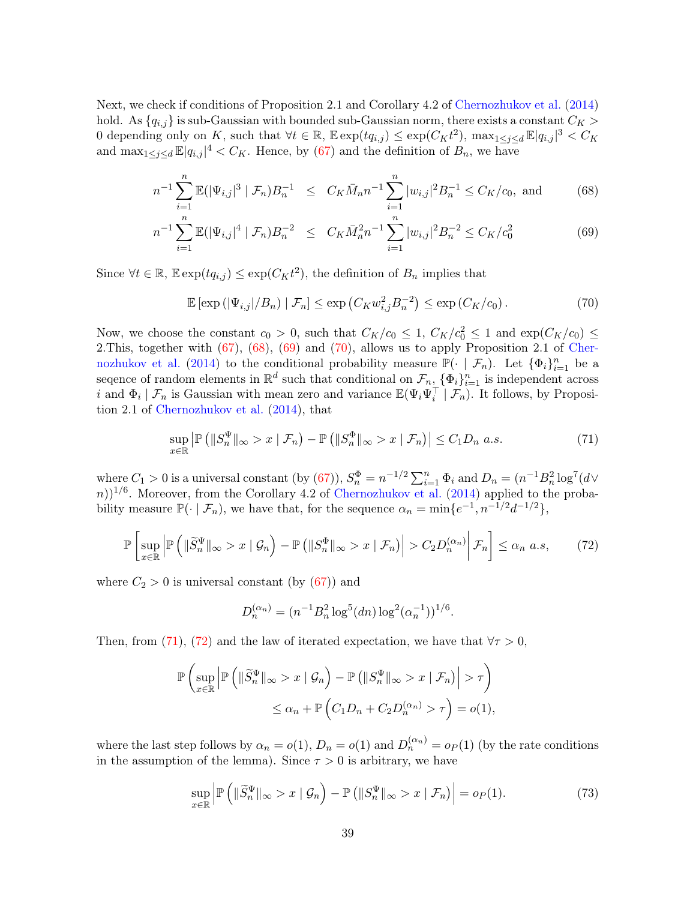Next, we check if conditions of Proposition 2.1 and Corollary 4.2 of Chernozhukov et al. (2014) hold. As  ${q_{i,j}}$  is sub-Gaussian with bounded sub-Gaussian norm, there exists a constant  $C_K$ 0 depending only on K, such that  $\forall t \in \mathbb{R}$ ,  $\mathbb{E} \exp(tq_{i,j}) \leq \exp(C_K t^2)$ ,  $\max_{1 \leq j \leq d} \mathbb{E}|q_{i,j}|^3 < C_K$ and  $\max_{1 \leq j \leq d} \mathbb{E} |q_{i,j}|^4 < C_K$ . Hence, by (67) and the definition of  $B_n$ , we have

$$
n^{-1} \sum_{i=1}^{n} \mathbb{E}(|\Psi_{i,j}|^{3} | \mathcal{F}_{n}) B_{n}^{-1} \leq C_{K} \bar{M}_{n} n^{-1} \sum_{i=1}^{n} |w_{i,j}|^{2} B_{n}^{-1} \leq C_{K}/c_{0}, \text{ and } (68)
$$

$$
n^{-1} \sum_{i=1}^{n} \mathbb{E}(|\Psi_{i,j}|^{4} | \mathcal{F}_{n}) B_{n}^{-2} \leq C_{K} M_{n}^{2} n^{-1} \sum_{i=1}^{n} |w_{i,j}|^{2} B_{n}^{-2} \leq C_{K} / c_{0}^{2}
$$
(69)

Since  $\forall t \in \mathbb{R}$ ,  $\mathbb{E} \exp(tq_{i,j}) \leq \exp(C_K t^2)$ , the definition of  $B_n$  implies that

$$
\mathbb{E}\left[\exp\left(\left|\Psi_{i,j}\right|/B_n\right) \mid \mathcal{F}_n\right] \le \exp\left(C_K w_{i,j}^2 B_n^{-2}\right) \le \exp\left(C_K/c_0\right). \tag{70}
$$

Now, we choose the constant  $c_0 > 0$ , such that  $C_K/c_0 \leq 1$ ,  $C_K/c_0^2 \leq 1$  and  $\exp(C_K/c_0) \leq$ 2. This, together with  $(67)$ ,  $(68)$ ,  $(69)$  and  $(70)$ , allows us to apply Proposition 2.1 of Chernozhukov et al. (2014) to the conditional probability measure  $\mathbb{P}(\cdot | \mathcal{F}_n)$ . Let  $\{\Phi_i\}_{i=1}^n$  be a sequence of random elements in  $\mathbb{R}^d$  such that conditional on  $\mathcal{F}_{n}$ ,  $\{\Phi_i\}_{i=1}^n$  is independent across *i* and  $\Phi_i | \mathcal{F}_n$  is Gaussian with mean zero and variance  $\mathbb{E}(\Psi_i\Psi_i^{\perp} | \mathcal{F}_n)$ . It follows, by Proposition 2.1 of Chernozhukov et al. (2014), that

$$
\sup_{x \in \mathbb{R}} \left| \mathbb{P} \left( \|S_n^{\Psi}\|_{\infty} > x \mid \mathcal{F}_n \right) - \mathbb{P} \left( \|S_n^{\Phi}\|_{\infty} > x \mid \mathcal{F}_n \right) \right| \le C_1 D_n \ a.s. \tag{71}
$$

where  $C_1 > 0$  is a universal constant (by (67)),  $S_n^{\Phi} = n^{-1/2} \sum_{i=1}^n \Phi_i$  and  $D_n = (n^{-1}B_n^2 \log^7(d \vee$  $(n)$ <sup>1/6</sup>. Moreover, from the Corollary 4.2 of Chernozhukov et al. (2014) applied to the probability measure  $\mathbb{P}(\cdot | \mathcal{F}_n)$ , we have that, for the sequence  $\alpha_n = \min\{e^{-1}, n^{-1/2}d^{-1/2}\},$ 

$$
\mathbb{P}\left[\sup_{x\in\mathbb{R}}\left|\mathbb{P}\left(\|\widetilde{S}_{n}^{\Psi}\|_{\infty}>x\mid\mathcal{G}_{n}\right)-\mathbb{P}\left(\|S_{n}^{\Phi}\|_{\infty}>x\mid\mathcal{F}_{n}\right)\right|>C_{2}D_{n}^{(\alpha_{n})}\bigg|\mathcal{F}_{n}\right]\le\alpha_{n}~a.s,\qquad(72)
$$

where  $C_2 > 0$  is universal constant (by  $(67)$ ) and

$$
D_n^{(\alpha_n)} = (n^{-1}B_n^2 \log^5(dn) \log^2(\alpha_n^{-1}))^{1/6}.
$$

Then, from (71), (72) and the law of iterated expectation, we have that  $\forall \tau > 0$ ,

$$
\mathbb{P}\left(\sup_{x\in\mathbb{R}}\left|\mathbb{P}\left(\|\widetilde{S}_n^{\Psi}\|_{\infty} > x \mid \mathcal{G}_n\right) - \mathbb{P}\left(\|S_n^{\Psi}\|_{\infty} > x \mid \mathcal{F}_n\right)\right| > \tau\right) \le \alpha_n + \mathbb{P}\left(C_1D_n + C_2D_n^{(\alpha_n)} > \tau\right) = o(1),
$$

where the last step follows by  $\alpha_n = o(1)$ ,  $D_n = o(1)$  and  $D_n^{(\alpha_n)} = o_P(1)$  (by the rate conditions in the assumption of the lemma). Since  $\tau > 0$  is arbitrary, we have

$$
\sup_{x \in \mathbb{R}} \left| \mathbb{P}\left( \|\widetilde{S}_n^{\Psi}\|_{\infty} > x \mid \mathcal{G}_n \right) - \mathbb{P}\left( \|S_n^{\Psi}\|_{\infty} > x \mid \mathcal{F}_n \right) \right| = o_P(1). \tag{73}
$$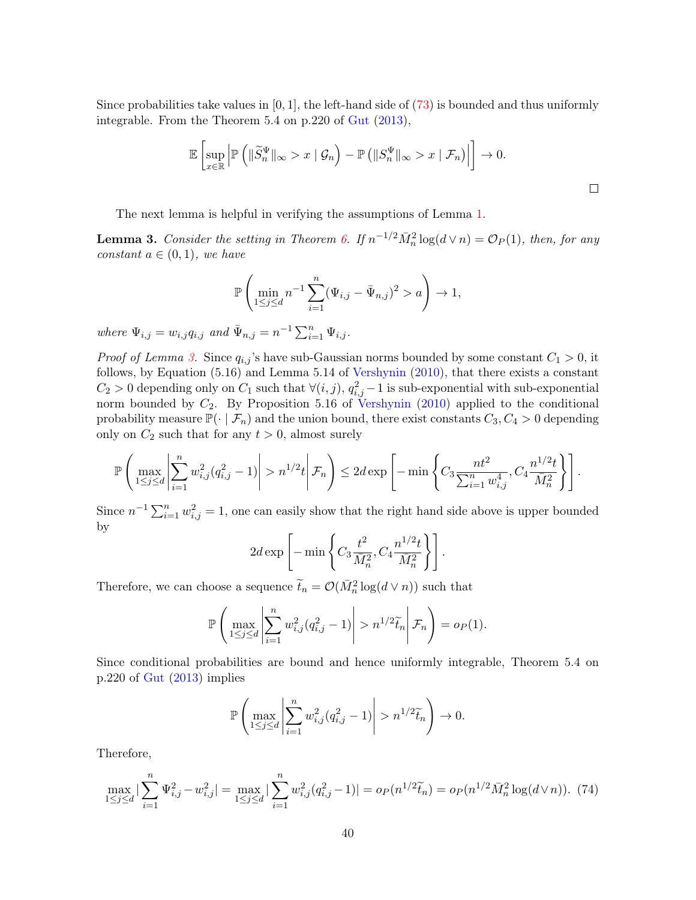Since probabilities take values in  $[0, 1]$ , the left-hand side of  $(73)$  is bounded and thus uniformly integrable. From the Theorem 5.4 on p.220 of Gut (2013),

$$
\mathbb{E}\left[\sup_{x\in\mathbb{R}}\left|\mathbb{P}\left(\|\widetilde{S}_n^{\Psi}\|_{\infty}>x\mid\mathcal{G}_n\right)-\mathbb{P}\left(\|S_n^{\Psi}\|_{\infty}>x\mid\mathcal{F}_n\right)\right|\right]\to 0.
$$

 $\Box$ 

The next lemma is helpful in verifying the assumptions of Lemma 1.

**Lemma 3.** Consider the setting in Theorem 6. If  $n^{-1/2} \overline{M}_n^2 \log(d \vee n) = \mathcal{O}_P(1)$ , then, for any constant  $a \in (0,1)$ , we have

$$
\mathbb{P}\left(\min_{1 \le j \le d} n^{-1} \sum_{i=1}^n (\Psi_{i,j} - \bar{\Psi}_{n,j})^2 > a\right) \to 1,
$$

where  $\Psi_{i,j} = w_{i,j} q_{i,j}$  and  $\bar{\Psi}_{n,j} = n^{-1} \sum_{i=1}^{n} \Psi_{i,j}$ .

*Proof of Lemma 3.* Since  $q_{i,j}$ 's have sub-Gaussian norms bounded by some constant  $C_1 > 0$ , it follows, by Equation (5.16) and Lemma 5.14 of Vershynin (2010), that there exists a constant  $C_2 > 0$  depending only on  $C_1$  such that  $\forall (i, j)$ ,  $q_{i,j}^2 - 1$  is sub-exponential with sub-exponential norm bounded by  $C_2$ . By Proposition 5.16 of Vershynin (2010) applied to the conditional probability measure  $\mathbb{P}(\cdot | \mathcal{F}_n)$  and the union bound, there exist constants  $C_3, C_4 > 0$  depending only on  $C_2$  such that for any  $t > 0$ , almost surely

$$
\mathbb{P}\left(\max_{1\leq j\leq d}\left|\sum_{i=1}^n w_{i,j}^2 (q_{i,j}^2-1)\right|>n^{1/2}t\Bigg|\mathcal{F}_n\right)\leq 2d\exp\left[-\min\left\{C_3\frac{nt^2}{\sum_{i=1}^n w_{i,j}^4},C_4\frac{n^{1/2}t}{\bar{M}_n^2}\right\}\right].
$$

Since  $n^{-1} \sum_{i=1}^{n} w_{i,j}^2 = 1$ , one can easily show that the right hand side above is upper bounded by

$$
2d \exp \left[- \min \left\{ C_3 \frac{t^2}{\bar{M}_n^2}, C_4 \frac{n^{1/2} t}{\bar{M}_n^2} \right\} \right].
$$

Therefore, we can choose a sequence  $\tilde{t}_n = \mathcal{O}(\bar{M}_n^2 \log(d \vee n))$  such that

$$
\mathbb{P}\left(\max_{1\leq j\leq d}\left|\sum_{i=1}^n w_{i,j}^2(q_{i,j}^2-1)\right|>n^{1/2}\widetilde{t}_n\right|\mathcal{F}_n\right)=o_P(1).
$$

Since conditional probabilities are bound and hence uniformly integrable, Theorem 5.4 on p.220 of Gut (2013) implies

$$
\mathbb{P}\left(\max_{1\leq j\leq d}\left|\sum_{i=1}^n w_{i,j}^2(q_{i,j}^2-1)\right|>n^{1/2}\widetilde{t}_n\right)\to 0.
$$

Therefore,

$$
\max_{1 \le j \le d} |\sum_{i=1}^n \Psi_{i,j}^2 - w_{i,j}^2| = \max_{1 \le j \le d} |\sum_{i=1}^n w_{i,j}^2 (q_{i,j}^2 - 1)| = o_P(n^{1/2} \widetilde{t}_n) = o_P(n^{1/2} \bar{M}_n^2 \log(d \vee n)). \tag{74}
$$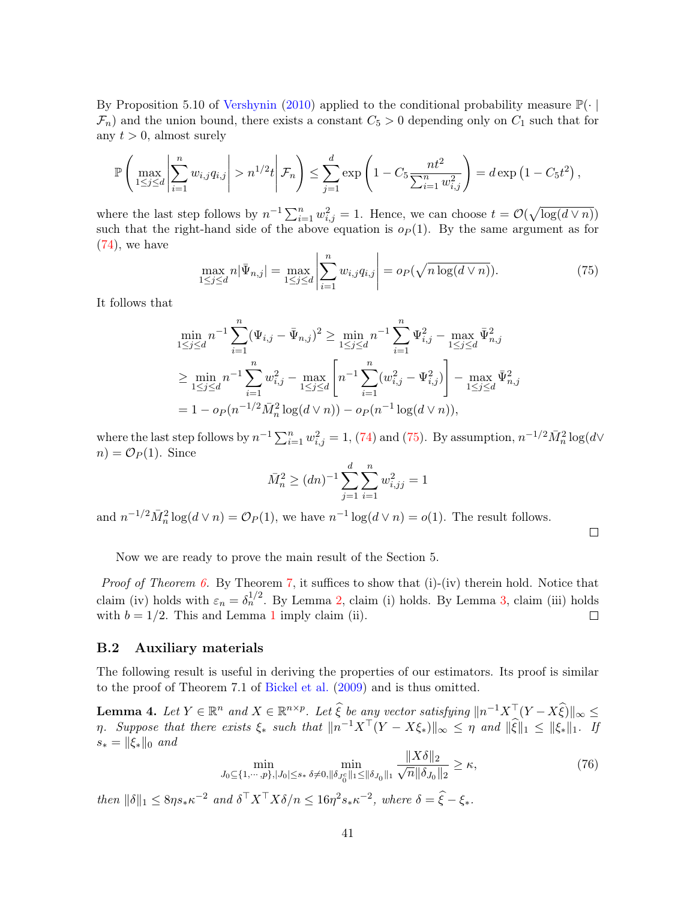By Proposition 5.10 of Vershynin (2010) applied to the conditional probability measure  $\mathbb{P}(\cdot |$  $\mathcal{F}_n$ ) and the union bound, there exists a constant  $C_5 > 0$  depending only on  $C_1$  such that for any  $t > 0$ , almost surely

$$
\mathbb{P}\left(\max_{1 \leq j \leq d} \left| \sum_{i=1}^n w_{i,j} q_{i,j} \right| > n^{1/2} t \middle| \mathcal{F}_n \right) \leq \sum_{j=1}^d \exp\left(1 - C_5 \frac{nt^2}{\sum_{i=1}^n w_{i,j}^2}\right) = d \exp\left(1 - C_5 t^2\right),
$$

where the last step follows by  $n^{-1} \sum_{i=1}^{n} w_{i,j}^2 = 1$ . Hence, we can choose  $t = \mathcal{O}(\sqrt{\log(d \vee n)})$ such that the right-hand side of the above equation is  $o_P(1)$ . By the same argument as for  $(74)$ , we have

$$
\max_{1 \le j \le d} n|\bar{\Psi}_{n,j}| = \max_{1 \le j \le d} \left| \sum_{i=1}^n w_{i,j} q_{i,j} \right| = o_P(\sqrt{n \log(d \vee n)}). \tag{75}
$$

It follows that

$$
\min_{1 \le j \le d} n^{-1} \sum_{i=1}^n (\Psi_{i,j} - \bar{\Psi}_{n,j})^2 \ge \min_{1 \le j \le d} n^{-1} \sum_{i=1}^n \Psi_{i,j}^2 - \max_{1 \le j \le d} \bar{\Psi}_{n,j}^2
$$
\n
$$
\ge \min_{1 \le j \le d} n^{-1} \sum_{i=1}^n w_{i,j}^2 - \max_{1 \le j \le d} \left[ n^{-1} \sum_{i=1}^n (w_{i,j}^2 - \Psi_{i,j}^2) \right] - \max_{1 \le j \le d} \bar{\Psi}_{n,j}^2
$$
\n
$$
= 1 - o_P(n^{-1/2} \bar{M}_n^2 \log(d \vee n)) - o_P(n^{-1} \log(d \vee n)),
$$

where the last step follows by  $n^{-1} \sum_{i=1}^{n} w_{i,j}^2 = 1$ , (74) and (75). By assumption,  $n^{-1/2} \overline{M}_n^2 \log(d \vee \overline{M}_n)$  $n = \mathcal{O}_P(1)$ . Since

$$
\bar{M}_n^2 \ge (dn)^{-1} \sum_{j=1}^d \sum_{i=1}^n w_{i,jj}^2 = 1
$$

and  $n^{-1/2} \overline{M}_n^2 \log(d \vee n) = \mathcal{O}_P(1)$ , we have  $n^{-1} \log(d \vee n) = o(1)$ . The result follows.

 $\Box$ 

Now we are ready to prove the main result of the Section 5.

*Proof of Theorem 6.* By Theorem  $\overline{7}$ , it suffices to show that (i)-(iv) therein hold. Notice that claim (iv) holds with  $\varepsilon_n = \delta_n^{1/2}$ . By Lemma 2, claim (i) holds. By Lemma 3, claim (iii) holds with  $b = 1/2$ . This and Lemma 1 imply claim (ii).  $\Box$ 

#### B.2 Auxiliary materials

The following result is useful in deriving the properties of our estimators. Its proof is similar to the proof of Theorem 7.1 of Bickel et al. (2009) and is thus omitted.

**Lemma 4.** Let  $Y \in \mathbb{R}^n$  and  $X \in \mathbb{R}^{n \times p}$ . Let  $\widehat{\xi}$  be any vector satisfying  $||n^{-1}X^{\top}(Y - X\widehat{\xi})||_{\infty} \le$  $\eta$ . Suppose that there exists  $\xi_*$  such that  $||n^{-1}X^{\top}(Y - X\xi_*)||_{\infty} \leq \eta$  and  $||\hat{\xi}||_1 \leq ||\xi_*||_1$ . If  $s_* = ||\xi_*||_0$  and  $k \times 20$ 

$$
\min_{J_0 \subseteq \{1, \cdots, p\}, |J_0| \le s_*} \min_{\delta \neq 0, \|\delta_{J_0^c}\|_1 \le \|\delta_{J_0}\|_1} \frac{\|X \delta\|_2}{\sqrt{n} \|\delta_{J_0}\|_2} \ge \kappa,\tag{76}
$$

then  $\|\delta\|_1 \leq 8\eta s_* \kappa^{-2}$  and  $\delta^\top X^\top X \delta/n \leq 16\eta^2 s_* \kappa^{-2}$ , where  $\delta = \hat{\xi} - \xi_*$ .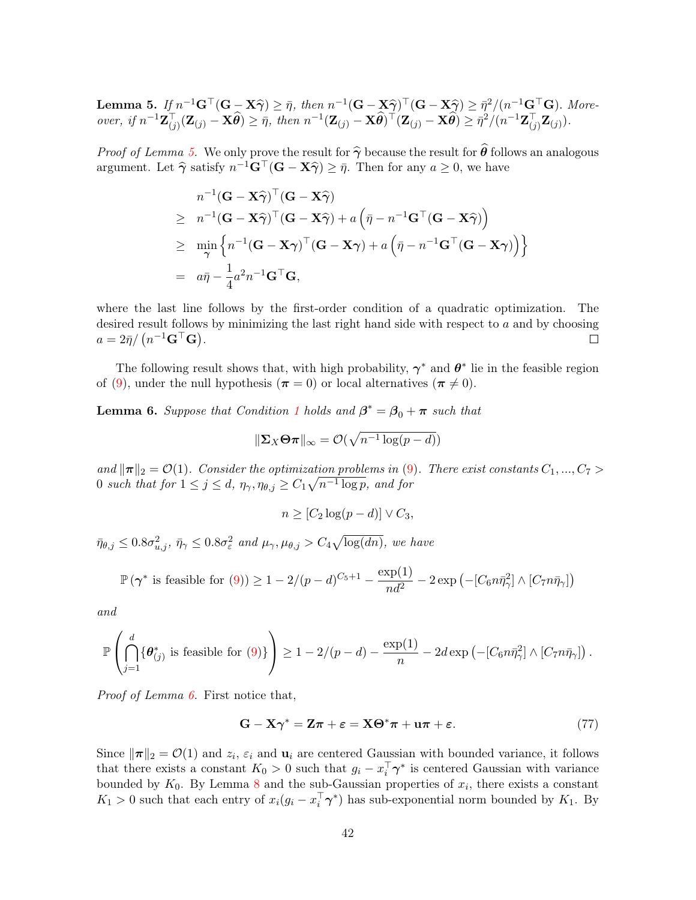**Lemma 5.** If  $n^{-1}G^{\top}(G - X\hat{\gamma}) \geq \bar{\eta}$ , then  $n^{-1}(G - X\hat{\gamma})^{\top}(G - X\hat{\gamma}) \geq \bar{\eta}^2/(n^{-1}G^{\top}G)$ . More-<br> $\hat{\mathbf{X}} = \mathbf{X} \hat{\mathbf{X}} \geq \bar{\eta}^2/(n^{-1}G^{\top}G)$ . over, if  $n^{-1}\mathbf{Z}_{(j)}^{\top}(\mathbf{Z}_{(j)} - \mathbf{X}\hat{\theta}) \geq \bar{\eta}$ , then  $n^{-1}(\mathbf{Z}_{(j)} - \mathbf{X}\hat{\theta})^{\top}(\mathbf{Z}_{(j)} - \mathbf{X}\hat{\theta}) \geq \bar{\eta}^{2}/(n^{-1}\mathbf{Z}_{(j)}^{\top}\mathbf{Z}_{(j)})$ .

*Proof of Lemma 5.* We only prove the result for  $\hat{\gamma}$  because the result for  $\hat{\theta}$  follows an analogous argument. Let  $\hat{\gamma}$  satisfy  $n^{-1}\mathbf{G}^{\top}(\mathbf{G} - \mathbf{X}\hat{\gamma}) \geq \bar{\eta}$ . Then for any  $a \geq 0$ , we have

$$
n^{-1}(\mathbf{G} - \mathbf{X}\widehat{\boldsymbol{\gamma}})^{\top}(\mathbf{G} - \mathbf{X}\widehat{\boldsymbol{\gamma}})
$$
  
\n
$$
\geq n^{-1}(\mathbf{G} - \mathbf{X}\widehat{\boldsymbol{\gamma}})^{\top}(\mathbf{G} - \mathbf{X}\widehat{\boldsymbol{\gamma}}) + a(\bar{\eta} - n^{-1}\mathbf{G}^{\top}(\mathbf{G} - \mathbf{X}\widehat{\boldsymbol{\gamma}}))
$$
  
\n
$$
\geq \min_{\boldsymbol{\gamma}} \left\{ n^{-1}(\mathbf{G} - \mathbf{X}\boldsymbol{\gamma})^{\top}(\mathbf{G} - \mathbf{X}\boldsymbol{\gamma}) + a(\bar{\eta} - n^{-1}\mathbf{G}^{\top}(\mathbf{G} - \mathbf{X}\boldsymbol{\gamma})) \right\}
$$
  
\n
$$
= a\bar{\eta} - \frac{1}{4}a^2n^{-1}\mathbf{G}^{\top}\mathbf{G},
$$

where the last line follows by the first-order condition of a quadratic optimization. The desired result follows by minimizing the last right hand side with respect to  $a$  and by choosing  $a = 2\bar{\eta}/\left(n^{-1}\mathbf{G}^\top\mathbf{G}\right).$  $\Box$ 

The following result shows that, with high probability,  $\gamma^*$  and  $\theta^*$  lie in the feasible region of (9), under the null hypothesis ( $\pi = 0$ ) or local alternatives ( $\pi \neq 0$ ).

**Lemma 6.** Suppose that Condition 1 holds and  $\beta^* = \beta_0 + \pi$  such that

$$
\|\mathbf{\Sigma}_X\mathbf{\Theta}\boldsymbol{\pi}\|_{\infty}=\mathcal{O}(\sqrt{n^{-1}\log(p-d)})
$$

and  $\|\pi\|_2 = \mathcal{O}(1)$ . Consider the optimization problems in (9). There exist constants  $C_1, ..., C_7$ 0 such that for  $1 \leq j \leq d$ ,  $\eta_{\gamma}, \eta_{\theta, j} \geq C_1 \sqrt{n^{-1} \log p}$ , and for

$$
n \geq [C_2 \log(p-d)] \vee C_3,
$$

 $\bar{\eta}_{\theta,j} \leq 0.8 \sigma_{u,j}^2$ ,  $\bar{\eta}_{\gamma} \leq 0.8 \sigma_{\varepsilon}^2$  and  $\mu_{\gamma}, \mu_{\theta,j} > C_4 \sqrt{\log(dn)}$ , we have

$$
\mathbb{P}\left(\gamma^*\text{ is feasible for }(9)\right) \ge 1 - 2/(p-d)^{C_5+1} - \frac{\exp(1)}{nd^2} - 2\exp\left(-[C_6n\bar{\eta}_\gamma^2]\wedge [C_7n\bar{\eta}_\gamma]\right)
$$

and

$$
\mathbb{P}\left(\bigcap_{j=1}^d \{\theta^*_{(j)} \text{ is feasible for (9)}\}\right) \ge 1 - 2/(p-d) - \frac{\exp(1)}{n} - 2d\exp\left(-[C_6n\bar{\eta}_\gamma^2] \wedge [C_7n\bar{\eta}_\gamma]\right).
$$

Proof of Lemma 6. First notice that,

$$
\mathbf{G} - \mathbf{X}\boldsymbol{\gamma}^* = \mathbf{Z}\boldsymbol{\pi} + \boldsymbol{\varepsilon} = \mathbf{X}\boldsymbol{\Theta}^* \boldsymbol{\pi} + \mathbf{u}\boldsymbol{\pi} + \boldsymbol{\varepsilon}.\tag{77}
$$

Since  $\|\boldsymbol{\pi}\|_2 = \mathcal{O}(1)$  and  $z_i$ ,  $\varepsilon_i$  and  $\mathbf{u}_i$  are centered Gaussian with bounded variance, it follows that there exists a constant  $K_0 > 0$  such that  $g_i - x_i^{\dagger} \gamma^*$  is centered Gaussian with variance bounded by  $K_0$ . By Lemma 8 and the sub-Gaussian properties of  $x_i$ , there exists a constant  $K_1 > 0$  such that each entry of  $x_i(g_i - x_i^{\dagger} \gamma^*)$  has sub-exponential norm bounded by  $K_1$ . By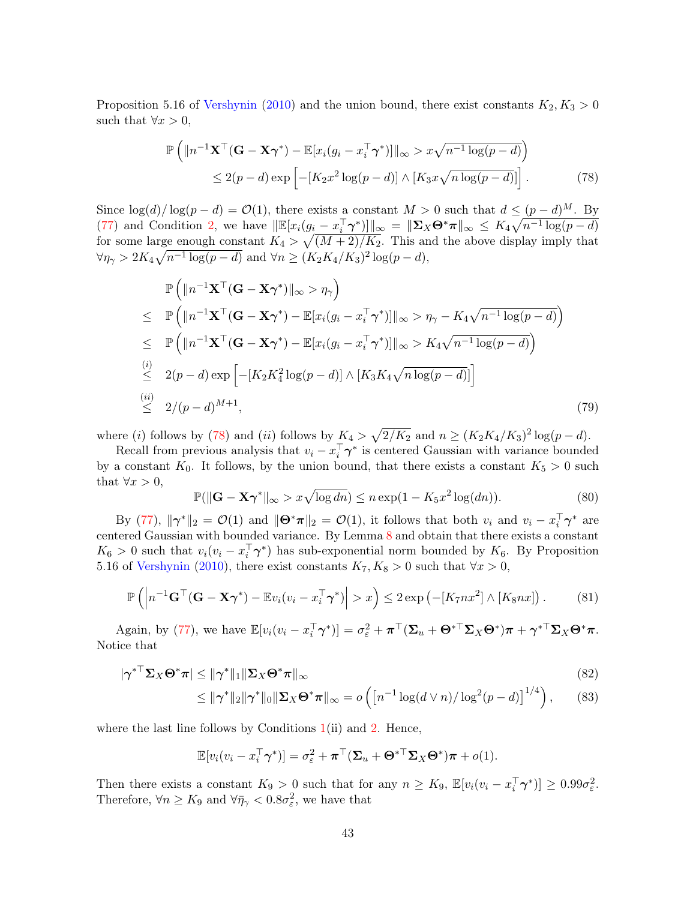Proposition 5.16 of Vershynin (2010) and the union bound, there exist constants  $K_2, K_3 > 0$ such that  $\forall x > 0$ ,

$$
\mathbb{P}\left(\|n^{-1}\mathbf{X}^{\top}(\mathbf{G}-\mathbf{X}\boldsymbol{\gamma}^{*})-\mathbb{E}[x_{i}(g_{i}-x_{i}^{\top}\boldsymbol{\gamma}^{*})]\|_{\infty} > x\sqrt{n^{-1}\log(p-d)}\right) \leq 2(p-d)\exp\left[-[K_{2}x^{2}\log(p-d)]\wedge [K_{3}x\sqrt{n\log(p-d)}]\right].
$$
\n(78)

Since  $\log(d)/\log(p-d) = \mathcal{O}(1)$ , there exists a constant  $M > 0$  such that  $d \leq (p-d)^M$ . By (77) and Condition 2, we have  $\|\mathbb{E}[x_i(g_i - x_i^{\top} \boldsymbol{\gamma}^*)]\|_{\infty} = \|\boldsymbol{\Sigma}_X \boldsymbol{\Theta}^* \boldsymbol{\pi}\|_{\infty} \leq K_4 \sqrt{n^{-1} \log(p - d)}$ for some large enough constant  $K_4 > \sqrt{(M+2)/K_2}$ . This and the above display imply that  $\forall \eta_{\gamma} > 2K_4\sqrt{n^{-1}\log(p-d)} \text{ and } \forall n \geq (K_2K_4/K_3)^2\log(p-d),$ 

$$
\mathbb{P}\left(\|n^{-1}\mathbf{X}^{\top}(\mathbf{G}-\mathbf{X}\boldsymbol{\gamma}^{*})\|_{\infty} > \eta_{\gamma}\right)
$$
\n
$$
\leq \mathbb{P}\left(\|n^{-1}\mathbf{X}^{\top}(\mathbf{G}-\mathbf{X}\boldsymbol{\gamma}^{*}) - \mathbb{E}[x_{i}(g_{i}-x_{i}^{\top}\boldsymbol{\gamma}^{*})]\|_{\infty} > \eta_{\gamma} - K_{4}\sqrt{n^{-1}\log(p-d)}\right)
$$
\n
$$
\leq \mathbb{P}\left(\|n^{-1}\mathbf{X}^{\top}(\mathbf{G}-\mathbf{X}\boldsymbol{\gamma}^{*}) - \mathbb{E}[x_{i}(g_{i}-x_{i}^{\top}\boldsymbol{\gamma}^{*})]\|_{\infty} > K_{4}\sqrt{n^{-1}\log(p-d)}\right)
$$
\n
$$
\stackrel{(i)}{\leq} 2(p-d)\exp\left[-[K_{2}K_{4}^{2}\log(p-d)] \wedge [K_{3}K_{4}\sqrt{n\log(p-d)}]\right]
$$
\n
$$
\stackrel{(ii)}{\leq} 2/(p-d)^{M+1}, \tag{79}
$$

where (i) follows by (78) and (ii) follows by  $K_4 > \sqrt{2/K_2}$  and  $n \ge (K_2K_4/K_3)^2 \log(p-d)$ .

Recall from previous analysis that  $v_i - x_i^{\dagger} \gamma^*$  is centered Gaussian with variance bounded by a constant  $K_0$ . It follows, by the union bound, that there exists a constant  $K_5 > 0$  such that  $\forall x > 0$ ,

$$
\mathbb{P}(\|\mathbf{G} - \mathbf{X}\boldsymbol{\gamma}^*\|_{\infty} > x\sqrt{\log dn}) \le n \exp(1 - K_5 x^2 \log(dn)).\tag{80}
$$

By (77),  $\|\gamma^*\|_2 = \mathcal{O}(1)$  and  $\|\Theta^*\pi\|_2 = \mathcal{O}(1)$ , it follows that both  $v_i$  and  $v_i - x_i^{\top}\gamma^*$  are centered Gaussian with bounded variance. By Lemma 8 and obtain that there exists a constant  $K_6 > 0$  such that  $v_i(v_i - x_i^{\dagger} \gamma^*)$  has sub-exponential norm bounded by  $K_6$ . By Proposition 5.16 of Vershynin (2010), there exist constants  $K_7, K_8 > 0$  such that  $\forall x > 0$ ,

$$
\mathbb{P}\left(\left|n^{-1}\mathbf{G}^{\top}(\mathbf{G}-\mathbf{X}\boldsymbol{\gamma}^*)-\mathbb{E}v_i(v_i-x_i^{\top}\boldsymbol{\gamma}^*)\right|>x\right)\leq 2\exp\left(-[K_7nx^2]\wedge [K_8nx]\right).
$$
 (81)

Again, by (77), we have  $\mathbb{E}[v_i(v_i - x_i^{\top} \boldsymbol{\gamma}^*)] = \sigma_{\varepsilon}^2 + \boldsymbol{\pi}^{\top}(\boldsymbol{\Sigma}_u + \boldsymbol{\Theta}^{*\top} \boldsymbol{\Sigma}_X \boldsymbol{\Theta}^*) \boldsymbol{\pi} + {\boldsymbol{\gamma}^*}^{\top} \boldsymbol{\Sigma}_X \boldsymbol{\Theta}^* \boldsymbol{\pi}.$ Notice that

$$
|\boldsymbol{\gamma}^*| \Sigma_X \boldsymbol{\Theta}^* \boldsymbol{\pi}| \le ||\boldsymbol{\gamma}^*||_1 ||\Sigma_X \boldsymbol{\Theta}^* \boldsymbol{\pi}||_{\infty}
$$
\n(82)

$$
\leq \|\boldsymbol{\gamma}^*\|_2 \|\boldsymbol{\gamma}^*\|_0 \|\boldsymbol{\Sigma}_X \boldsymbol{\Theta}^*\boldsymbol{\pi}\|_{\infty} = o\left(\left[n^{-1}\log(d\vee n)/\log^2(p-d)\right]^{1/4}\right),\qquad(83)
$$

where the last line follows by Conditions  $1(i)$  and 2. Hence,

$$
\mathbb{E}[v_i(v_i - x_i^\top \boldsymbol{\gamma}^*)] = \sigma_{\varepsilon}^2 + \boldsymbol{\pi}^\top (\boldsymbol{\Sigma}_u + \boldsymbol{\Theta}^{*\top} \boldsymbol{\Sigma}_X \boldsymbol{\Theta}^*) \boldsymbol{\pi} + o(1).
$$

Then there exists a constant  $K_9 > 0$  such that for any  $n \geq K_9$ ,  $\mathbb{E}[v_i(v_i - x_i^{\top} \gamma^*)] \geq 0.99 \sigma_{\varepsilon}^2$ . Therefore,  $\forall n \geq K_9$  and  $\forall \bar{\eta}_{\gamma} < 0.8 \sigma_{\varepsilon}^2$ , we have that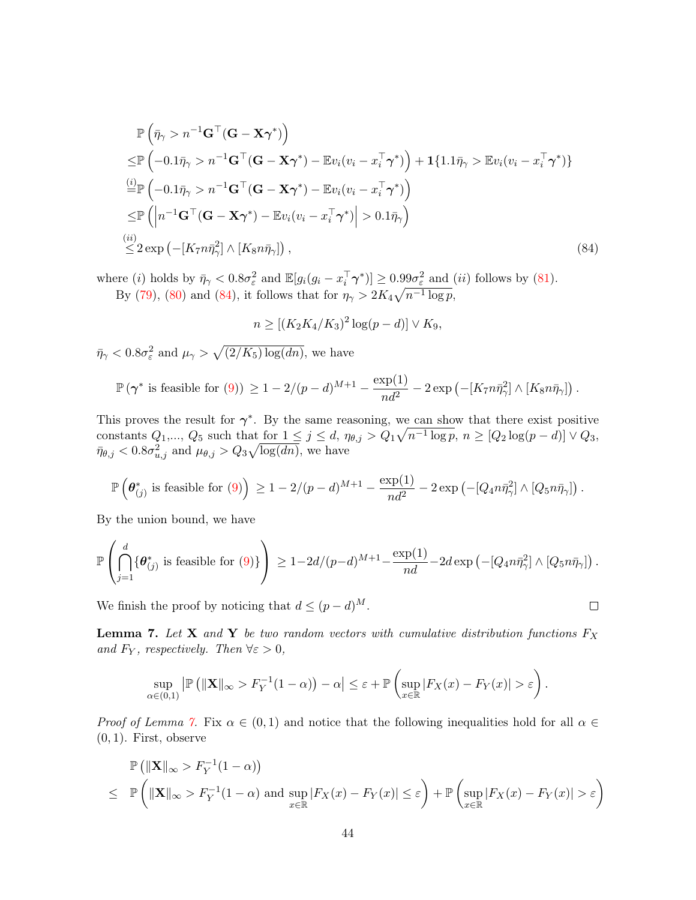$$
\mathbb{P}\left(\bar{\eta}_{\gamma} > n^{-1}\mathbf{G}^{\top}(\mathbf{G} - \mathbf{X}\boldsymbol{\gamma}^{*})\right) \n\leq \mathbb{P}\left(-0.1\bar{\eta}_{\gamma} > n^{-1}\mathbf{G}^{\top}(\mathbf{G} - \mathbf{X}\boldsymbol{\gamma}^{*}) - \mathbb{E}v_{i}(v_{i} - x_{i}^{\top}\boldsymbol{\gamma}^{*})\right) + \mathbf{1}\{1.1\bar{\eta}_{\gamma} > \mathbb{E}v_{i}(v_{i} - x_{i}^{\top}\boldsymbol{\gamma}^{*})\} \n\stackrel{(i)}{=} \mathbb{P}\left(-0.1\bar{\eta}_{\gamma} > n^{-1}\mathbf{G}^{\top}(\mathbf{G} - \mathbf{X}\boldsymbol{\gamma}^{*}) - \mathbb{E}v_{i}(v_{i} - x_{i}^{\top}\boldsymbol{\gamma}^{*})\right) \n\leq \mathbb{P}\left(\left|n^{-1}\mathbf{G}^{\top}(\mathbf{G} - \mathbf{X}\boldsymbol{\gamma}^{*}) - \mathbb{E}v_{i}(v_{i} - x_{i}^{\top}\boldsymbol{\gamma}^{*})\right| > 0.1\bar{\eta}_{\gamma}\right) \n\stackrel{(ii)}{\leq} 2 \exp\left(-\left[K_{7}n\bar{\eta}_{\gamma}^{2}\right] \wedge \left[K_{8}n\bar{\eta}_{\gamma}\right]\right),
$$
\n(84)

where (*i*) holds by  $\bar{\eta}_{\gamma} < 0.8\sigma_{\varepsilon}^2$  and  $\mathbb{E}[g_i(g_i - x_i^{\top}\boldsymbol{\gamma}^*)] \geq 0.99\sigma_{\varepsilon}^2$  and (*ii*) follows by (81). By (79), (80) and (84), it follows that for  $\eta_{\gamma} > 2K_4 \sqrt{n^{-1} \log p}$ ,

$$
n \ge [(K_2K_4/K_3)^2 \log(p-d)] \vee K_9,
$$

 $\bar{\eta}_{\gamma} < 0.8 \sigma_{\varepsilon}^2$  and  $\mu_{\gamma} > \sqrt{(2/K_5) \log(dn)}$ , we have

$$
\mathbb{P}\left(\gamma^*\text{ is feasible for }(9)\right) \ge 1-2/(p-d)^{M+1}-\frac{\exp(1)}{nd^2}-2\exp\left(-[K_7n\bar{\eta}_\gamma^2]\wedge [K_8n\bar{\eta}_\gamma]\right).
$$

This proves the result for  $\gamma^*$ . By the same reasoning, we can show that there exist positive constants  $Q_1, ..., Q_5$  such that for  $1 \leq j \leq d$ ,  $\eta_{\theta,j} > Q_1 \sqrt{n^{-1} \log p}$ ,  $n \geq [Q_2 \log(p - d)] \vee Q_3$ ,  $\bar{\eta}_{\theta,j} < 0.8\sigma_{u,j}^2$  and  $\mu_{\theta,j} > Q_3\sqrt{\log(dn)},$  we have

$$
\mathbb{P}\left(\boldsymbol{\theta}_{(j)}^*\text{ is feasible for }(9)\right) \geq 1-2/(p-d)^{M+1}-\frac{\exp(1)}{nd^2}-2\exp\left(-[Q_4n\bar{\eta}_\gamma^2]\wedge [Q_5n\bar{\eta}_\gamma]\right).
$$

By the union bound, we have

$$
\mathbb{P}\left(\bigcap_{j=1}^d \{\boldsymbol{\theta}^*_{(j)} \text{ is feasible for (9)}\}\right) \geq 1-2d/(p-d)^{M+1}-\frac{\exp(1)}{nd}-2d\exp\left(-[Q_4n\bar{\eta}_\gamma^2]\wedge [Q_5n\bar{\eta}_\gamma]\right).
$$

 $\Box$ 

We finish the proof by noticing that  $d \leq (p - d)^M$ .

**Lemma 7.** Let **X** and **Y** be two random vectors with cumulative distribution functions  $F_X$ and  $F_Y$ , respectively. Then  $\forall \varepsilon > 0$ ,

$$
\sup_{\alpha\in(0,1)}\left|\mathbb{P}\left(\|\mathbf{X}\|_{\infty}>F_Y^{-1}(1-\alpha)\right)-\alpha\right|\leq\varepsilon+\mathbb{P}\left(\sup_{x\in\mathbb{R}}\left|F_X(x)-F_Y(x)\right|>\varepsilon\right).
$$

*Proof of Lemma 7.* Fix  $\alpha \in (0,1)$  and notice that the following inequalities hold for all  $\alpha \in$  $(0, 1)$ . First, observe

$$
\mathbb{P}\left(\|\mathbf{X}\|_{\infty} > F_Y^{-1}(1-\alpha)\right) \leq \mathbb{P}\left(\|\mathbf{X}\|_{\infty} > F_Y^{-1}(1-\alpha) \text{ and } \sup_{x \in \mathbb{R}} |F_X(x) - F_Y(x)| \leq \varepsilon\right) + \mathbb{P}\left(\sup_{x \in \mathbb{R}} |F_X(x) - F_Y(x)| > \varepsilon\right)
$$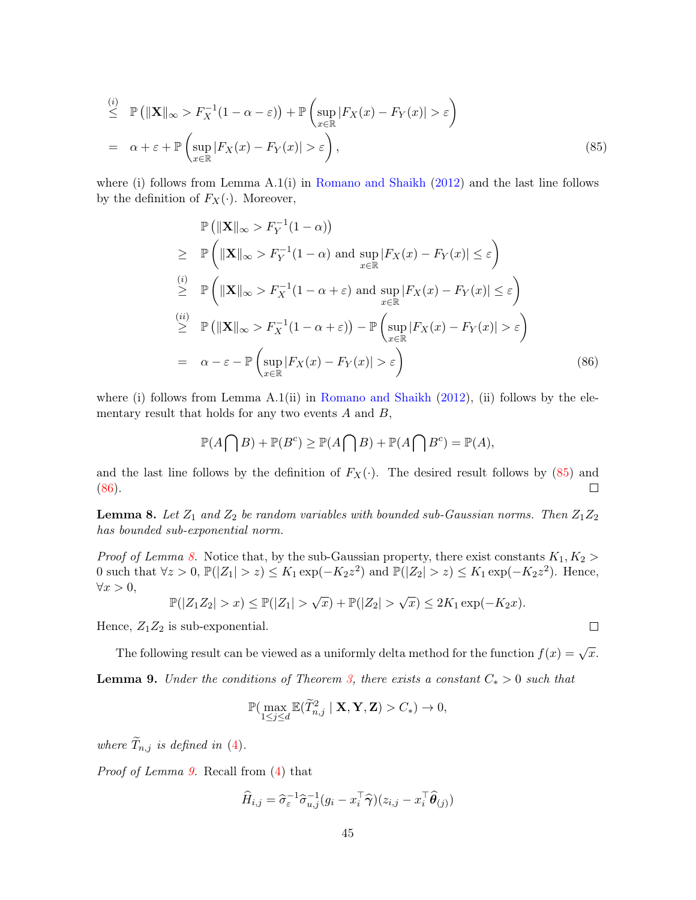$$
\stackrel{(i)}{\leq} \mathbb{P}\left(\|\mathbf{X}\|_{\infty} > F_X^{-1}(1-\alpha-\varepsilon)\right) + \mathbb{P}\left(\sup_{x \in \mathbb{R}} |F_X(x) - F_Y(x)| > \varepsilon\right)
$$
\n
$$
= \alpha + \varepsilon + \mathbb{P}\left(\sup_{x \in \mathbb{R}} |F_X(x) - F_Y(x)| > \varepsilon\right),\tag{85}
$$

where (i) follows from Lemma  $A(1(i))$  in Romano and Shaikh (2012) and the last line follows by the definition of  $F_X(\cdot)$ . Moreover,

$$
\mathbb{P} \left( \|\mathbf{X}\|_{\infty} > F_Y^{-1}(1-\alpha) \right) \n\geq \mathbb{P} \left( \|\mathbf{X}\|_{\infty} > F_Y^{-1}(1-\alpha) \text{ and } \sup_{x \in \mathbb{R}} |F_X(x) - F_Y(x)| \leq \varepsilon \right) \n\stackrel{(i)}{\geq} \mathbb{P} \left( \|\mathbf{X}\|_{\infty} > F_X^{-1}(1-\alpha+\varepsilon) \text{ and } \sup_{x \in \mathbb{R}} |F_X(x) - F_Y(x)| \leq \varepsilon \right) \n\stackrel{(ii)}{\geq} \mathbb{P} \left( \|\mathbf{X}\|_{\infty} > F_X^{-1}(1-\alpha+\varepsilon) \right) - \mathbb{P} \left( \sup_{x \in \mathbb{R}} |F_X(x) - F_Y(x)| > \varepsilon \right) \n= \alpha - \varepsilon - \mathbb{P} \left( \sup_{x \in \mathbb{R}} |F_X(x) - F_Y(x)| > \varepsilon \right) \tag{86}
$$

where (i) follows from Lemma A.1(ii) in Romano and Shaikh  $(2012)$ , (ii) follows by the elementary result that holds for any two events  $A$  and  $B$ ,

$$
\mathbb{P}(A \bigcap B) + \mathbb{P}(B^c) \ge \mathbb{P}(A \bigcap B) + \mathbb{P}(A \bigcap B^c) = \mathbb{P}(A),
$$

and the last line follows by the definition of  $F_X(\cdot)$ . The desired result follows by (85) and (86). (86).

**Lemma 8.** Let  $Z_1$  and  $Z_2$  be random variables with bounded sub-Gaussian norms. Then  $Z_1Z_2$ has bounded sub-exponential norm.

*Proof of Lemma 8.* Notice that, by the sub-Gaussian property, there exist constants  $K_1, K_2$ 0 such that  $\forall z > 0$ ,  $\mathbb{P}(|Z_1| > z) \le K_1 \exp(-K_2 z^2)$  and  $\mathbb{P}(|Z_2| > z) \le K_1 \exp(-K_2 z^2)$ . Hence,  $\forall x > 0,$ 

$$
\mathbb{P}(|Z_1 Z_2| > x) \le \mathbb{P}(|Z_1| > \sqrt{x}) + \mathbb{P}(|Z_2| > \sqrt{x}) \le 2K_1 \exp(-K_2 x).
$$

Hence,  $Z_1Z_2$  is sub-exponential.

The following result can be viewed as a uniformly delta method for the function  $f(x) = \sqrt{x}$ .

**Lemma 9.** Under the conditions of Theorem 3, there exists a constant  $C_* > 0$  such that

$$
\mathbb{P}(\max_{1 \leq j \leq d} \mathbb{E}(\widetilde{T}_{n,j}^2 \mid \mathbf{X}, \mathbf{Y}, \mathbf{Z}) > C_*) \to 0,
$$

where  $\widetilde{T}_{n,j}$  is defined in (4).

Proof of Lemma 9. Recall from (4) that

$$
\widehat{H}_{i,j} = \widehat{\sigma}_{\varepsilon}^{-1} \widehat{\sigma}_{u,j}^{-1} (g_i - x_i^{\top} \widehat{\boldsymbol{\gamma}})(z_{i,j} - x_i^{\top} \widehat{\boldsymbol{\theta}}_{(j)})
$$

 $\Box$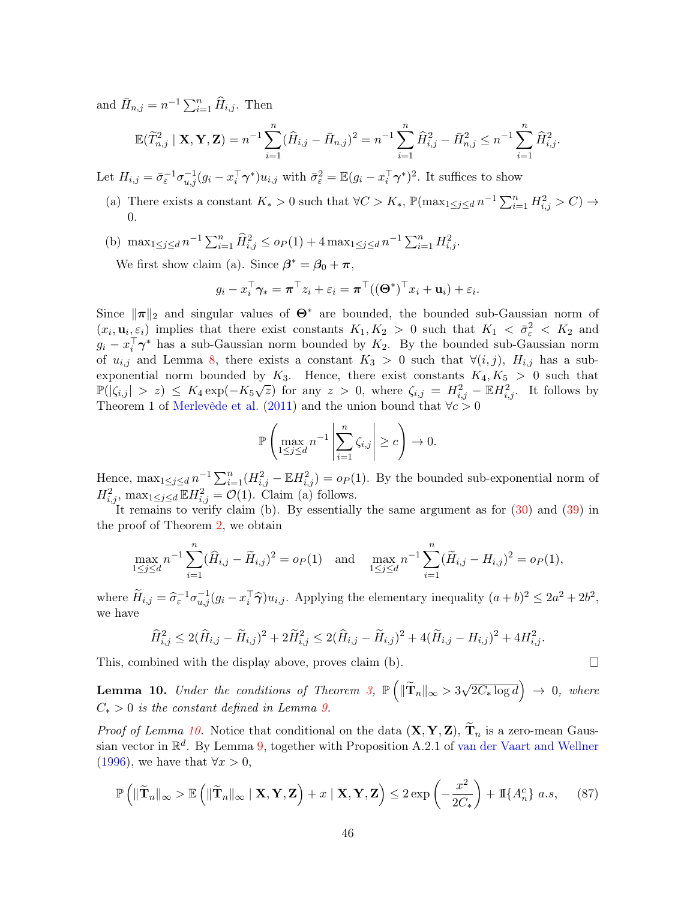and  $\bar{H}_{n,j} = n^{-1} \sum_{i=1}^{n} \widehat{H}_{i,j}$ . Then

$$
\mathbb{E}(\widetilde{T}_{n,j}^2 \mid \mathbf{X}, \mathbf{Y}, \mathbf{Z}) = n^{-1} \sum_{i=1}^n (\widehat{H}_{i,j} - \bar{H}_{n,j})^2 = n^{-1} \sum_{i=1}^n \widehat{H}_{i,j}^2 - \bar{H}_{n,j}^2 \le n^{-1} \sum_{i=1}^n \widehat{H}_{i,j}^2.
$$

Let  $H_{i,j} = \bar{\sigma}_{\varepsilon}^{-1} \sigma_{u,j}^{-1} (g_i - x_i^{\top} \gamma^*) u_{i,j}$  with  $\bar{\sigma}_{\varepsilon}^2 = \mathbb{E} (g_i - x_i^{\top} \gamma^*)^2$ . It suffices to show

- (a) There exists a constant  $K_* > 0$  such that  $\forall C > K_*, \mathbb{P}(\max_{1 \leq j \leq d} n^{-1} \sum_{i=1}^n H_{i,j}^2 > C) \rightarrow$ 0.
- (b)  $\max_{1 \leq j \leq d} n^{-1} \sum_{i=1}^n \widehat{H}_{i,j}^2 \leq o_P(1) + 4 \max_{1 \leq j \leq d} n^{-1} \sum_{i=1}^n H_{i,j}^2$ .

We first show claim (a). Since  $\beta^* = \beta_0 + \pi$ ,

$$
g_i - x_i^{\top} \boldsymbol{\gamma}_* = \boldsymbol{\pi}^{\top} z_i + \varepsilon_i = \boldsymbol{\pi}^{\top} ((\boldsymbol{\Theta}^*)^{\top} x_i + \mathbf{u}_i) + \varepsilon_i.
$$

Since  $\|\pi\|_2$  and singular values of  $\Theta^*$  are bounded, the bounded sub-Gaussian norm of  $(x_i, \mathbf{u}_i, \varepsilon_i)$  implies that there exist constants  $K_1, K_2 > 0$  such that  $K_1 < \overline{\sigma}_{\varepsilon}^2 < K_2$  and  $g_i - x_i^{\dagger} \gamma^*$  has a sub-Gaussian norm bounded by  $K_2$ . By the bounded sub-Gaussian norm of  $u_{i,j}$  and Lemma 8, there exists a constant  $K_3 > 0$  such that  $\forall (i,j)$ ,  $H_{i,j}$  has a subexponential norm bounded by  $K_3$ . Hence, there exist constants  $K_4, K_5 > 0$  such that  $\mathbb{P}(|\zeta_{i,j}| > z) \leq K_4 \exp(-K_5\sqrt{z})$  for any  $z > 0$ , where  $\zeta_{i,j} = H_{i,j}^2 - \mathbb{E}H_{i,j}^2$ . It follows by Theorem 1 of Merlevède et al. (2011) and the union bound that  $\forall c > 0$ 

$$
\mathbb{P}\left(\max_{1\leq j\leq d}n^{-1}\left|\sum_{i=1}^n\zeta_{i,j}\right|\geq c\right)\to 0.
$$

Hence,  $\max_{1 \leq j \leq d} n^{-1} \sum_{i=1}^n (H_{i,j}^2 - \mathbb{E} H_{i,j}^2) = o_P(1)$ . By the bounded sub-exponential norm of  $H_{i,j}^2$ ,  $\max_{1 \leq j \leq d} \mathbb{E} H_{i,j}^2 = \mathcal{O}(1)$ . Claim (a) follows.

It remains to verify claim (b). By essentially the same argument as for (30) and (39) in the proof of Theorem 2, we obtain

$$
\max_{1 \le j \le d} n^{-1} \sum_{i=1}^n (\widehat{H}_{i,j} - \widetilde{H}_{i,j})^2 = o_P(1) \text{ and } \max_{1 \le j \le d} n^{-1} \sum_{i=1}^n (\widetilde{H}_{i,j} - H_{i,j})^2 = o_P(1),
$$

where  $\widetilde{H}_{i,j} = \widehat{\sigma}_{\varepsilon}^{-1} \sigma_{u,j}^{-1} (g_i - x_i^{\top} \widehat{\gamma}) u_{i,j}$ . Applying the elementary inequality  $(a+b)^2 \leq 2a^2 + 2b^2$ , we have

$$
\widehat{H}_{i,j}^2 \leq 2(\widehat{H}_{i,j} - \widetilde{H}_{i,j})^2 + 2\widetilde{H}_{i,j}^2 \leq 2(\widehat{H}_{i,j} - \widetilde{H}_{i,j})^2 + 4(\widetilde{H}_{i,j} - H_{i,j})^2 + 4H_{i,j}^2.
$$

This, combined with the display above, proves claim (b).

**Lemma 10.** Under the conditions of Theorem 3,  $\mathbb{P}\left(\|\widetilde{\mathbf{T}}_n\|_{\infty} > 3\sqrt{2C_*\log d}\right) \rightarrow 0$ , where  $C_*$  > 0 is the constant defined in Lemma 9.

*Proof of Lemma 10.* Notice that conditional on the data  $(\mathbf{X}, \mathbf{Y}, \mathbf{Z})$ ,  $\mathbf{T}_n$  is a zero-mean Gaussian vector in  $\mathbb{R}^d$ . By Lemma 9, together with Proposition A.2.1 of van der Vaart and Wellner (1996), we have that  $\forall x > 0$ ,

$$
\mathbb{P}\left(\|\widetilde{\mathbf{T}}_n\|_{\infty} > \mathbb{E}\left(\|\widetilde{\mathbf{T}}_n\|_{\infty} \mid \mathbf{X}, \mathbf{Y}, \mathbf{Z}\right) + x \mid \mathbf{X}, \mathbf{Y}, \mathbf{Z}\right) \leq 2 \exp\left(-\frac{x^2}{2C_*}\right) + \mathbb{I}\{A_n^c\} \ a.s,\tag{87}
$$

 $\Box$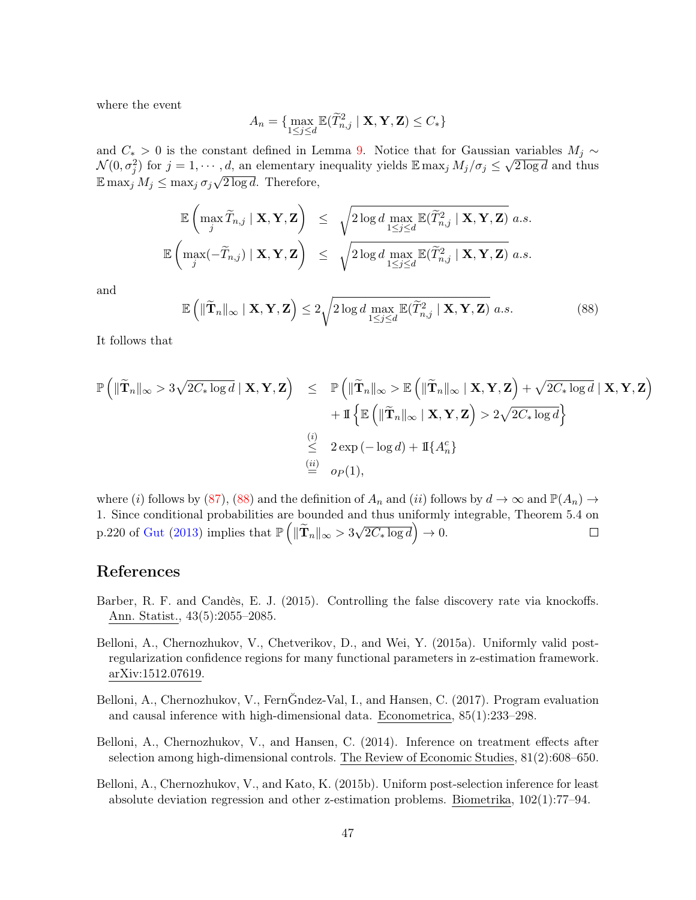where the event

$$
A_n = \{ \max_{1 \le j \le d} \mathbb{E}(\widetilde{T}_{n,j}^2 \mid \mathbf{X}, \mathbf{Y}, \mathbf{Z}) \le C_* \}
$$

and  $C_*$  > 0 is the constant defined in Lemma 9. Notice that for Gaussian variables  $M_i \sim$  $\mathcal{N}(0, \sigma_j^2)$  for  $j = 1, \cdots, d$ , an elementary inequality yields  $\mathbb{E} \max_j M_j/\sigma_j \leq \sqrt{2 \log d}$  and thus  $\mathbb{E} \max_j M_j \leq \max_j \sigma_j \sqrt{2 \log d}$ . Therefore,

$$
\mathbb{E}\left(\max_{j} \widetilde{T}_{n,j} \mid \mathbf{X}, \mathbf{Y}, \mathbf{Z}\right) \leq \sqrt{2\log d \max_{1 \leq j \leq d} \mathbb{E}(\widetilde{T}_{n,j}^2 \mid \mathbf{X}, \mathbf{Y}, \mathbf{Z})} a.s.
$$
  

$$
\mathbb{E}\left(\max_{j}(-\widetilde{T}_{n,j}) \mid \mathbf{X}, \mathbf{Y}, \mathbf{Z}\right) \leq \sqrt{2\log d \max_{1 \leq j \leq d} \mathbb{E}(\widetilde{T}_{n,j}^2 \mid \mathbf{X}, \mathbf{Y}, \mathbf{Z})} a.s.
$$

and

$$
\mathbb{E}\left(\|\widetilde{\mathbf{T}}_{n}\|_{\infty} \mid \mathbf{X}, \mathbf{Y}, \mathbf{Z}\right) \leq 2\sqrt{2\log d \max_{1 \leq j \leq d} \mathbb{E}(\widetilde{T}_{n,j}^{2} \mid \mathbf{X}, \mathbf{Y}, \mathbf{Z})} a.s.
$$
\n(88)

It follows that

$$
\mathbb{P}\left(\|\widetilde{\mathbf{T}}_{n}\|_{\infty} > 3\sqrt{2C_{*} \log d} \mid \mathbf{X}, \mathbf{Y}, \mathbf{Z}\right) \leq \mathbb{P}\left(\|\widetilde{\mathbf{T}}_{n}\|_{\infty} > \mathbb{E}\left(\|\widetilde{\mathbf{T}}_{n}\|_{\infty} \mid \mathbf{X}, \mathbf{Y}, \mathbf{Z}\right) + \sqrt{2C_{*} \log d} \mid \mathbf{X}, \mathbf{Y}, \mathbf{Z}\right) + \mathbb{I}\left\{\mathbb{E}\left(\|\widetilde{\mathbf{T}}_{n}\|_{\infty} \mid \mathbf{X}, \mathbf{Y}, \mathbf{Z}\right) > 2\sqrt{2C_{*} \log d}\right\} \n\xrightarrow{\text{(i)}} 2 \exp(-\log d) + \mathbb{I}\{A_{n}^{c}\} \n\xrightarrow{\text{(ii)}} o_{P}(1),
$$

where (i) follows by (87), (88) and the definition of  $A_n$  and (ii) follows by  $d \to \infty$  and  $\mathbb{P}(A_n) \to$ 1. Since conditional probabilities are bounded and thus uniformly integrable, Theorem 5.4 on p.220 of Gut (2013) implies that  $\mathbb{P}\left(\|\widetilde{\mathbf{T}}_n\|_{\infty} > 3\sqrt{2C_* \log d}\right) \to 0.$  $\Box$ 

### References

- Barber, R. F. and Candès, E. J. (2015). Controlling the false discovery rate via knockoffs. Ann. Statist., 43(5):2055–2085.
- Belloni, A., Chernozhukov, V., Chetverikov, D., and Wei, Y. (2015a). Uniformly valid postregularization confidence regions for many functional parameters in z-estimation framework. arXiv:1512.07619.
- Belloni, A., Chernozhukov, V., FernĞndez-Val, I., and Hansen, C. (2017). Program evaluation and causal inference with high-dimensional data. Econometrica, 85(1):233–298.
- Belloni, A., Chernozhukov, V., and Hansen, C. (2014). Inference on treatment effects after selection among high-dimensional controls. The Review of Economic Studies, 81(2):608–650.
- Belloni, A., Chernozhukov, V., and Kato, K. (2015b). Uniform post-selection inference for least absolute deviation regression and other z-estimation problems. Biometrika, 102(1):77–94.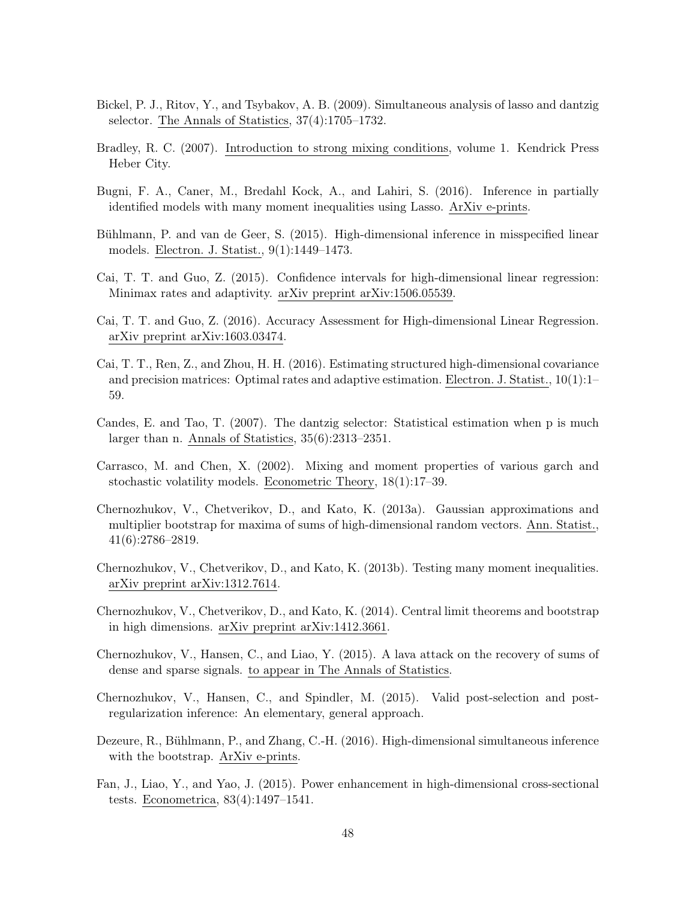- Bickel, P. J., Ritov, Y., and Tsybakov, A. B. (2009). Simultaneous analysis of lasso and dantzig selector. The Annals of Statistics, 37(4):1705–1732.
- Bradley, R. C. (2007). Introduction to strong mixing conditions, volume 1. Kendrick Press Heber City.
- Bugni, F. A., Caner, M., Bredahl Kock, A., and Lahiri, S. (2016). Inference in partially identified models with many moment inequalities using Lasso. ArXiv e-prints.
- Bühlmann, P. and van de Geer, S. (2015). High-dimensional inference in misspecified linear models. Electron. J. Statist., 9(1):1449–1473.
- Cai, T. T. and Guo, Z. (2015). Confidence intervals for high-dimensional linear regression: Minimax rates and adaptivity. arXiv preprint arXiv:1506.05539.
- Cai, T. T. and Guo, Z. (2016). Accuracy Assessment for High-dimensional Linear Regression. arXiv preprint arXiv:1603.03474.
- Cai, T. T., Ren, Z., and Zhou, H. H. (2016). Estimating structured high-dimensional covariance and precision matrices: Optimal rates and adaptive estimation. Electron. J. Statist., 10(1):1– 59.
- Candes, E. and Tao, T. (2007). The dantzig selector: Statistical estimation when p is much larger than n. Annals of Statistics, 35(6):2313–2351.
- Carrasco, M. and Chen, X. (2002). Mixing and moment properties of various garch and stochastic volatility models. Econometric Theory, 18(1):17–39.
- Chernozhukov, V., Chetverikov, D., and Kato, K. (2013a). Gaussian approximations and multiplier bootstrap for maxima of sums of high-dimensional random vectors. Ann. Statist., 41(6):2786–2819.
- Chernozhukov, V., Chetverikov, D., and Kato, K. (2013b). Testing many moment inequalities. arXiv preprint arXiv:1312.7614.
- Chernozhukov, V., Chetverikov, D., and Kato, K. (2014). Central limit theorems and bootstrap in high dimensions. arXiv preprint arXiv:1412.3661.
- Chernozhukov, V., Hansen, C., and Liao, Y. (2015). A lava attack on the recovery of sums of dense and sparse signals. to appear in The Annals of Statistics.
- Chernozhukov, V., Hansen, C., and Spindler, M. (2015). Valid post-selection and postregularization inference: An elementary, general approach.
- Dezeure, R., Bühlmann, P., and Zhang, C.-H. (2016). High-dimensional simultaneous inference with the bootstrap. ArXiv e-prints.
- Fan, J., Liao, Y., and Yao, J. (2015). Power enhancement in high-dimensional cross-sectional tests. Econometrica, 83(4):1497–1541.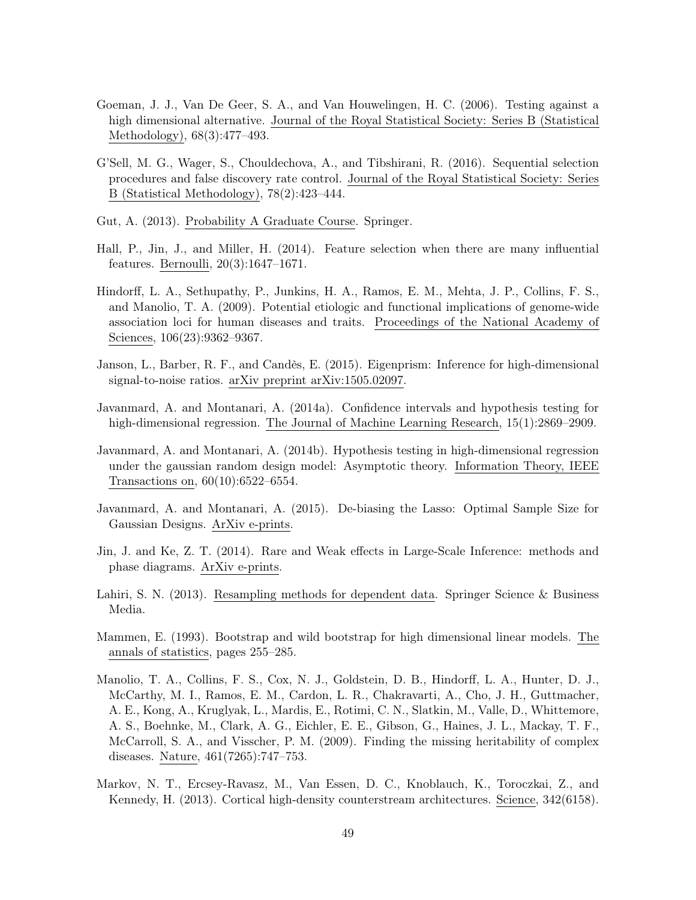- Goeman, J. J., Van De Geer, S. A., and Van Houwelingen, H. C. (2006). Testing against a high dimensional alternative. Journal of the Royal Statistical Society: Series B (Statistical Methodology), 68(3):477–493.
- G'Sell, M. G., Wager, S., Chouldechova, A., and Tibshirani, R. (2016). Sequential selection procedures and false discovery rate control. Journal of the Royal Statistical Society: Series B (Statistical Methodology), 78(2):423–444.
- Gut, A. (2013). Probability A Graduate Course. Springer.
- Hall, P., Jin, J., and Miller, H. (2014). Feature selection when there are many influential features. Bernoulli, 20(3):1647–1671.
- Hindorff, L. A., Sethupathy, P., Junkins, H. A., Ramos, E. M., Mehta, J. P., Collins, F. S., and Manolio, T. A. (2009). Potential etiologic and functional implications of genome-wide association loci for human diseases and traits. Proceedings of the National Academy of Sciences, 106(23):9362–9367.
- Janson, L., Barber, R. F., and Candès, E. (2015). Eigenprism: Inference for high-dimensional signal-to-noise ratios. arXiv preprint arXiv:1505.02097.
- Javanmard, A. and Montanari, A. (2014a). Confidence intervals and hypothesis testing for high-dimensional regression. The Journal of Machine Learning Research, 15(1):2869–2909.
- Javanmard, A. and Montanari, A. (2014b). Hypothesis testing in high-dimensional regression under the gaussian random design model: Asymptotic theory. Information Theory, IEEE Transactions on, 60(10):6522–6554.
- Javanmard, A. and Montanari, A. (2015). De-biasing the Lasso: Optimal Sample Size for Gaussian Designs. ArXiv e-prints.
- Jin, J. and Ke, Z. T. (2014). Rare and Weak effects in Large-Scale Inference: methods and phase diagrams. ArXiv e-prints.
- Lahiri, S. N. (2013). Resampling methods for dependent data. Springer Science & Business Media.
- Mammen, E. (1993). Bootstrap and wild bootstrap for high dimensional linear models. The annals of statistics, pages 255–285.
- Manolio, T. A., Collins, F. S., Cox, N. J., Goldstein, D. B., Hindorff, L. A., Hunter, D. J., McCarthy, M. I., Ramos, E. M., Cardon, L. R., Chakravarti, A., Cho, J. H., Guttmacher, A. E., Kong, A., Kruglyak, L., Mardis, E., Rotimi, C. N., Slatkin, M., Valle, D., Whittemore, A. S., Boehnke, M., Clark, A. G., Eichler, E. E., Gibson, G., Haines, J. L., Mackay, T. F., McCarroll, S. A., and Visscher, P. M. (2009). Finding the missing heritability of complex diseases. Nature, 461(7265):747–753.
- Markov, N. T., Ercsey-Ravasz, M., Van Essen, D. C., Knoblauch, K., Toroczkai, Z., and Kennedy, H. (2013). Cortical high-density counterstream architectures. Science, 342(6158).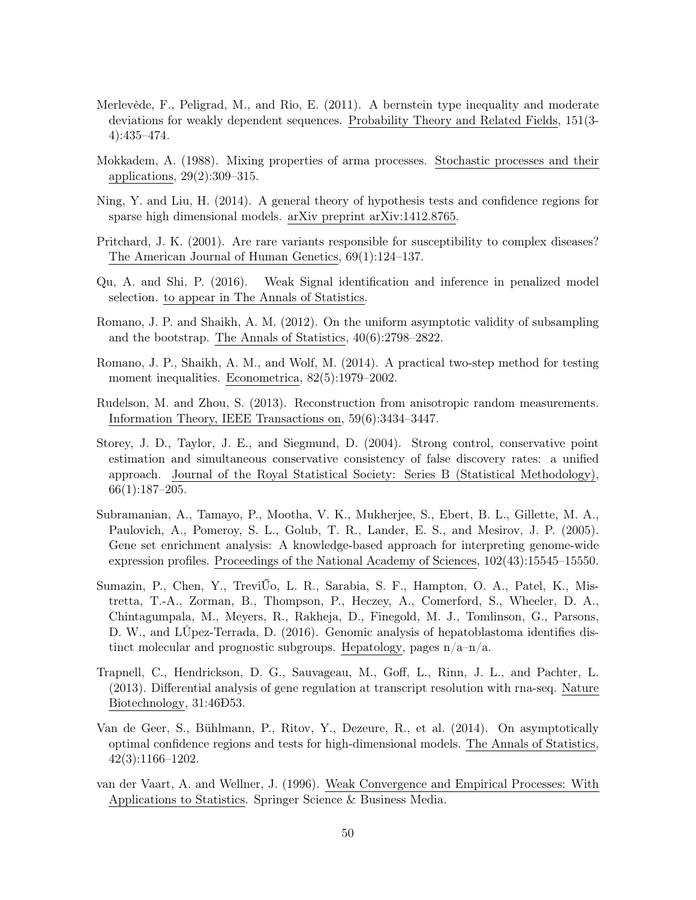- Merlevède, F., Peligrad, M., and Rio, E. (2011). A bernstein type inequality and moderate deviations for weakly dependent sequences. Probability Theory and Related Fields, 151(3- 4):435–474.
- Mokkadem, A. (1988). Mixing properties of arma processes. Stochastic processes and their applications, 29(2):309–315.
- Ning, Y. and Liu, H. (2014). A general theory of hypothesis tests and confidence regions for sparse high dimensional models. arXiv preprint arXiv:1412.8765.
- Pritchard, J. K. (2001). Are rare variants responsible for susceptibility to complex diseases? The American Journal of Human Genetics, 69(1):124–137.
- Qu, A. and Shi, P. (2016). Weak Signal identification and inference in penalized model selection. to appear in The Annals of Statistics.
- Romano, J. P. and Shaikh, A. M. (2012). On the uniform asymptotic validity of subsampling and the bootstrap. The Annals of Statistics, 40(6):2798–2822.
- Romano, J. P., Shaikh, A. M., and Wolf, M. (2014). A practical two-step method for testing moment inequalities. Econometrica, 82(5):1979–2002.
- Rudelson, M. and Zhou, S. (2013). Reconstruction from anisotropic random measurements. Information Theory, IEEE Transactions on, 59(6):3434–3447.
- Storey, J. D., Taylor, J. E., and Siegmund, D. (2004). Strong control, conservative point estimation and simultaneous conservative consistency of false discovery rates: a unified approach. Journal of the Royal Statistical Society: Series B (Statistical Methodology), 66(1):187–205.
- Subramanian, A., Tamayo, P., Mootha, V. K., Mukherjee, S., Ebert, B. L., Gillette, M. A., Paulovich, A., Pomeroy, S. L., Golub, T. R., Lander, E. S., and Mesirov, J. P. (2005). Gene set enrichment analysis: A knowledge-based approach for interpreting genome-wide expression profiles. Proceedings of the National Academy of Sciences, 102(43):15545–15550.
- Sumazin, P., Chen, Y., TreviŰo, L. R., Sarabia, S. F., Hampton, O. A., Patel, K., Mistretta, T.-A., Zorman, B., Thompson, P., Heczey, A., Comerford, S., Wheeler, D. A., Chintagumpala, M., Meyers, R., Rakheja, D., Finegold, M. J., Tomlinson, G., Parsons, D. W., and LŮpez-Terrada, D. (2016). Genomic analysis of hepatoblastoma identifies distinct molecular and prognostic subgroups. Hepatology, pages  $n/a-n/a$ .
- Trapnell, C., Hendrickson, D. G., Sauvageau, M., Goff, L., Rinn, J. L., and Pachter, L. (2013). Differential analysis of gene regulation at transcript resolution with rna-seq. Nature Biotechnology, 31:46Ð53.
- Van de Geer, S., Bühlmann, P., Ritov, Y., Dezeure, R., et al. (2014). On asymptotically optimal confidence regions and tests for high-dimensional models. The Annals of Statistics, 42(3):1166–1202.
- van der Vaart, A. and Wellner, J. (1996). Weak Convergence and Empirical Processes: With Applications to Statistics. Springer Science & Business Media.